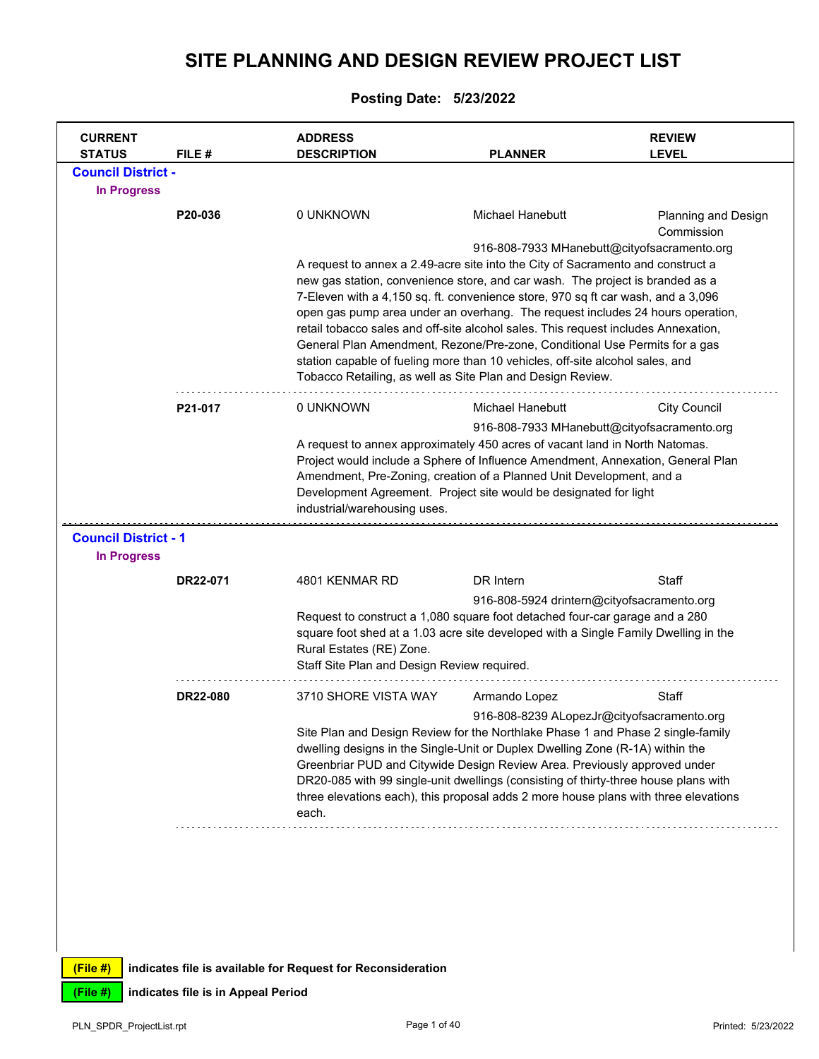## **SITE PLANNING AND DESIGN REVIEW PROJECT LIST**

## **Posting Date: 5/23/2022**

| <b>STATUS</b>                                     | FILE #   | <b>ADDRESS</b><br><b>DESCRIPTION</b>                                                                                                                                                                                                                                                                                                                                                                                                                                                                                                                                                                                                                      | <b>PLANNER</b>                                                    | <b>REVIEW</b><br><b>LEVEL</b>               |
|---------------------------------------------------|----------|-----------------------------------------------------------------------------------------------------------------------------------------------------------------------------------------------------------------------------------------------------------------------------------------------------------------------------------------------------------------------------------------------------------------------------------------------------------------------------------------------------------------------------------------------------------------------------------------------------------------------------------------------------------|-------------------------------------------------------------------|---------------------------------------------|
| <b>Council District -</b>                         |          |                                                                                                                                                                                                                                                                                                                                                                                                                                                                                                                                                                                                                                                           |                                                                   |                                             |
| <b>In Progress</b>                                |          |                                                                                                                                                                                                                                                                                                                                                                                                                                                                                                                                                                                                                                                           |                                                                   |                                             |
|                                                   | P20-036  | 0 UNKNOWN                                                                                                                                                                                                                                                                                                                                                                                                                                                                                                                                                                                                                                                 | Michael Hanebutt                                                  | <b>Planning and Design</b><br>Commission    |
|                                                   |          | A request to annex a 2.49-acre site into the City of Sacramento and construct a<br>new gas station, convenience store, and car wash. The project is branded as a<br>7-Eleven with a 4,150 sq. ft. convenience store, 970 sq ft car wash, and a 3,096<br>open gas pump area under an overhang. The request includes 24 hours operation,<br>retail tobacco sales and off-site alcohol sales. This request includes Annexation,<br>General Plan Amendment, Rezone/Pre-zone, Conditional Use Permits for a gas<br>station capable of fueling more than 10 vehicles, off-site alcohol sales, and<br>Tobacco Retailing, as well as Site Plan and Design Review. |                                                                   | 916-808-7933 MHanebutt@cityofsacramento.org |
|                                                   | P21-017  | 0 UNKNOWN                                                                                                                                                                                                                                                                                                                                                                                                                                                                                                                                                                                                                                                 | Michael Hanebutt                                                  | <b>City Council</b>                         |
|                                                   |          | A request to annex approximately 450 acres of vacant land in North Natomas.<br>Project would include a Sphere of Influence Amendment, Annexation, General Plan<br>Amendment, Pre-Zoning, creation of a Planned Unit Development, and a                                                                                                                                                                                                                                                                                                                                                                                                                    |                                                                   | 916-808-7933 MHanebutt@cityofsacramento.org |
|                                                   |          | industrial/warehousing uses.                                                                                                                                                                                                                                                                                                                                                                                                                                                                                                                                                                                                                              | Development Agreement. Project site would be designated for light |                                             |
| <b>Council District - 1</b><br><b>In Progress</b> |          |                                                                                                                                                                                                                                                                                                                                                                                                                                                                                                                                                                                                                                                           |                                                                   |                                             |
|                                                   | DR22-071 | 4801 KENMAR RD                                                                                                                                                                                                                                                                                                                                                                                                                                                                                                                                                                                                                                            | DR Intern                                                         | Staff                                       |
|                                                   |          | Request to construct a 1,080 square foot detached four-car garage and a 280<br>square foot shed at a 1.03 acre site developed with a Single Family Dwelling in the<br>Rural Estates (RE) Zone.<br>Staff Site Plan and Design Review required.                                                                                                                                                                                                                                                                                                                                                                                                             | 916-808-5924 drintern@cityofsacramento.org                        |                                             |
|                                                   | DR22-080 | 3710 SHORE VISTA WAY                                                                                                                                                                                                                                                                                                                                                                                                                                                                                                                                                                                                                                      | Armando Lopez                                                     | Staff                                       |

**(File #) indicates file is available for Request for Reconsideration**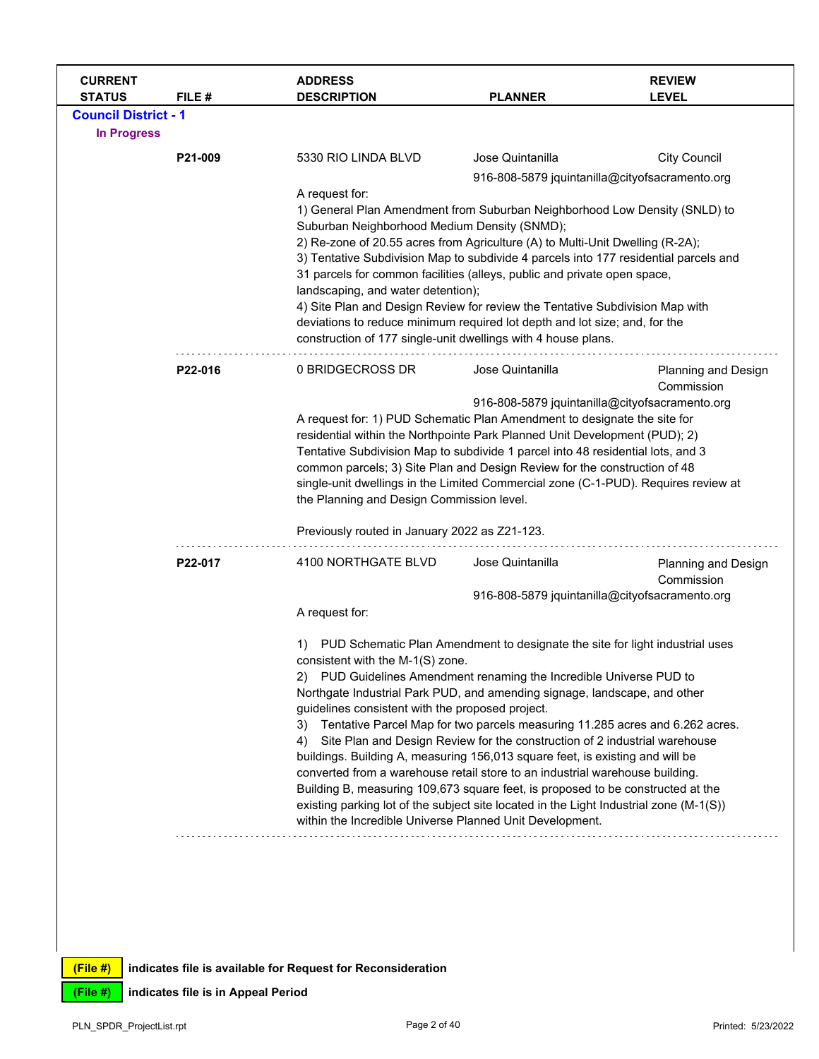| <b>CURRENT</b><br><b>STATUS</b> | FILE#   | <b>ADDRESS</b><br><b>DESCRIPTION</b>                                                                                                                                                                                                                                                                                                                                                                                                                                                                                                                                                                                                                                   | <b>PLANNER</b>                                                                                                                                                                                                                                                                                                                                                                                                                                                 | <b>REVIEW</b><br><b>LEVEL</b>     |
|---------------------------------|---------|------------------------------------------------------------------------------------------------------------------------------------------------------------------------------------------------------------------------------------------------------------------------------------------------------------------------------------------------------------------------------------------------------------------------------------------------------------------------------------------------------------------------------------------------------------------------------------------------------------------------------------------------------------------------|----------------------------------------------------------------------------------------------------------------------------------------------------------------------------------------------------------------------------------------------------------------------------------------------------------------------------------------------------------------------------------------------------------------------------------------------------------------|-----------------------------------|
| <b>Council District - 1</b>     |         |                                                                                                                                                                                                                                                                                                                                                                                                                                                                                                                                                                                                                                                                        |                                                                                                                                                                                                                                                                                                                                                                                                                                                                |                                   |
| <b>In Progress</b>              |         |                                                                                                                                                                                                                                                                                                                                                                                                                                                                                                                                                                                                                                                                        |                                                                                                                                                                                                                                                                                                                                                                                                                                                                |                                   |
|                                 | P21-009 | 5330 RIO LINDA BLVD                                                                                                                                                                                                                                                                                                                                                                                                                                                                                                                                                                                                                                                    | Jose Quintanilla                                                                                                                                                                                                                                                                                                                                                                                                                                               | <b>City Council</b>               |
|                                 |         |                                                                                                                                                                                                                                                                                                                                                                                                                                                                                                                                                                                                                                                                        | 916-808-5879 jquintanilla@cityofsacramento.org                                                                                                                                                                                                                                                                                                                                                                                                                 |                                   |
|                                 |         | A request for:<br>1) General Plan Amendment from Suburban Neighborhood Low Density (SNLD) to<br>Suburban Neighborhood Medium Density (SNMD);<br>2) Re-zone of 20.55 acres from Agriculture (A) to Multi-Unit Dwelling (R-2A);<br>3) Tentative Subdivision Map to subdivide 4 parcels into 177 residential parcels and<br>31 parcels for common facilities (alleys, public and private open space,<br>landscaping, and water detention);<br>4) Site Plan and Design Review for review the Tentative Subdivision Map with<br>deviations to reduce minimum required lot depth and lot size; and, for the<br>construction of 177 single-unit dwellings with 4 house plans. |                                                                                                                                                                                                                                                                                                                                                                                                                                                                |                                   |
|                                 | P22-016 | 0 BRIDGECROSS DR                                                                                                                                                                                                                                                                                                                                                                                                                                                                                                                                                                                                                                                       | Jose Quintanilla                                                                                                                                                                                                                                                                                                                                                                                                                                               | Planning and Design<br>Commission |
|                                 |         | the Planning and Design Commission level.                                                                                                                                                                                                                                                                                                                                                                                                                                                                                                                                                                                                                              | 916-808-5879 jquintanilla@cityofsacramento.org<br>A request for: 1) PUD Schematic Plan Amendment to designate the site for<br>residential within the Northpointe Park Planned Unit Development (PUD); 2)<br>Tentative Subdivision Map to subdivide 1 parcel into 48 residential lots, and 3<br>common parcels; 3) Site Plan and Design Review for the construction of 48<br>single-unit dwellings in the Limited Commercial zone (C-1-PUD). Requires review at |                                   |
|                                 | P22-017 | Previously routed in January 2022 as Z21-123.<br>4100 NORTHGATE BLVD                                                                                                                                                                                                                                                                                                                                                                                                                                                                                                                                                                                                   | Jose Quintanilla                                                                                                                                                                                                                                                                                                                                                                                                                                               | Planning and Design               |
|                                 |         |                                                                                                                                                                                                                                                                                                                                                                                                                                                                                                                                                                                                                                                                        |                                                                                                                                                                                                                                                                                                                                                                                                                                                                | Commission                        |
|                                 |         |                                                                                                                                                                                                                                                                                                                                                                                                                                                                                                                                                                                                                                                                        | 916-808-5879 jquintanilla@cityofsacramento.org                                                                                                                                                                                                                                                                                                                                                                                                                 |                                   |
|                                 |         | A request for:                                                                                                                                                                                                                                                                                                                                                                                                                                                                                                                                                                                                                                                         |                                                                                                                                                                                                                                                                                                                                                                                                                                                                |                                   |
|                                 |         | 1)<br>consistent with the M-1(S) zone.<br>2)<br>Northgate Industrial Park PUD, and amending signage, landscape, and other<br>guidelines consistent with the proposed project.<br>3)<br>4)<br>buildings. Building A, measuring 156,013 square feet, is existing and will be<br>converted from a warehouse retail store to an industrial warehouse building.<br>Building B, measuring 109,673 square feet, is proposed to be constructed at the<br>existing parking lot of the subject site located in the Light Industrial zone (M-1(S))<br>within the Incredible Universe Planned Unit Development.                                                                    | PUD Schematic Plan Amendment to designate the site for light industrial uses<br>PUD Guidelines Amendment renaming the Incredible Universe PUD to<br>Tentative Parcel Map for two parcels measuring 11.285 acres and 6.262 acres.<br>Site Plan and Design Review for the construction of 2 industrial warehouse                                                                                                                                                 |                                   |
|                                 |         |                                                                                                                                                                                                                                                                                                                                                                                                                                                                                                                                                                                                                                                                        |                                                                                                                                                                                                                                                                                                                                                                                                                                                                |                                   |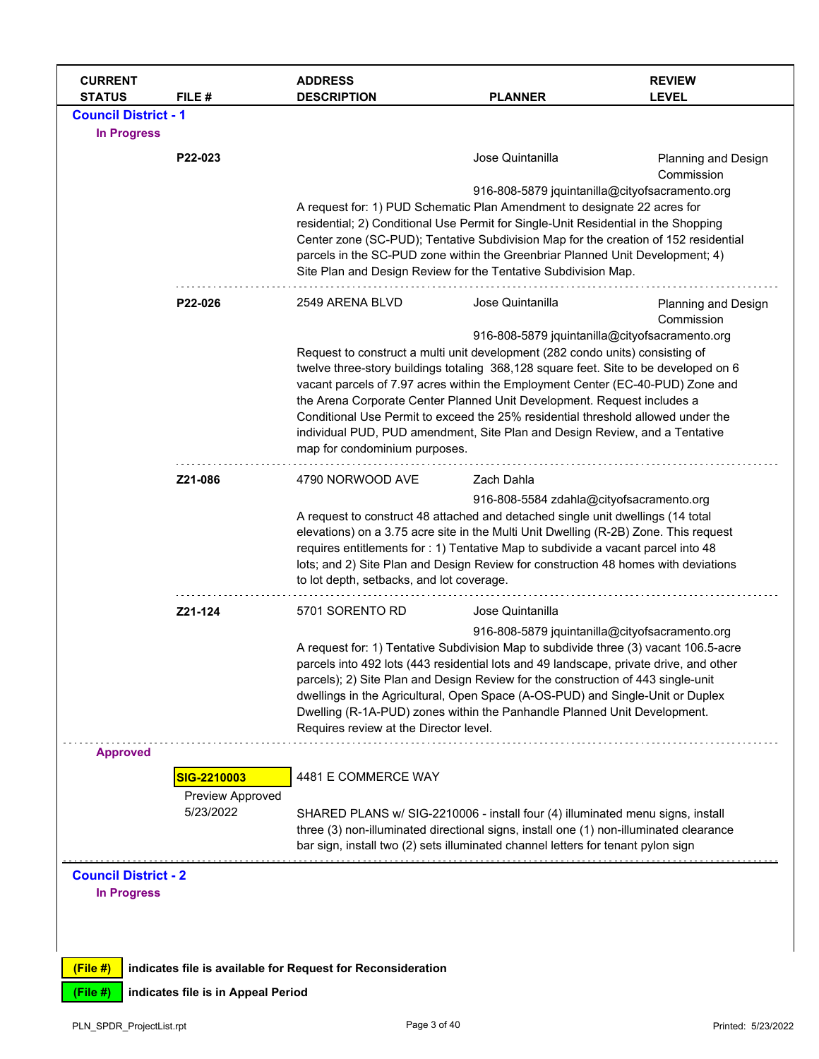| <b>CURRENT</b><br><b>STATUS</b>                                             | FILE #                                       | <b>ADDRESS</b><br><b>DESCRIPTION</b>                                                                                                                                                                                                                                                                                                                                                                                                                                                                                                                      | <b>PLANNER</b>                                                     | <b>REVIEW</b><br><b>LEVEL</b>     |
|-----------------------------------------------------------------------------|----------------------------------------------|-----------------------------------------------------------------------------------------------------------------------------------------------------------------------------------------------------------------------------------------------------------------------------------------------------------------------------------------------------------------------------------------------------------------------------------------------------------------------------------------------------------------------------------------------------------|--------------------------------------------------------------------|-----------------------------------|
| <b>Council District - 1</b><br><b>In Progress</b>                           |                                              |                                                                                                                                                                                                                                                                                                                                                                                                                                                                                                                                                           |                                                                    |                                   |
|                                                                             | P22-023                                      | A request for: 1) PUD Schematic Plan Amendment to designate 22 acres for<br>residential; 2) Conditional Use Permit for Single-Unit Residential in the Shopping<br>Center zone (SC-PUD); Tentative Subdivision Map for the creation of 152 residential<br>parcels in the SC-PUD zone within the Greenbriar Planned Unit Development; 4)<br>Site Plan and Design Review for the Tentative Subdivision Map.                                                                                                                                                  | Jose Quintanilla<br>916-808-5879 jquintanilla@cityofsacramento.org | Planning and Design<br>Commission |
|                                                                             | P22-026                                      | 2549 ARENA BLVD<br>Request to construct a multi unit development (282 condo units) consisting of<br>twelve three-story buildings totaling 368,128 square feet. Site to be developed on 6<br>vacant parcels of 7.97 acres within the Employment Center (EC-40-PUD) Zone and<br>the Arena Corporate Center Planned Unit Development. Request includes a<br>Conditional Use Permit to exceed the 25% residential threshold allowed under the<br>individual PUD, PUD amendment, Site Plan and Design Review, and a Tentative<br>map for condominium purposes. | Jose Quintanilla<br>916-808-5879 jquintanilla@cityofsacramento.org | Planning and Design<br>Commission |
|                                                                             | Z21-086                                      | 4790 NORWOOD AVE<br>A request to construct 48 attached and detached single unit dwellings (14 total<br>elevations) on a 3.75 acre site in the Multi Unit Dwelling (R-2B) Zone. This request<br>requires entitlements for : 1) Tentative Map to subdivide a vacant parcel into 48<br>lots; and 2) Site Plan and Design Review for construction 48 homes with deviations<br>to lot depth, setbacks, and lot coverage.                                                                                                                                       | Zach Dahla<br>916-808-5584 zdahla@cityofsacramento.org             |                                   |
|                                                                             | Z21-124                                      | 5701 SORENTO RD<br>A request for: 1) Tentative Subdivision Map to subdivide three (3) vacant 106.5-acre<br>parcels into 492 lots (443 residential lots and 49 landscape, private drive, and other<br>parcels); 2) Site Plan and Design Review for the construction of 443 single-unit<br>dwellings in the Agricultural, Open Space (A-OS-PUD) and Single-Unit or Duplex<br>Dwelling (R-1A-PUD) zones within the Panhandle Planned Unit Development.<br>Requires review at the Director level.                                                             | Jose Quintanilla<br>916-808-5879 jquintanilla@cityofsacramento.org |                                   |
| <b>Approved</b>                                                             | SIG-2210003<br>Preview Approved<br>5/23/2022 | 4481 E COMMERCE WAY<br>SHARED PLANS w/ SIG-2210006 - install four (4) illuminated menu signs, install<br>three (3) non-illuminated directional signs, install one (1) non-illuminated clearance<br>bar sign, install two (2) sets illuminated channel letters for tenant pylon sign                                                                                                                                                                                                                                                                       |                                                                    |                                   |
| <b>Council District - 2</b><br><b>In Progress</b><br>$(File$ #)<br>(File #) | indicates file is in Appeal Period           | indicates file is available for Request for Reconsideration                                                                                                                                                                                                                                                                                                                                                                                                                                                                                               |                                                                    |                                   |
| PLN_SPDR_ProjectList.rpt                                                    |                                              | Page 3 of 40                                                                                                                                                                                                                                                                                                                                                                                                                                                                                                                                              |                                                                    | Printed: 5/23/2022                |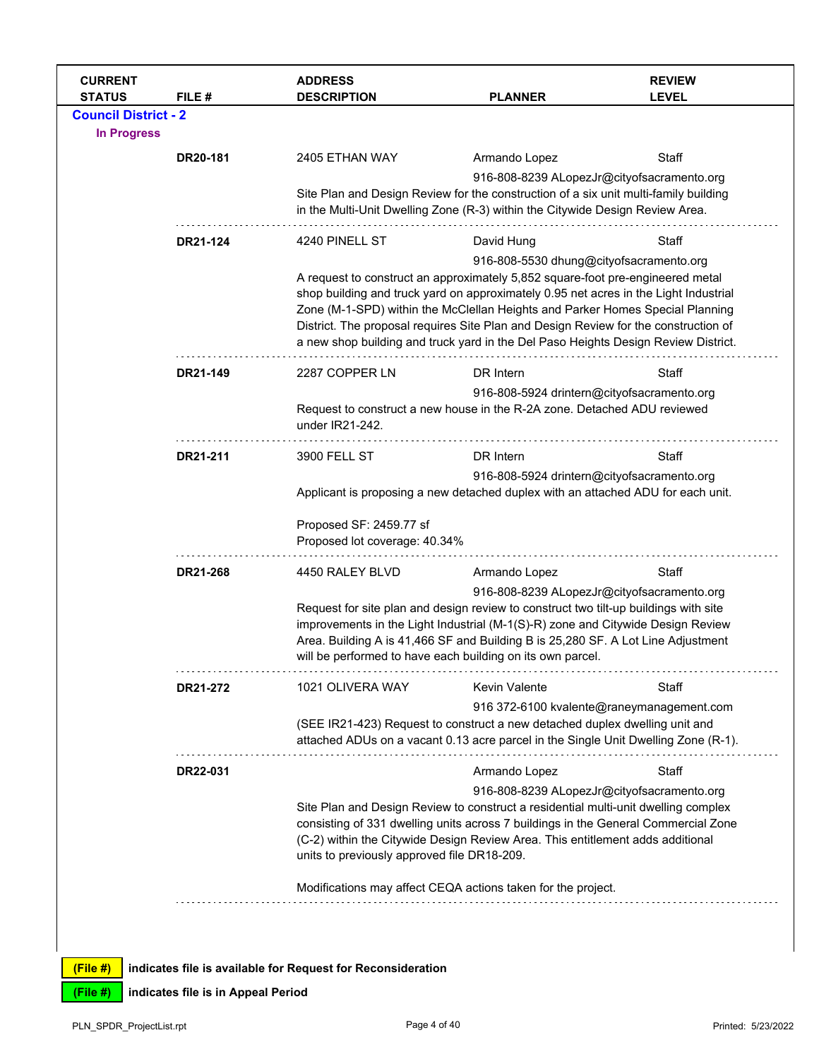| <b>CURRENT</b><br><b>STATUS</b> | FILE#    | <b>ADDRESS</b><br><b>DESCRIPTION</b>                                                                                                                                                                                                                                                                                      | <b>PLANNER</b>                                                                                                                                                                                                                                          | <b>REVIEW</b><br><b>LEVEL</b> |  |  |  |
|---------------------------------|----------|---------------------------------------------------------------------------------------------------------------------------------------------------------------------------------------------------------------------------------------------------------------------------------------------------------------------------|---------------------------------------------------------------------------------------------------------------------------------------------------------------------------------------------------------------------------------------------------------|-------------------------------|--|--|--|
| <b>Council District - 2</b>     |          |                                                                                                                                                                                                                                                                                                                           |                                                                                                                                                                                                                                                         |                               |  |  |  |
| <b>In Progress</b>              |          |                                                                                                                                                                                                                                                                                                                           |                                                                                                                                                                                                                                                         |                               |  |  |  |
|                                 | DR20-181 | 2405 ETHAN WAY                                                                                                                                                                                                                                                                                                            | Armando Lopez                                                                                                                                                                                                                                           | Staff                         |  |  |  |
|                                 |          |                                                                                                                                                                                                                                                                                                                           | 916-808-8239 ALopezJr@cityofsacramento.org                                                                                                                                                                                                              |                               |  |  |  |
|                                 |          |                                                                                                                                                                                                                                                                                                                           | Site Plan and Design Review for the construction of a six unit multi-family building<br>in the Multi-Unit Dwelling Zone (R-3) within the Citywide Design Review Area.                                                                                   |                               |  |  |  |
|                                 | DR21-124 | 4240 PINELL ST                                                                                                                                                                                                                                                                                                            | David Hung                                                                                                                                                                                                                                              | Staff                         |  |  |  |
|                                 |          |                                                                                                                                                                                                                                                                                                                           | 916-808-5530 dhung@cityofsacramento.org                                                                                                                                                                                                                 |                               |  |  |  |
|                                 |          |                                                                                                                                                                                                                                                                                                                           | A request to construct an approximately 5,852 square-foot pre-engineered metal<br>shop building and truck yard on approximately 0.95 net acres in the Light Industrial<br>Zone (M-1-SPD) within the McClellan Heights and Parker Homes Special Planning |                               |  |  |  |
|                                 |          | District. The proposal requires Site Plan and Design Review for the construction of<br>a new shop building and truck yard in the Del Paso Heights Design Review District.                                                                                                                                                 |                                                                                                                                                                                                                                                         |                               |  |  |  |
|                                 | DR21-149 | 2287 COPPER LN                                                                                                                                                                                                                                                                                                            | DR Intern                                                                                                                                                                                                                                               | Staff                         |  |  |  |
|                                 |          |                                                                                                                                                                                                                                                                                                                           | 916-808-5924 drintern@cityofsacramento.org                                                                                                                                                                                                              |                               |  |  |  |
|                                 |          | under IR21-242.                                                                                                                                                                                                                                                                                                           | Request to construct a new house in the R-2A zone. Detached ADU reviewed                                                                                                                                                                                |                               |  |  |  |
|                                 | DR21-211 | 3900 FELL ST                                                                                                                                                                                                                                                                                                              | DR Intern                                                                                                                                                                                                                                               | Staff                         |  |  |  |
|                                 |          |                                                                                                                                                                                                                                                                                                                           | 916-808-5924 drintern@cityofsacramento.org                                                                                                                                                                                                              |                               |  |  |  |
|                                 |          |                                                                                                                                                                                                                                                                                                                           | Applicant is proposing a new detached duplex with an attached ADU for each unit.                                                                                                                                                                        |                               |  |  |  |
|                                 |          | Proposed SF: 2459.77 sf<br>Proposed lot coverage: 40.34%                                                                                                                                                                                                                                                                  |                                                                                                                                                                                                                                                         |                               |  |  |  |
|                                 | DR21-268 | 4450 RALEY BLVD                                                                                                                                                                                                                                                                                                           | Armando Lopez                                                                                                                                                                                                                                           | Staff                         |  |  |  |
|                                 |          |                                                                                                                                                                                                                                                                                                                           | 916-808-8239 ALopezJr@cityofsacramento.org                                                                                                                                                                                                              |                               |  |  |  |
|                                 |          | Request for site plan and design review to construct two tilt-up buildings with site<br>improvements in the Light Industrial (M-1(S)-R) zone and Citywide Design Review<br>Area. Building A is 41,466 SF and Building B is 25,280 SF. A Lot Line Adjustment<br>will be performed to have each building on its own parcel. |                                                                                                                                                                                                                                                         |                               |  |  |  |
|                                 | DR21-272 | 1021 OLIVERA WAY                                                                                                                                                                                                                                                                                                          | Kevin Valente                                                                                                                                                                                                                                           | Staff                         |  |  |  |
|                                 |          |                                                                                                                                                                                                                                                                                                                           | 916 372-6100 kvalente@raneymanagement.com                                                                                                                                                                                                               |                               |  |  |  |
|                                 |          |                                                                                                                                                                                                                                                                                                                           | (SEE IR21-423) Request to construct a new detached duplex dwelling unit and<br>attached ADUs on a vacant 0.13 acre parcel in the Single Unit Dwelling Zone (R-1).                                                                                       |                               |  |  |  |
|                                 | DR22-031 |                                                                                                                                                                                                                                                                                                                           | Armando Lopez                                                                                                                                                                                                                                           | Staff                         |  |  |  |
|                                 |          |                                                                                                                                                                                                                                                                                                                           | 916-808-8239 ALopezJr@cityofsacramento.org                                                                                                                                                                                                              |                               |  |  |  |
|                                 |          |                                                                                                                                                                                                                                                                                                                           | Site Plan and Design Review to construct a residential multi-unit dwelling complex                                                                                                                                                                      |                               |  |  |  |
|                                 |          | units to previously approved file DR18-209.                                                                                                                                                                                                                                                                               | consisting of 331 dwelling units across 7 buildings in the General Commercial Zone<br>(C-2) within the Citywide Design Review Area. This entitlement adds additional                                                                                    |                               |  |  |  |
|                                 |          |                                                                                                                                                                                                                                                                                                                           | Modifications may affect CEQA actions taken for the project.                                                                                                                                                                                            |                               |  |  |  |
|                                 |          |                                                                                                                                                                                                                                                                                                                           |                                                                                                                                                                                                                                                         |                               |  |  |  |
|                                 |          |                                                                                                                                                                                                                                                                                                                           |                                                                                                                                                                                                                                                         |                               |  |  |  |
|                                 |          |                                                                                                                                                                                                                                                                                                                           |                                                                                                                                                                                                                                                         |                               |  |  |  |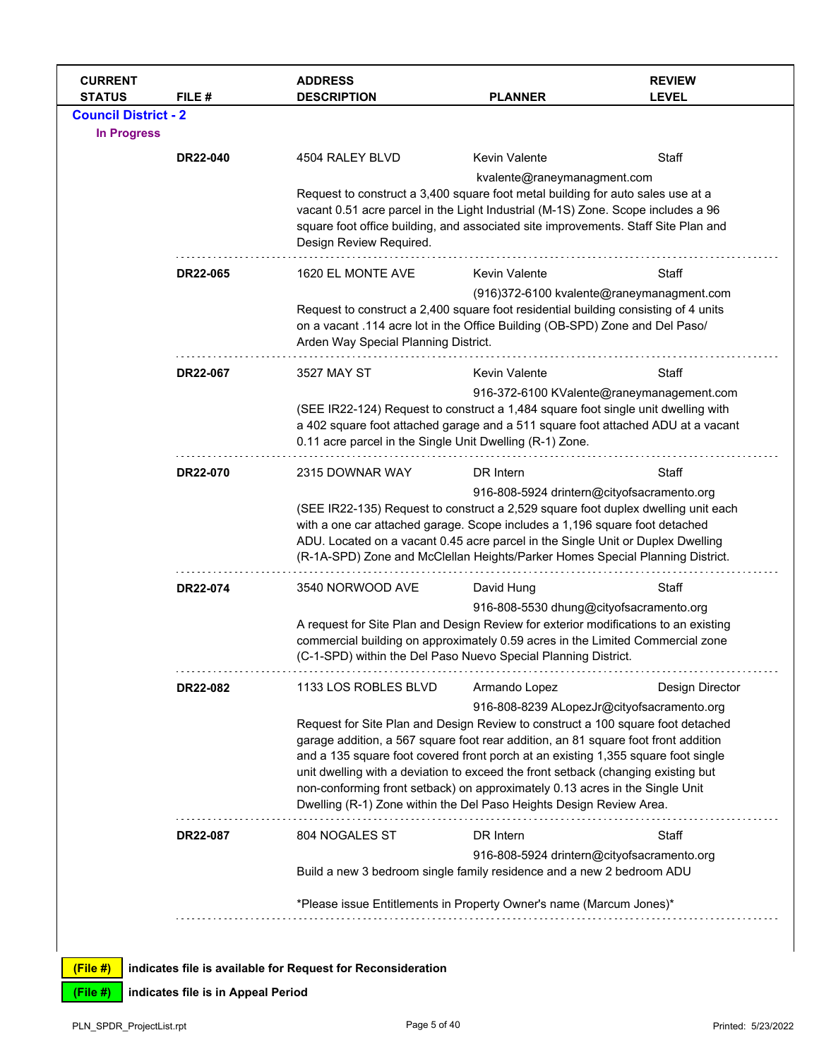| <b>CURRENT</b><br><b>STATUS</b>                   | FILE#    | <b>ADDRESS</b><br><b>DESCRIPTION</b>                                                                                                                                                                                                                                                                                                                                                                                                                                                                                           | <b>PLANNER</b>                                                                                                                                                                                                                                                                                            | <b>REVIEW</b><br><b>LEVEL</b>                                 |
|---------------------------------------------------|----------|--------------------------------------------------------------------------------------------------------------------------------------------------------------------------------------------------------------------------------------------------------------------------------------------------------------------------------------------------------------------------------------------------------------------------------------------------------------------------------------------------------------------------------|-----------------------------------------------------------------------------------------------------------------------------------------------------------------------------------------------------------------------------------------------------------------------------------------------------------|---------------------------------------------------------------|
| <b>Council District - 2</b><br><b>In Progress</b> |          |                                                                                                                                                                                                                                                                                                                                                                                                                                                                                                                                |                                                                                                                                                                                                                                                                                                           |                                                               |
|                                                   | DR22-040 | 4504 RALEY BLVD<br>Request to construct a 3,400 square foot metal building for auto sales use at a<br>vacant 0.51 acre parcel in the Light Industrial (M-1S) Zone. Scope includes a 96<br>square foot office building, and associated site improvements. Staff Site Plan and<br>Design Review Required.                                                                                                                                                                                                                        | <b>Kevin Valente</b><br>kvalente@raneymanagment.com                                                                                                                                                                                                                                                       | Staff                                                         |
|                                                   | DR22-065 | 1620 EL MONTE AVE<br>Request to construct a 2,400 square foot residential building consisting of 4 units<br>on a vacant .114 acre lot in the Office Building (OB-SPD) Zone and Del Paso/<br>Arden Way Special Planning District.                                                                                                                                                                                                                                                                                               | <b>Kevin Valente</b>                                                                                                                                                                                                                                                                                      | Staff<br>(916)372-6100 kvalente@raneymanagment.com            |
|                                                   | DR22-067 | 3527 MAY ST<br>(SEE IR22-124) Request to construct a 1,484 square foot single unit dwelling with<br>a 402 square foot attached garage and a 511 square foot attached ADU at a vacant<br>0.11 acre parcel in the Single Unit Dwelling (R-1) Zone.                                                                                                                                                                                                                                                                               | Kevin Valente                                                                                                                                                                                                                                                                                             | Staff<br>916-372-6100 KValente@raneymanagement.com            |
|                                                   | DR22-070 | 2315 DOWNAR WAY<br>(SEE IR22-135) Request to construct a 2,529 square foot duplex dwelling unit each<br>with a one car attached garage. Scope includes a 1,196 square foot detached<br>ADU. Located on a vacant 0.45 acre parcel in the Single Unit or Duplex Dwelling<br>(R-1A-SPD) Zone and McClellan Heights/Parker Homes Special Planning District.                                                                                                                                                                        | DR Intern<br>916-808-5924 drintern@cityofsacramento.org                                                                                                                                                                                                                                                   | Staff                                                         |
|                                                   | DR22-074 | 3540 NORWOOD AVE                                                                                                                                                                                                                                                                                                                                                                                                                                                                                                               | Staff<br>David Hung<br>916-808-5530 dhung@cityofsacramento.org<br>A request for Site Plan and Design Review for exterior modifications to an existing<br>commercial building on approximately 0.59 acres in the Limited Commercial zone<br>(C-1-SPD) within the Del Paso Nuevo Special Planning District. |                                                               |
|                                                   | DR22-082 | 1133 LOS ROBLES BLVD<br>Request for Site Plan and Design Review to construct a 100 square foot detached<br>garage addition, a 567 square foot rear addition, an 81 square foot front addition<br>and a 135 square foot covered front porch at an existing 1,355 square foot single<br>unit dwelling with a deviation to exceed the front setback (changing existing but<br>non-conforming front setback) on approximately 0.13 acres in the Single Unit<br>Dwelling (R-1) Zone within the Del Paso Heights Design Review Area. | Armando Lopez                                                                                                                                                                                                                                                                                             | Design Director<br>916-808-8239 ALopezJr@cityofsacramento.org |
|                                                   | DR22-087 | 804 NOGALES ST<br>Build a new 3 bedroom single family residence and a new 2 bedroom ADU<br>*Please issue Entitlements in Property Owner's name (Marcum Jones)*                                                                                                                                                                                                                                                                                                                                                                 | DR Intern<br>916-808-5924 drintern@cityofsacramento.org                                                                                                                                                                                                                                                   | Staff                                                         |
|                                                   |          |                                                                                                                                                                                                                                                                                                                                                                                                                                                                                                                                |                                                                                                                                                                                                                                                                                                           |                                                               |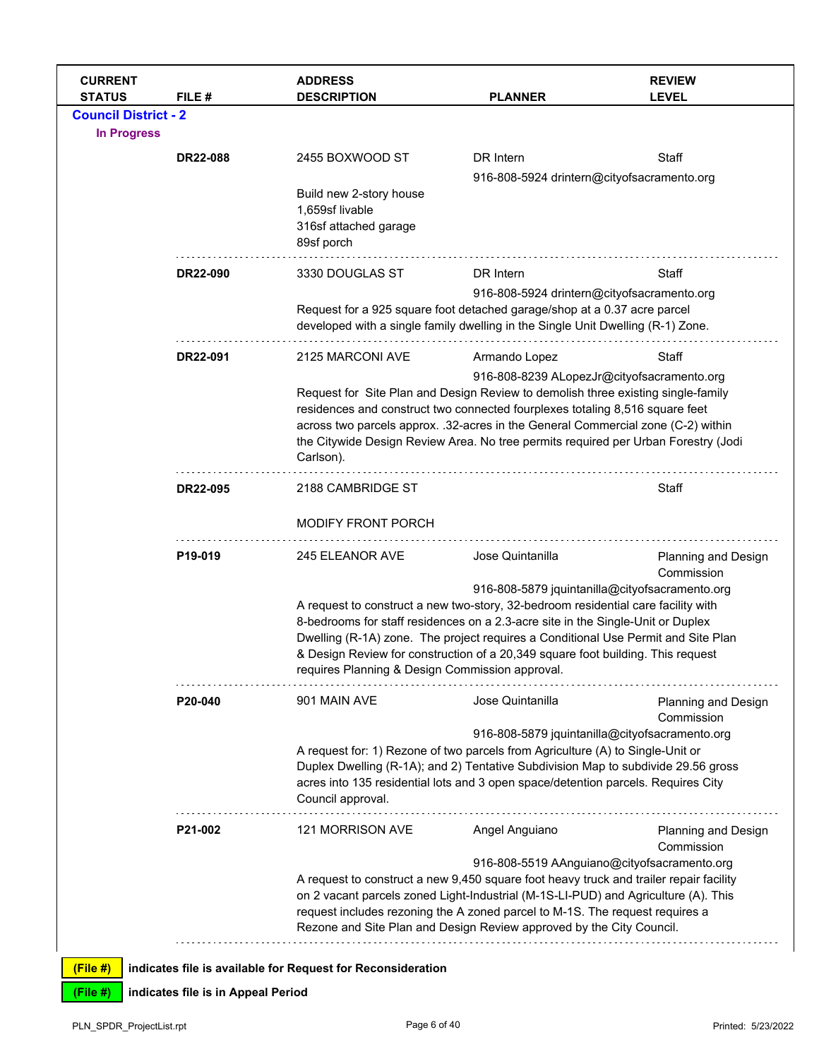| <b>CURRENT</b><br><b>STATUS</b> | FILE#           | <b>ADDRESS</b><br><b>DESCRIPTION</b>                                                                                                                        | <b>PLANNER</b>                                                                                                                                                                                                                                                                                                                                                                                                     | <b>REVIEW</b><br><b>LEVEL</b>               |
|---------------------------------|-----------------|-------------------------------------------------------------------------------------------------------------------------------------------------------------|--------------------------------------------------------------------------------------------------------------------------------------------------------------------------------------------------------------------------------------------------------------------------------------------------------------------------------------------------------------------------------------------------------------------|---------------------------------------------|
| <b>Council District - 2</b>     |                 |                                                                                                                                                             |                                                                                                                                                                                                                                                                                                                                                                                                                    |                                             |
| <b>In Progress</b>              |                 |                                                                                                                                                             |                                                                                                                                                                                                                                                                                                                                                                                                                    |                                             |
|                                 | <b>DR22-088</b> | 2455 BOXWOOD ST                                                                                                                                             | DR Intern                                                                                                                                                                                                                                                                                                                                                                                                          | Staff                                       |
|                                 |                 |                                                                                                                                                             | 916-808-5924 drintern@cityofsacramento.org                                                                                                                                                                                                                                                                                                                                                                         |                                             |
|                                 |                 | Build new 2-story house<br>1,659sf livable<br>316sf attached garage<br>89sf porch                                                                           |                                                                                                                                                                                                                                                                                                                                                                                                                    |                                             |
|                                 | DR22-090        | 3330 DOUGLAS ST                                                                                                                                             | DR Intern                                                                                                                                                                                                                                                                                                                                                                                                          | Staff                                       |
|                                 |                 |                                                                                                                                                             | 916-808-5924 drintern@cityofsacramento.org                                                                                                                                                                                                                                                                                                                                                                         |                                             |
|                                 |                 | Request for a 925 square foot detached garage/shop at a 0.37 acre parcel<br>developed with a single family dwelling in the Single Unit Dwelling (R-1) Zone. |                                                                                                                                                                                                                                                                                                                                                                                                                    |                                             |
|                                 | DR22-091        | 2125 MARCONI AVE                                                                                                                                            | Armando Lopez                                                                                                                                                                                                                                                                                                                                                                                                      | Staff                                       |
|                                 |                 | Carlson).                                                                                                                                                   | 916-808-8239 ALopezJr@cityofsacramento.org<br>Request for Site Plan and Design Review to demolish three existing single-family<br>residences and construct two connected fourplexes totaling 8,516 square feet<br>across two parcels approx. .32-acres in the General Commercial zone (C-2) within<br>the Citywide Design Review Area. No tree permits required per Urban Forestry (Jodi                           |                                             |
|                                 | DR22-095        | 2188 CAMBRIDGE ST                                                                                                                                           |                                                                                                                                                                                                                                                                                                                                                                                                                    | Staff                                       |
|                                 |                 | <b>MODIFY FRONT PORCH</b>                                                                                                                                   |                                                                                                                                                                                                                                                                                                                                                                                                                    |                                             |
|                                 | P19-019         | 245 ELEANOR AVE<br>requires Planning & Design Commission approval.                                                                                          | Jose Quintanilla<br>916-808-5879 jquintanilla@cityofsacramento.org<br>A request to construct a new two-story, 32-bedroom residential care facility with<br>8-bedrooms for staff residences on a 2.3-acre site in the Single-Unit or Duplex<br>Dwelling (R-1A) zone. The project requires a Conditional Use Permit and Site Plan<br>& Design Review for construction of a 20,349 square foot building. This request | Planning and Design<br>Commission           |
|                                 | P20-040         | 901 MAIN AVE                                                                                                                                                | Jose Quintanilla                                                                                                                                                                                                                                                                                                                                                                                                   | Planning and Design                         |
|                                 |                 | Council approval.                                                                                                                                           | 916-808-5879 jquintanilla@cityofsacramento.org<br>A request for: 1) Rezone of two parcels from Agriculture (A) to Single-Unit or<br>Duplex Dwelling (R-1A); and 2) Tentative Subdivision Map to subdivide 29.56 gross<br>acres into 135 residential lots and 3 open space/detention parcels. Requires City                                                                                                         | Commission                                  |
|                                 | P21-002         | 121 MORRISON AVE                                                                                                                                            | Angel Anguiano                                                                                                                                                                                                                                                                                                                                                                                                     | Planning and Design<br>Commission           |
|                                 |                 |                                                                                                                                                             | A request to construct a new 9,450 square foot heavy truck and trailer repair facility<br>on 2 vacant parcels zoned Light-Industrial (M-1S-LI-PUD) and Agriculture (A). This<br>request includes rezoning the A zoned parcel to M-1S. The request requires a<br>Rezone and Site Plan and Design Review approved by the City Council.                                                                               | 916-808-5519 AAnguiano@cityofsacramento.org |
| (File #)                        |                 | indicates file is available for Request for Reconsideration                                                                                                 |                                                                                                                                                                                                                                                                                                                                                                                                                    |                                             |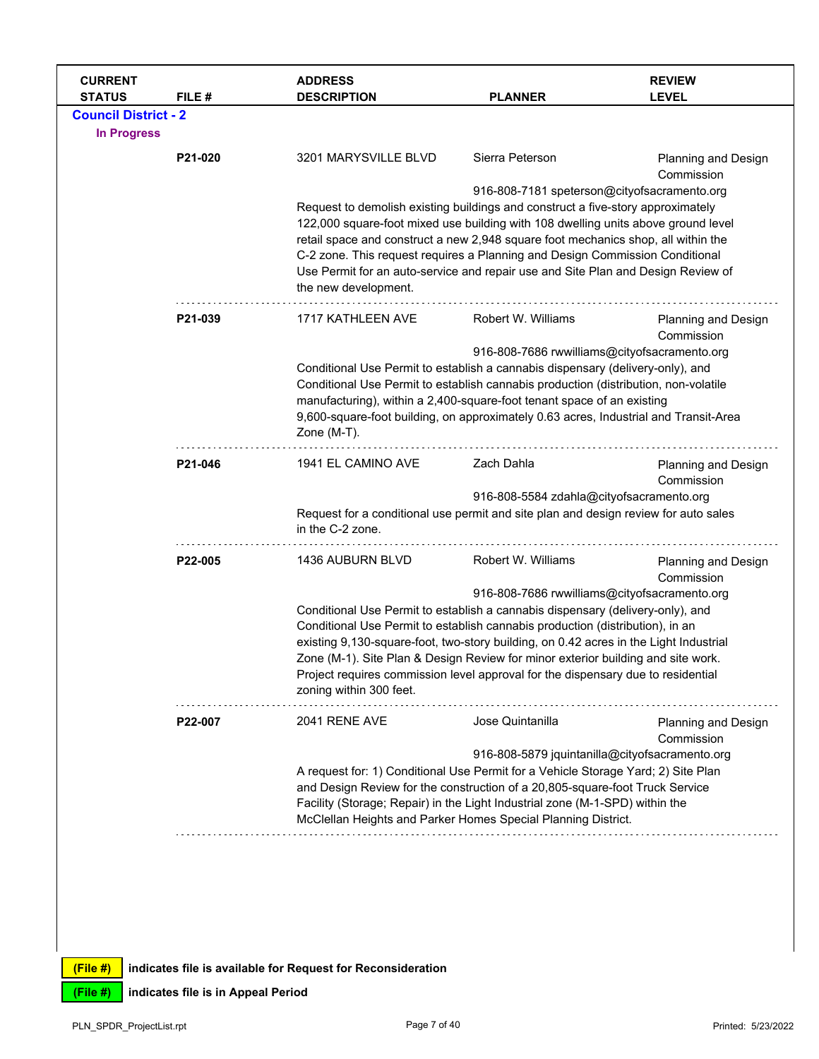| <b>CURRENT</b><br><b>STATUS</b> | FILE #  | <b>ADDRESS</b><br><b>DESCRIPTION</b> | <b>PLANNER</b>                                                                                                                                                                                                                                        | <b>REVIEW</b><br><b>LEVEL</b>     |  |  |
|---------------------------------|---------|--------------------------------------|-------------------------------------------------------------------------------------------------------------------------------------------------------------------------------------------------------------------------------------------------------|-----------------------------------|--|--|
| <b>Council District - 2</b>     |         |                                      |                                                                                                                                                                                                                                                       |                                   |  |  |
| <b>In Progress</b>              |         |                                      |                                                                                                                                                                                                                                                       |                                   |  |  |
|                                 | P21-020 | 3201 MARYSVILLE BLVD                 | Sierra Peterson                                                                                                                                                                                                                                       | Planning and Design<br>Commission |  |  |
|                                 |         |                                      | 916-808-7181 speterson@cityofsacramento.org                                                                                                                                                                                                           |                                   |  |  |
|                                 |         |                                      | Request to demolish existing buildings and construct a five-story approximately                                                                                                                                                                       |                                   |  |  |
|                                 |         |                                      | 122,000 square-foot mixed use building with 108 dwelling units above ground level                                                                                                                                                                     |                                   |  |  |
|                                 |         |                                      | retail space and construct a new 2,948 square foot mechanics shop, all within the<br>C-2 zone. This request requires a Planning and Design Commission Conditional<br>Use Permit for an auto-service and repair use and Site Plan and Design Review of |                                   |  |  |
|                                 |         |                                      |                                                                                                                                                                                                                                                       |                                   |  |  |
|                                 |         | the new development.                 |                                                                                                                                                                                                                                                       |                                   |  |  |
|                                 | P21-039 | 1717 KATHLEEN AVE                    | Robert W. Williams                                                                                                                                                                                                                                    | Planning and Design<br>Commission |  |  |
|                                 |         |                                      | 916-808-7686 rwwilliams@cityofsacramento.org                                                                                                                                                                                                          |                                   |  |  |
|                                 |         |                                      | Conditional Use Permit to establish a cannabis dispensary (delivery-only), and                                                                                                                                                                        |                                   |  |  |
|                                 |         |                                      | Conditional Use Permit to establish cannabis production (distribution, non-volatile                                                                                                                                                                   |                                   |  |  |
|                                 |         |                                      | manufacturing), within a 2,400-square-foot tenant space of an existing<br>9,600-square-foot building, on approximately 0.63 acres, Industrial and Transit-Area                                                                                        |                                   |  |  |
|                                 |         | Zone (M-T).                          |                                                                                                                                                                                                                                                       |                                   |  |  |
|                                 | P21-046 | 1941 EL CAMINO AVE                   | Zach Dahla                                                                                                                                                                                                                                            | Planning and Design               |  |  |
|                                 |         |                                      |                                                                                                                                                                                                                                                       | Commission                        |  |  |
|                                 |         |                                      | 916-808-5584 zdahla@cityofsacramento.org<br>Request for a conditional use permit and site plan and design review for auto sales                                                                                                                       |                                   |  |  |
|                                 |         | in the C-2 zone.                     |                                                                                                                                                                                                                                                       |                                   |  |  |
|                                 | P22-005 | 1436 AUBURN BLVD                     | Robert W. Williams                                                                                                                                                                                                                                    | Planning and Design<br>Commission |  |  |
|                                 |         |                                      | 916-808-7686 rwwilliams@cityofsacramento.org                                                                                                                                                                                                          |                                   |  |  |
|                                 |         |                                      | Conditional Use Permit to establish a cannabis dispensary (delivery-only), and                                                                                                                                                                        |                                   |  |  |
|                                 |         |                                      | Conditional Use Permit to establish cannabis production (distribution), in an<br>existing 9,130-square-foot, two-story building, on 0.42 acres in the Light Industrial                                                                                |                                   |  |  |
|                                 |         |                                      |                                                                                                                                                                                                                                                       |                                   |  |  |
|                                 |         |                                      | Zone (M-1). Site Plan & Design Review for minor exterior building and site work.<br>Project requires commission level approval for the dispensary due to residential                                                                                  |                                   |  |  |
|                                 |         | zoning within 300 feet.              |                                                                                                                                                                                                                                                       |                                   |  |  |
|                                 | P22-007 | 2041 RENE AVE                        | Jose Quintanilla                                                                                                                                                                                                                                      | <b>Planning and Design</b>        |  |  |
|                                 |         |                                      | 916-808-5879 jquintanilla@cityofsacramento.org                                                                                                                                                                                                        | Commission                        |  |  |
|                                 |         |                                      | A request for: 1) Conditional Use Permit for a Vehicle Storage Yard; 2) Site Plan                                                                                                                                                                     |                                   |  |  |
|                                 |         |                                      | and Design Review for the construction of a 20,805-square-foot Truck Service                                                                                                                                                                          |                                   |  |  |
|                                 |         |                                      | Facility (Storage; Repair) in the Light Industrial zone (M-1-SPD) within the                                                                                                                                                                          |                                   |  |  |
|                                 |         |                                      | McClellan Heights and Parker Homes Special Planning District.                                                                                                                                                                                         |                                   |  |  |
|                                 |         |                                      |                                                                                                                                                                                                                                                       |                                   |  |  |
|                                 |         |                                      |                                                                                                                                                                                                                                                       |                                   |  |  |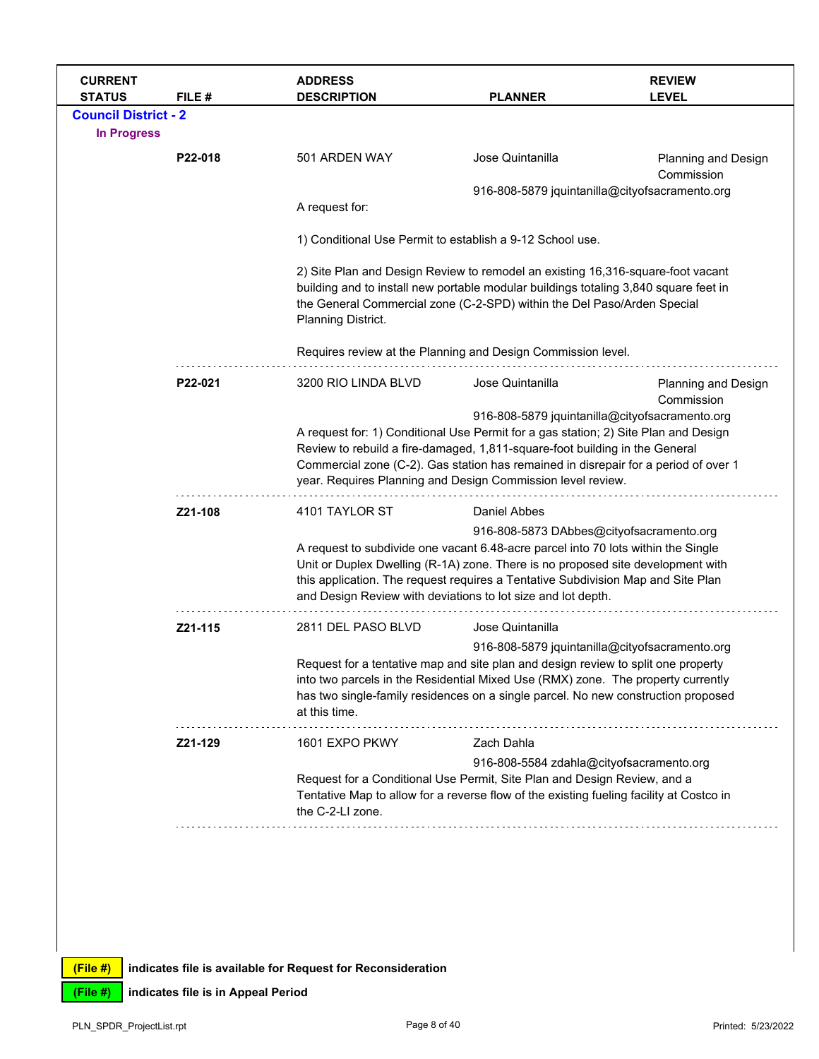| <b>CURRENT</b><br><b>STATUS</b>                   | FILE#                                                                                                                                                                                                                                                                                                                                                                | <b>ADDRESS</b><br><b>DESCRIPTION</b>                                                                                                                                                                                                                                                                                          | <b>PLANNER</b>                                                                                                                                                                                                                                     | <b>REVIEW</b><br><b>LEVEL</b>                                                                                                                                                                                                                                                                               |  |
|---------------------------------------------------|----------------------------------------------------------------------------------------------------------------------------------------------------------------------------------------------------------------------------------------------------------------------------------------------------------------------------------------------------------------------|-------------------------------------------------------------------------------------------------------------------------------------------------------------------------------------------------------------------------------------------------------------------------------------------------------------------------------|----------------------------------------------------------------------------------------------------------------------------------------------------------------------------------------------------------------------------------------------------|-------------------------------------------------------------------------------------------------------------------------------------------------------------------------------------------------------------------------------------------------------------------------------------------------------------|--|
| <b>Council District - 2</b><br><b>In Progress</b> |                                                                                                                                                                                                                                                                                                                                                                      |                                                                                                                                                                                                                                                                                                                               |                                                                                                                                                                                                                                                    |                                                                                                                                                                                                                                                                                                             |  |
|                                                   | P22-018                                                                                                                                                                                                                                                                                                                                                              | 501 ARDEN WAY                                                                                                                                                                                                                                                                                                                 | Jose Quintanilla                                                                                                                                                                                                                                   | <b>Planning and Design</b><br>Commission                                                                                                                                                                                                                                                                    |  |
|                                                   |                                                                                                                                                                                                                                                                                                                                                                      | A request for:                                                                                                                                                                                                                                                                                                                | 916-808-5879 jquintanilla@cityofsacramento.org                                                                                                                                                                                                     |                                                                                                                                                                                                                                                                                                             |  |
|                                                   |                                                                                                                                                                                                                                                                                                                                                                      | 1) Conditional Use Permit to establish a 9-12 School use.                                                                                                                                                                                                                                                                     |                                                                                                                                                                                                                                                    |                                                                                                                                                                                                                                                                                                             |  |
|                                                   |                                                                                                                                                                                                                                                                                                                                                                      | Planning District.                                                                                                                                                                                                                                                                                                            | 2) Site Plan and Design Review to remodel an existing 16,316-square-foot vacant<br>building and to install new portable modular buildings totaling 3,840 square feet in<br>the General Commercial zone (C-2-SPD) within the Del Paso/Arden Special |                                                                                                                                                                                                                                                                                                             |  |
|                                                   |                                                                                                                                                                                                                                                                                                                                                                      |                                                                                                                                                                                                                                                                                                                               | Requires review at the Planning and Design Commission level.                                                                                                                                                                                       |                                                                                                                                                                                                                                                                                                             |  |
|                                                   | P22-021                                                                                                                                                                                                                                                                                                                                                              | 3200 RIO LINDA BLVD                                                                                                                                                                                                                                                                                                           | Jose Quintanilla                                                                                                                                                                                                                                   | <b>Planning and Design</b><br>Commission                                                                                                                                                                                                                                                                    |  |
|                                                   | year. Requires Planning and Design Commission level review.                                                                                                                                                                                                                                                                                                          |                                                                                                                                                                                                                                                                                                                               |                                                                                                                                                                                                                                                    | 916-808-5879 jquintanilla@cityofsacramento.org<br>A request for: 1) Conditional Use Permit for a gas station; 2) Site Plan and Design<br>Review to rebuild a fire-damaged, 1,811-square-foot building in the General<br>Commercial zone (C-2). Gas station has remained in disrepair for a period of over 1 |  |
|                                                   | Z21-108                                                                                                                                                                                                                                                                                                                                                              | 4101 TAYLOR ST                                                                                                                                                                                                                                                                                                                | <b>Daniel Abbes</b>                                                                                                                                                                                                                                |                                                                                                                                                                                                                                                                                                             |  |
|                                                   | 916-808-5873 DAbbes@cityofsacramento.org<br>A request to subdivide one vacant 6.48-acre parcel into 70 lots within the Single<br>Unit or Duplex Dwelling (R-1A) zone. There is no proposed site development with<br>this application. The request requires a Tentative Subdivision Map and Site Plan<br>and Design Review with deviations to lot size and lot depth. |                                                                                                                                                                                                                                                                                                                               |                                                                                                                                                                                                                                                    |                                                                                                                                                                                                                                                                                                             |  |
|                                                   | Z21-115                                                                                                                                                                                                                                                                                                                                                              | 2811 DEL PASO BLVD                                                                                                                                                                                                                                                                                                            | Jose Quintanilla                                                                                                                                                                                                                                   |                                                                                                                                                                                                                                                                                                             |  |
|                                                   |                                                                                                                                                                                                                                                                                                                                                                      | 916-808-5879 jquintanilla@cityofsacramento.org<br>Request for a tentative map and site plan and design review to split one property<br>into two parcels in the Residential Mixed Use (RMX) zone. The property currently<br>has two single-family residences on a single parcel. No new construction proposed<br>at this time. |                                                                                                                                                                                                                                                    |                                                                                                                                                                                                                                                                                                             |  |
|                                                   | Z21-129                                                                                                                                                                                                                                                                                                                                                              | 1601 EXPO PKWY                                                                                                                                                                                                                                                                                                                | Zach Dahla                                                                                                                                                                                                                                         |                                                                                                                                                                                                                                                                                                             |  |
|                                                   |                                                                                                                                                                                                                                                                                                                                                                      | the C-2-LI zone.                                                                                                                                                                                                                                                                                                              | 916-808-5584 zdahla@cityofsacramento.org<br>Request for a Conditional Use Permit, Site Plan and Design Review, and a<br>Tentative Map to allow for a reverse flow of the existing fueling facility at Costco in                                    |                                                                                                                                                                                                                                                                                                             |  |
|                                                   |                                                                                                                                                                                                                                                                                                                                                                      |                                                                                                                                                                                                                                                                                                                               |                                                                                                                                                                                                                                                    |                                                                                                                                                                                                                                                                                                             |  |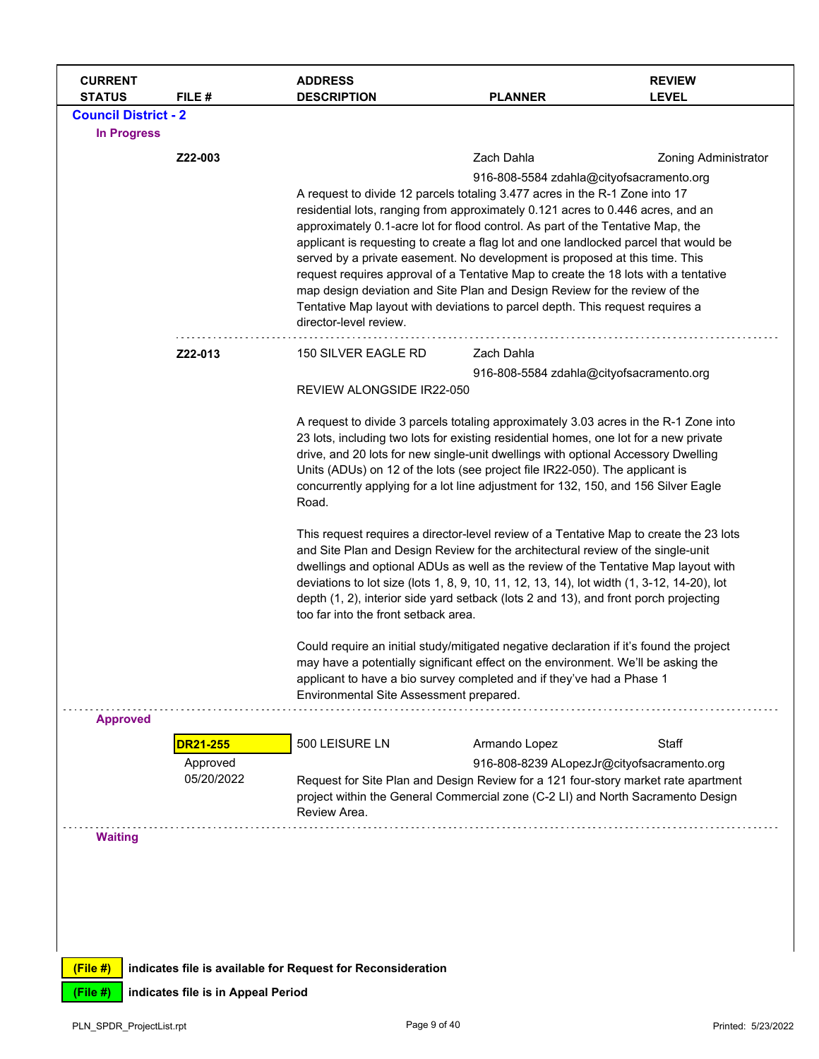| <b>CURRENT</b><br><b>STATUS</b> | FILE#                              | <b>ADDRESS</b><br><b>DESCRIPTION</b>                                                                                                                                             | <b>PLANNER</b>                                                                                                                                                     | <b>REVIEW</b><br><b>LEVEL</b>                                                      |  |  |
|---------------------------------|------------------------------------|----------------------------------------------------------------------------------------------------------------------------------------------------------------------------------|--------------------------------------------------------------------------------------------------------------------------------------------------------------------|------------------------------------------------------------------------------------|--|--|
| <b>Council District - 2</b>     |                                    |                                                                                                                                                                                  |                                                                                                                                                                    |                                                                                    |  |  |
| In Progress                     |                                    |                                                                                                                                                                                  |                                                                                                                                                                    |                                                                                    |  |  |
|                                 | Z22-003                            |                                                                                                                                                                                  | Zach Dahla                                                                                                                                                         | Zoning Administrator                                                               |  |  |
|                                 |                                    |                                                                                                                                                                                  |                                                                                                                                                                    | 916-808-5584 zdahla@cityofsacramento.org                                           |  |  |
|                                 |                                    |                                                                                                                                                                                  | A request to divide 12 parcels totaling 3.477 acres in the R-1 Zone into 17                                                                                        |                                                                                    |  |  |
|                                 |                                    |                                                                                                                                                                                  | residential lots, ranging from approximately 0.121 acres to 0.446 acres, and an<br>approximately 0.1-acre lot for flood control. As part of the Tentative Map, the |                                                                                    |  |  |
|                                 |                                    |                                                                                                                                                                                  | applicant is requesting to create a flag lot and one landlocked parcel that would be                                                                               |                                                                                    |  |  |
|                                 |                                    |                                                                                                                                                                                  | served by a private easement. No development is proposed at this time. This                                                                                        |                                                                                    |  |  |
|                                 |                                    |                                                                                                                                                                                  | request requires approval of a Tentative Map to create the 18 lots with a tentative<br>map design deviation and Site Plan and Design Review for the review of the  |                                                                                    |  |  |
|                                 |                                    |                                                                                                                                                                                  | Tentative Map layout with deviations to parcel depth. This request requires a                                                                                      |                                                                                    |  |  |
|                                 |                                    | director-level review.                                                                                                                                                           |                                                                                                                                                                    |                                                                                    |  |  |
|                                 | Z22-013                            | 150 SILVER EAGLE RD                                                                                                                                                              | Zach Dahla                                                                                                                                                         |                                                                                    |  |  |
|                                 |                                    |                                                                                                                                                                                  |                                                                                                                                                                    | 916-808-5584 zdahla@cityofsacramento.org                                           |  |  |
|                                 |                                    | REVIEW ALONGSIDE IR22-050                                                                                                                                                        |                                                                                                                                                                    |                                                                                    |  |  |
|                                 |                                    |                                                                                                                                                                                  | A request to divide 3 parcels totaling approximately 3.03 acres in the R-1 Zone into                                                                               |                                                                                    |  |  |
|                                 |                                    | 23 lots, including two lots for existing residential homes, one lot for a new private                                                                                            |                                                                                                                                                                    |                                                                                    |  |  |
|                                 |                                    | drive, and 20 lots for new single-unit dwellings with optional Accessory Dwelling<br>Units (ADUs) on 12 of the lots (see project file IR22-050). The applicant is                |                                                                                                                                                                    |                                                                                    |  |  |
|                                 |                                    | concurrently applying for a lot line adjustment for 132, 150, and 156 Silver Eagle                                                                                               |                                                                                                                                                                    |                                                                                    |  |  |
|                                 |                                    | Road.                                                                                                                                                                            |                                                                                                                                                                    |                                                                                    |  |  |
|                                 |                                    | This request requires a director-level review of a Tentative Map to create the 23 lots                                                                                           |                                                                                                                                                                    |                                                                                    |  |  |
|                                 |                                    | and Site Plan and Design Review for the architectural review of the single-unit                                                                                                  |                                                                                                                                                                    |                                                                                    |  |  |
|                                 |                                    | dwellings and optional ADUs as well as the review of the Tentative Map layout with<br>deviations to lot size (lots 1, 8, 9, 10, 11, 12, 13, 14), lot width (1, 3-12, 14-20), lot |                                                                                                                                                                    |                                                                                    |  |  |
|                                 |                                    | depth (1, 2), interior side yard setback (lots 2 and 13), and front porch projecting                                                                                             |                                                                                                                                                                    |                                                                                    |  |  |
|                                 |                                    | too far into the front setback area.                                                                                                                                             |                                                                                                                                                                    |                                                                                    |  |  |
|                                 |                                    | Could require an initial study/mitigated negative declaration if it's found the project                                                                                          |                                                                                                                                                                    |                                                                                    |  |  |
|                                 |                                    | may have a potentially significant effect on the environment. We'll be asking the                                                                                                |                                                                                                                                                                    |                                                                                    |  |  |
|                                 |                                    | applicant to have a bio survey completed and if they've had a Phase 1<br>Environmental Site Assessment prepared.                                                                 |                                                                                                                                                                    |                                                                                    |  |  |
| <b>Approved</b>                 |                                    |                                                                                                                                                                                  |                                                                                                                                                                    |                                                                                    |  |  |
|                                 |                                    | 500 LEISURE LN                                                                                                                                                                   |                                                                                                                                                                    | Staff                                                                              |  |  |
|                                 | <b>DR21-255</b><br>Approved        |                                                                                                                                                                                  | Armando Lopez                                                                                                                                                      | 916-808-8239 ALopezJr@cityofsacramento.org                                         |  |  |
|                                 | 05/20/2022                         |                                                                                                                                                                                  |                                                                                                                                                                    | Request for Site Plan and Design Review for a 121 four-story market rate apartment |  |  |
|                                 |                                    | Review Area.                                                                                                                                                                     | project within the General Commercial zone (C-2 LI) and North Sacramento Design                                                                                    |                                                                                    |  |  |
|                                 |                                    |                                                                                                                                                                                  |                                                                                                                                                                    |                                                                                    |  |  |
| <b>Waiting</b>                  |                                    |                                                                                                                                                                                  |                                                                                                                                                                    |                                                                                    |  |  |
|                                 |                                    |                                                                                                                                                                                  |                                                                                                                                                                    |                                                                                    |  |  |
|                                 |                                    |                                                                                                                                                                                  |                                                                                                                                                                    |                                                                                    |  |  |
|                                 |                                    |                                                                                                                                                                                  |                                                                                                                                                                    |                                                                                    |  |  |
|                                 |                                    |                                                                                                                                                                                  |                                                                                                                                                                    |                                                                                    |  |  |
| (File#)                         |                                    | indicates file is available for Request for Reconsideration                                                                                                                      |                                                                                                                                                                    |                                                                                    |  |  |
| (File #)                        | indicates file is in Appeal Period |                                                                                                                                                                                  |                                                                                                                                                                    |                                                                                    |  |  |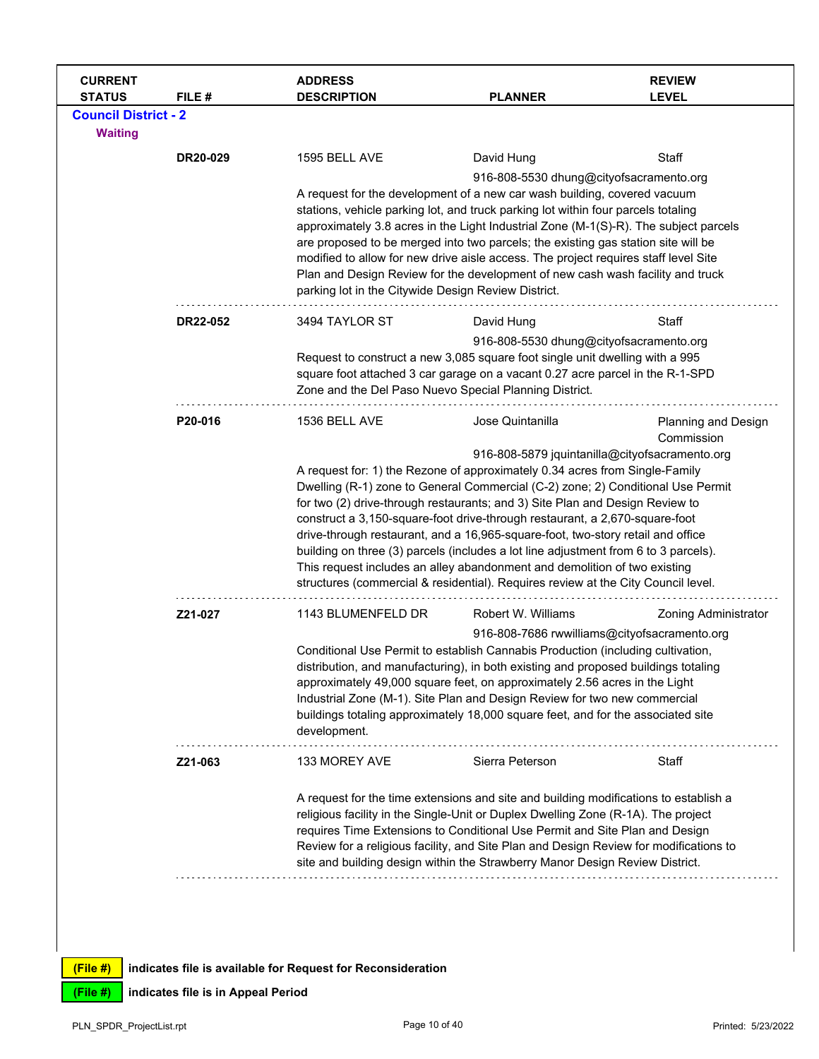| 1595 BELL AVE<br>DR20-029<br>3494 TAYLOR ST<br>DR22-052<br>1536 BELL AVE<br>P20-016 | David Hung<br>A request for the development of a new car wash building, covered vacuum<br>stations, vehicle parking lot, and truck parking lot within four parcels totaling<br>approximately 3.8 acres in the Light Industrial Zone (M-1(S)-R). The subject parcels<br>are proposed to be merged into two parcels; the existing gas station site will be<br>modified to allow for new drive aisle access. The project requires staff level Site<br>Plan and Design Review for the development of new cash wash facility and truck<br>parking lot in the Citywide Design Review District.<br>David Hung<br>Request to construct a new 3,085 square foot single unit dwelling with a 995<br>square foot attached 3 car garage on a vacant 0.27 acre parcel in the R-1-SPD<br>Zone and the Del Paso Nuevo Special Planning District.<br>Jose Quintanilla<br>A request for: 1) the Rezone of approximately 0.34 acres from Single-Family<br>Dwelling (R-1) zone to General Commercial (C-2) zone; 2) Conditional Use Permit<br>for two (2) drive-through restaurants; and 3) Site Plan and Design Review to<br>construct a 3,150-square-foot drive-through restaurant, a 2,670-square-foot | Staff<br>916-808-5530 dhung@cityofsacramento.org<br>Staff<br>916-808-5530 dhung@cityofsacramento.org<br><b>Planning and Design</b><br>Commission<br>916-808-5879 jquintanilla@cityofsacramento.org                                                                                                                                                                                                                                                                                                                                     |
|-------------------------------------------------------------------------------------|----------------------------------------------------------------------------------------------------------------------------------------------------------------------------------------------------------------------------------------------------------------------------------------------------------------------------------------------------------------------------------------------------------------------------------------------------------------------------------------------------------------------------------------------------------------------------------------------------------------------------------------------------------------------------------------------------------------------------------------------------------------------------------------------------------------------------------------------------------------------------------------------------------------------------------------------------------------------------------------------------------------------------------------------------------------------------------------------------------------------------------------------------------------------------------------|----------------------------------------------------------------------------------------------------------------------------------------------------------------------------------------------------------------------------------------------------------------------------------------------------------------------------------------------------------------------------------------------------------------------------------------------------------------------------------------------------------------------------------------|
|                                                                                     |                                                                                                                                                                                                                                                                                                                                                                                                                                                                                                                                                                                                                                                                                                                                                                                                                                                                                                                                                                                                                                                                                                                                                                                        |                                                                                                                                                                                                                                                                                                                                                                                                                                                                                                                                        |
|                                                                                     |                                                                                                                                                                                                                                                                                                                                                                                                                                                                                                                                                                                                                                                                                                                                                                                                                                                                                                                                                                                                                                                                                                                                                                                        |                                                                                                                                                                                                                                                                                                                                                                                                                                                                                                                                        |
|                                                                                     |                                                                                                                                                                                                                                                                                                                                                                                                                                                                                                                                                                                                                                                                                                                                                                                                                                                                                                                                                                                                                                                                                                                                                                                        |                                                                                                                                                                                                                                                                                                                                                                                                                                                                                                                                        |
|                                                                                     |                                                                                                                                                                                                                                                                                                                                                                                                                                                                                                                                                                                                                                                                                                                                                                                                                                                                                                                                                                                                                                                                                                                                                                                        |                                                                                                                                                                                                                                                                                                                                                                                                                                                                                                                                        |
|                                                                                     |                                                                                                                                                                                                                                                                                                                                                                                                                                                                                                                                                                                                                                                                                                                                                                                                                                                                                                                                                                                                                                                                                                                                                                                        |                                                                                                                                                                                                                                                                                                                                                                                                                                                                                                                                        |
|                                                                                     |                                                                                                                                                                                                                                                                                                                                                                                                                                                                                                                                                                                                                                                                                                                                                                                                                                                                                                                                                                                                                                                                                                                                                                                        |                                                                                                                                                                                                                                                                                                                                                                                                                                                                                                                                        |
|                                                                                     | building on three (3) parcels (includes a lot line adjustment from 6 to 3 parcels).<br>This request includes an alley abandonment and demolition of two existing<br>structures (commercial & residential). Requires review at the City Council level.                                                                                                                                                                                                                                                                                                                                                                                                                                                                                                                                                                                                                                                                                                                                                                                                                                                                                                                                  | drive-through restaurant, and a 16,965-square-foot, two-story retail and office                                                                                                                                                                                                                                                                                                                                                                                                                                                        |
| Z21-027<br>1143 BLUMENFELD DR                                                       | Robert W. Williams                                                                                                                                                                                                                                                                                                                                                                                                                                                                                                                                                                                                                                                                                                                                                                                                                                                                                                                                                                                                                                                                                                                                                                     | <b>Zoning Administrator</b>                                                                                                                                                                                                                                                                                                                                                                                                                                                                                                            |
| development.                                                                        | Conditional Use Permit to establish Cannabis Production (including cultivation,<br>distribution, and manufacturing), in both existing and proposed buildings totaling<br>approximately 49,000 square feet, on approximately 2.56 acres in the Light<br>Industrial Zone (M-1). Site Plan and Design Review for two new commercial                                                                                                                                                                                                                                                                                                                                                                                                                                                                                                                                                                                                                                                                                                                                                                                                                                                       | 916-808-7686 rwwilliams@cityofsacramento.org                                                                                                                                                                                                                                                                                                                                                                                                                                                                                           |
|                                                                                     | Sierra Peterson                                                                                                                                                                                                                                                                                                                                                                                                                                                                                                                                                                                                                                                                                                                                                                                                                                                                                                                                                                                                                                                                                                                                                                        | Staff                                                                                                                                                                                                                                                                                                                                                                                                                                                                                                                                  |
|                                                                                     |                                                                                                                                                                                                                                                                                                                                                                                                                                                                                                                                                                                                                                                                                                                                                                                                                                                                                                                                                                                                                                                                                                                                                                                        |                                                                                                                                                                                                                                                                                                                                                                                                                                                                                                                                        |
|                                                                                     | Z21-063                                                                                                                                                                                                                                                                                                                                                                                                                                                                                                                                                                                                                                                                                                                                                                                                                                                                                                                                                                                                                                                                                                                                                                                | buildings totaling approximately 18,000 square feet, and for the associated site<br>133 MOREY AVE<br>A request for the time extensions and site and building modifications to establish a<br>religious facility in the Single-Unit or Duplex Dwelling Zone (R-1A). The project<br>requires Time Extensions to Conditional Use Permit and Site Plan and Design<br>Review for a religious facility, and Site Plan and Design Review for modifications to<br>site and building design within the Strawberry Manor Design Review District. |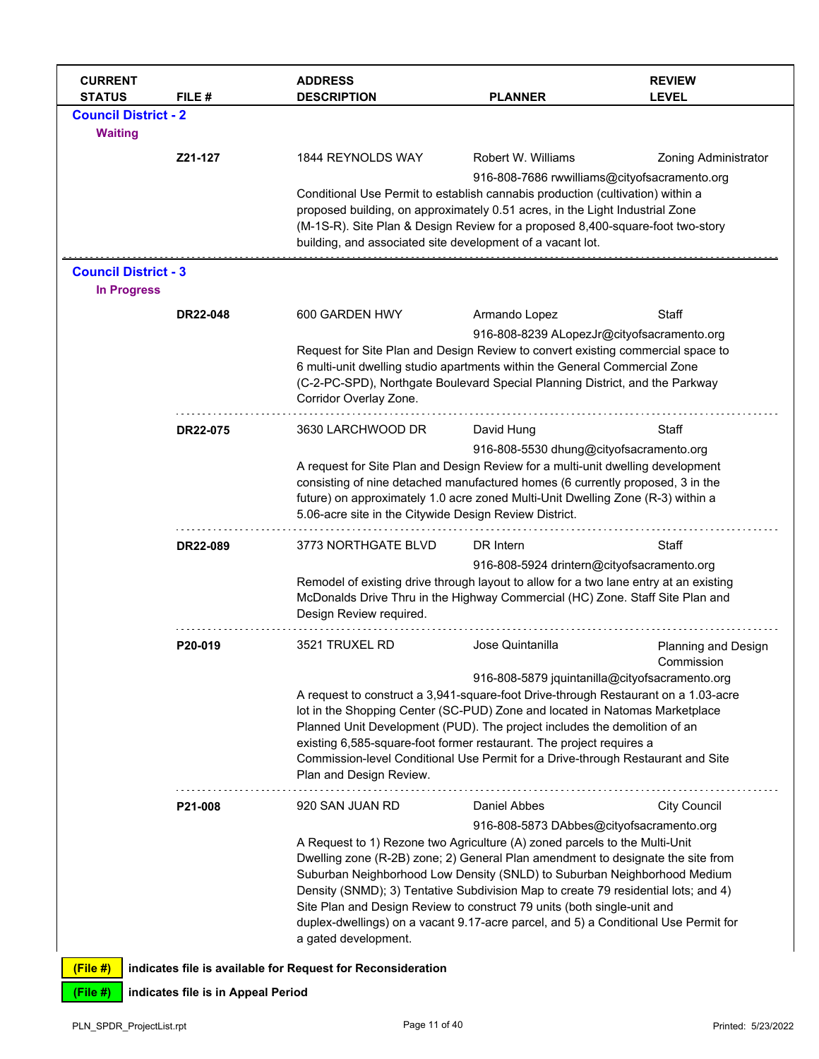| <b>CURRENT</b><br><b>STATUS</b>                   | FILE #                             | <b>ADDRESS</b><br><b>DESCRIPTION</b>                                                                                                                                                                                                                                                                                                                                                                                                                                                                                      | <b>PLANNER</b>                                                                                                                                                                                                                                                                                                                                                                                                                                              | <b>REVIEW</b><br><b>LEVEL</b>     |
|---------------------------------------------------|------------------------------------|---------------------------------------------------------------------------------------------------------------------------------------------------------------------------------------------------------------------------------------------------------------------------------------------------------------------------------------------------------------------------------------------------------------------------------------------------------------------------------------------------------------------------|-------------------------------------------------------------------------------------------------------------------------------------------------------------------------------------------------------------------------------------------------------------------------------------------------------------------------------------------------------------------------------------------------------------------------------------------------------------|-----------------------------------|
| <b>Council District - 2</b><br><b>Waiting</b>     |                                    |                                                                                                                                                                                                                                                                                                                                                                                                                                                                                                                           |                                                                                                                                                                                                                                                                                                                                                                                                                                                             |                                   |
|                                                   | Z21-127                            | 1844 REYNOLDS WAY                                                                                                                                                                                                                                                                                                                                                                                                                                                                                                         | Robert W. Williams<br>916-808-7686 rwwilliams@cityofsacramento.org                                                                                                                                                                                                                                                                                                                                                                                          | <b>Zoning Administrator</b>       |
|                                                   |                                    | Conditional Use Permit to establish cannabis production (cultivation) within a<br>proposed building, on approximately 0.51 acres, in the Light Industrial Zone<br>(M-1S-R). Site Plan & Design Review for a proposed 8,400-square-foot two-story<br>building, and associated site development of a vacant lot.                                                                                                                                                                                                            |                                                                                                                                                                                                                                                                                                                                                                                                                                                             |                                   |
| <b>Council District - 3</b><br><b>In Progress</b> |                                    |                                                                                                                                                                                                                                                                                                                                                                                                                                                                                                                           |                                                                                                                                                                                                                                                                                                                                                                                                                                                             |                                   |
|                                                   | <b>DR22-048</b>                    | 600 GARDEN HWY                                                                                                                                                                                                                                                                                                                                                                                                                                                                                                            | Armando Lopez                                                                                                                                                                                                                                                                                                                                                                                                                                               | Staff                             |
|                                                   |                                    | Request for Site Plan and Design Review to convert existing commercial space to<br>6 multi-unit dwelling studio apartments within the General Commercial Zone<br>(C-2-PC-SPD), Northgate Boulevard Special Planning District, and the Parkway<br>Corridor Overlay Zone.                                                                                                                                                                                                                                                   | 916-808-8239 ALopezJr@cityofsacramento.org                                                                                                                                                                                                                                                                                                                                                                                                                  |                                   |
|                                                   | DR22-075                           | 3630 LARCHWOOD DR                                                                                                                                                                                                                                                                                                                                                                                                                                                                                                         | David Hung                                                                                                                                                                                                                                                                                                                                                                                                                                                  | Staff                             |
|                                                   |                                    | 5.06-acre site in the Citywide Design Review District.                                                                                                                                                                                                                                                                                                                                                                                                                                                                    | 916-808-5530 dhung@cityofsacramento.org<br>A request for Site Plan and Design Review for a multi-unit dwelling development<br>consisting of nine detached manufactured homes (6 currently proposed, 3 in the<br>future) on approximately 1.0 acre zoned Multi-Unit Dwelling Zone (R-3) within a                                                                                                                                                             |                                   |
|                                                   | DR22-089                           | 3773 NORTHGATE BLVD                                                                                                                                                                                                                                                                                                                                                                                                                                                                                                       | DR Intern                                                                                                                                                                                                                                                                                                                                                                                                                                                   | Staff                             |
|                                                   |                                    | Remodel of existing drive through layout to allow for a two lane entry at an existing<br>McDonalds Drive Thru in the Highway Commercial (HC) Zone. Staff Site Plan and<br>Design Review required.                                                                                                                                                                                                                                                                                                                         | 916-808-5924 drintern@cityofsacramento.org                                                                                                                                                                                                                                                                                                                                                                                                                  |                                   |
|                                                   | P20-019                            | 3521 TRUXEL RD                                                                                                                                                                                                                                                                                                                                                                                                                                                                                                            | Jose Quintanilla                                                                                                                                                                                                                                                                                                                                                                                                                                            | Planning and Design<br>Commission |
|                                                   |                                    | Plan and Design Review.                                                                                                                                                                                                                                                                                                                                                                                                                                                                                                   | 916-808-5879 jquintanilla@cityofsacramento.org<br>A request to construct a 3,941-square-foot Drive-through Restaurant on a 1.03-acre<br>lot in the Shopping Center (SC-PUD) Zone and located in Natomas Marketplace<br>Planned Unit Development (PUD). The project includes the demolition of an<br>existing 6,585-square-foot former restaurant. The project requires a<br>Commission-level Conditional Use Permit for a Drive-through Restaurant and Site |                                   |
|                                                   | P21-008                            | 920 SAN JUAN RD                                                                                                                                                                                                                                                                                                                                                                                                                                                                                                           | Daniel Abbes                                                                                                                                                                                                                                                                                                                                                                                                                                                | <b>City Council</b>               |
|                                                   |                                    | A Request to 1) Rezone two Agriculture (A) zoned parcels to the Multi-Unit<br>Dwelling zone (R-2B) zone; 2) General Plan amendment to designate the site from<br>Suburban Neighborhood Low Density (SNLD) to Suburban Neighborhood Medium<br>Density (SNMD); 3) Tentative Subdivision Map to create 79 residential lots; and 4)<br>Site Plan and Design Review to construct 79 units (both single-unit and<br>duplex-dwellings) on a vacant 9.17-acre parcel, and 5) a Conditional Use Permit for<br>a gated development. | 916-808-5873 DAbbes@cityofsacramento.org                                                                                                                                                                                                                                                                                                                                                                                                                    |                                   |
| (File #)                                          |                                    | indicates file is available for Request for Reconsideration                                                                                                                                                                                                                                                                                                                                                                                                                                                               |                                                                                                                                                                                                                                                                                                                                                                                                                                                             |                                   |
| (File #)                                          | indicates file is in Appeal Period |                                                                                                                                                                                                                                                                                                                                                                                                                                                                                                                           |                                                                                                                                                                                                                                                                                                                                                                                                                                                             |                                   |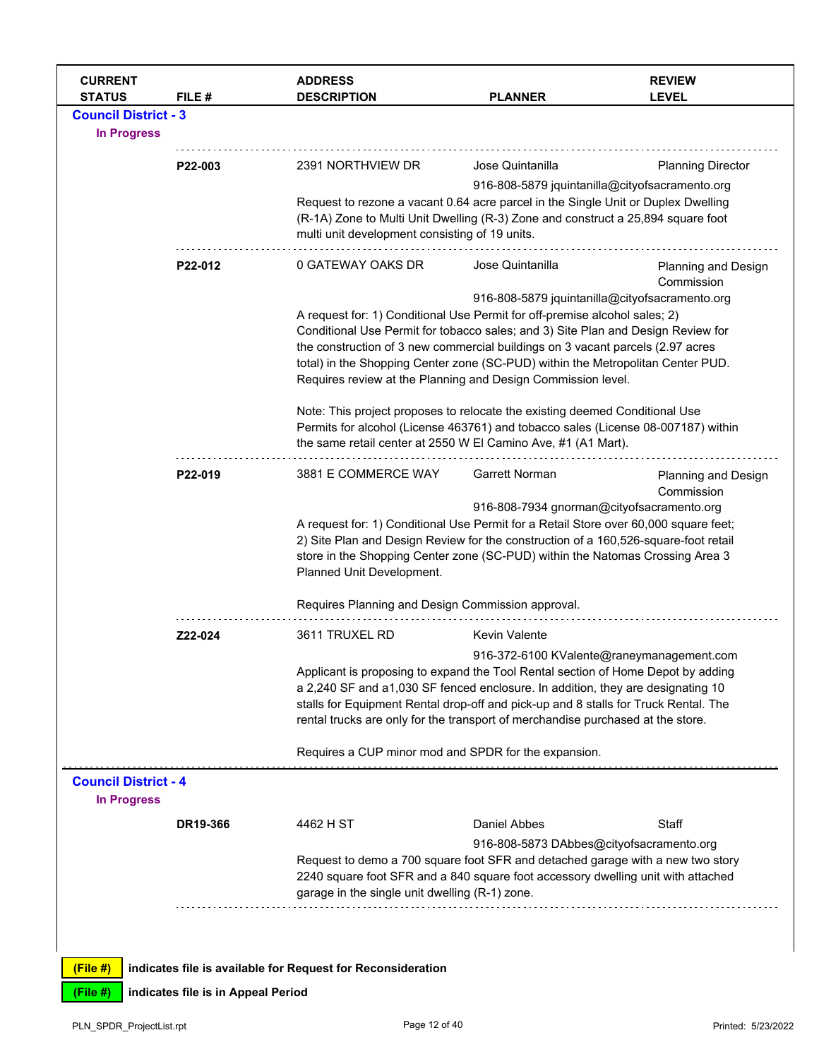| <b>CURRENT</b><br><b>STATUS</b>                   | FILE #                             | <b>ADDRESS</b><br><b>DESCRIPTION</b>                                                                                                                                                                                                                                                                                                                                                                                                                  | <b>PLANNER</b>                                                                                                                                                                                                                                                                                                                                | <b>REVIEW</b><br><b>LEVEL</b>             |  |
|---------------------------------------------------|------------------------------------|-------------------------------------------------------------------------------------------------------------------------------------------------------------------------------------------------------------------------------------------------------------------------------------------------------------------------------------------------------------------------------------------------------------------------------------------------------|-----------------------------------------------------------------------------------------------------------------------------------------------------------------------------------------------------------------------------------------------------------------------------------------------------------------------------------------------|-------------------------------------------|--|
| <b>Council District - 3</b><br><b>In Progress</b> |                                    |                                                                                                                                                                                                                                                                                                                                                                                                                                                       |                                                                                                                                                                                                                                                                                                                                               |                                           |  |
|                                                   | P22-003                            | 2391 NORTHVIEW DR                                                                                                                                                                                                                                                                                                                                                                                                                                     | Jose Quintanilla                                                                                                                                                                                                                                                                                                                              | <b>Planning Director</b>                  |  |
|                                                   |                                    | 916-808-5879 jquintanilla@cityofsacramento.org<br>Request to rezone a vacant 0.64 acre parcel in the Single Unit or Duplex Dwelling<br>(R-1A) Zone to Multi Unit Dwelling (R-3) Zone and construct a 25,894 square foot<br>multi unit development consisting of 19 units.                                                                                                                                                                             |                                                                                                                                                                                                                                                                                                                                               |                                           |  |
|                                                   | P22-012                            | 0 GATEWAY OAKS DR                                                                                                                                                                                                                                                                                                                                                                                                                                     | Jose Quintanilla                                                                                                                                                                                                                                                                                                                              | Planning and Design<br>Commission         |  |
|                                                   |                                    | 916-808-5879 jquintanilla@cityofsacramento.org<br>A request for: 1) Conditional Use Permit for off-premise alcohol sales; 2)<br>Conditional Use Permit for tobacco sales; and 3) Site Plan and Design Review for<br>the construction of 3 new commercial buildings on 3 vacant parcels (2.97 acres<br>total) in the Shopping Center zone (SC-PUD) within the Metropolitan Center PUD.<br>Requires review at the Planning and Design Commission level. |                                                                                                                                                                                                                                                                                                                                               |                                           |  |
|                                                   |                                    | Note: This project proposes to relocate the existing deemed Conditional Use<br>Permits for alcohol (License 463761) and tobacco sales (License 08-007187) within<br>the same retail center at 2550 W El Camino Ave, #1 (A1 Mart).                                                                                                                                                                                                                     |                                                                                                                                                                                                                                                                                                                                               |                                           |  |
|                                                   | P22-019                            | 3881 E COMMERCE WAY                                                                                                                                                                                                                                                                                                                                                                                                                                   | <b>Garrett Norman</b>                                                                                                                                                                                                                                                                                                                         | Planning and Design<br>Commission         |  |
|                                                   |                                    | 916-808-7934 gnorman@cityofsacramento.org<br>A request for: 1) Conditional Use Permit for a Retail Store over 60,000 square feet;<br>2) Site Plan and Design Review for the construction of a 160,526-square-foot retail<br>store in the Shopping Center zone (SC-PUD) within the Natomas Crossing Area 3<br>Planned Unit Development.                                                                                                                |                                                                                                                                                                                                                                                                                                                                               |                                           |  |
|                                                   |                                    | Requires Planning and Design Commission approval.                                                                                                                                                                                                                                                                                                                                                                                                     |                                                                                                                                                                                                                                                                                                                                               |                                           |  |
|                                                   | Z22-024                            | 3611 TRUXEL RD                                                                                                                                                                                                                                                                                                                                                                                                                                        | <b>Kevin Valente</b>                                                                                                                                                                                                                                                                                                                          | 916-372-6100 KValente@raneymanagement.com |  |
|                                                   |                                    |                                                                                                                                                                                                                                                                                                                                                                                                                                                       | Applicant is proposing to expand the Tool Rental section of Home Depot by adding<br>a 2,240 SF and a1,030 SF fenced enclosure. In addition, they are designating 10<br>stalls for Equipment Rental drop-off and pick-up and 8 stalls for Truck Rental. The<br>rental trucks are only for the transport of merchandise purchased at the store. |                                           |  |
|                                                   |                                    | Requires a CUP minor mod and SPDR for the expansion.                                                                                                                                                                                                                                                                                                                                                                                                  |                                                                                                                                                                                                                                                                                                                                               |                                           |  |
| <b>Council District - 4</b><br><b>In Progress</b> |                                    |                                                                                                                                                                                                                                                                                                                                                                                                                                                       |                                                                                                                                                                                                                                                                                                                                               |                                           |  |
|                                                   | DR19-366                           | 4462 H ST                                                                                                                                                                                                                                                                                                                                                                                                                                             | Daniel Abbes                                                                                                                                                                                                                                                                                                                                  | Staff                                     |  |
|                                                   |                                    | garage in the single unit dwelling (R-1) zone.                                                                                                                                                                                                                                                                                                                                                                                                        | 916-808-5873 DAbbes@cityofsacramento.org<br>Request to demo a 700 square foot SFR and detached garage with a new two story<br>2240 square foot SFR and a 840 square foot accessory dwelling unit with attached                                                                                                                                |                                           |  |
|                                                   |                                    |                                                                                                                                                                                                                                                                                                                                                                                                                                                       |                                                                                                                                                                                                                                                                                                                                               |                                           |  |
| (File#)                                           |                                    | indicates file is available for Request for Reconsideration                                                                                                                                                                                                                                                                                                                                                                                           |                                                                                                                                                                                                                                                                                                                                               |                                           |  |
| (File #)                                          | indicates file is in Appeal Period |                                                                                                                                                                                                                                                                                                                                                                                                                                                       |                                                                                                                                                                                                                                                                                                                                               |                                           |  |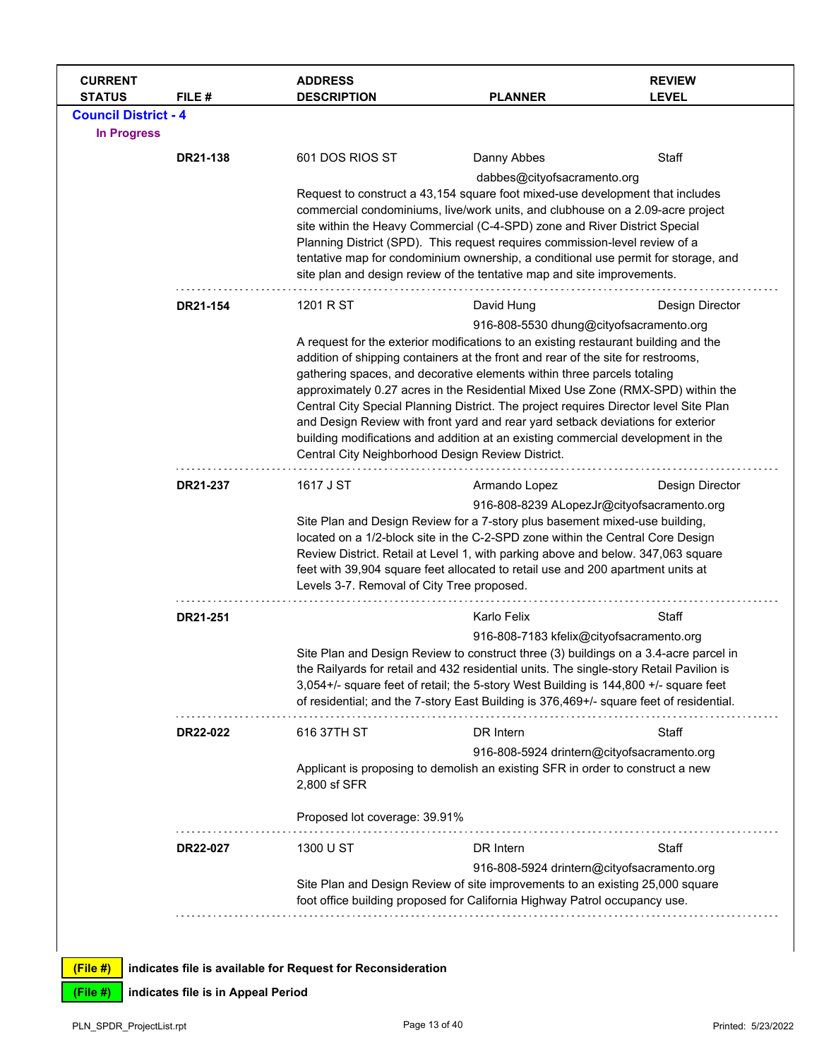| <b>CURRENT</b><br><b>STATUS</b> | FILE#    | <b>ADDRESS</b><br><b>DESCRIPTION</b>                                                                                                                                | <b>PLANNER</b>                                                                                                                                                                  | <b>REVIEW</b><br><b>LEVEL</b> |  |  |
|---------------------------------|----------|---------------------------------------------------------------------------------------------------------------------------------------------------------------------|---------------------------------------------------------------------------------------------------------------------------------------------------------------------------------|-------------------------------|--|--|
| <b>Council District - 4</b>     |          |                                                                                                                                                                     |                                                                                                                                                                                 |                               |  |  |
| <b>In Progress</b>              |          |                                                                                                                                                                     |                                                                                                                                                                                 |                               |  |  |
|                                 | DR21-138 | 601 DOS RIOS ST                                                                                                                                                     | Danny Abbes                                                                                                                                                                     | Staff                         |  |  |
|                                 |          |                                                                                                                                                                     | dabbes@cityofsacramento.org                                                                                                                                                     |                               |  |  |
|                                 |          |                                                                                                                                                                     | Request to construct a 43,154 square foot mixed-use development that includes                                                                                                   |                               |  |  |
|                                 |          |                                                                                                                                                                     | commercial condominiums, live/work units, and clubhouse on a 2.09-acre project<br>site within the Heavy Commercial (C-4-SPD) zone and River District Special                    |                               |  |  |
|                                 |          |                                                                                                                                                                     | Planning District (SPD). This request requires commission-level review of a                                                                                                     |                               |  |  |
|                                 |          |                                                                                                                                                                     | tentative map for condominium ownership, a conditional use permit for storage, and                                                                                              |                               |  |  |
|                                 |          |                                                                                                                                                                     | site plan and design review of the tentative map and site improvements.                                                                                                         |                               |  |  |
|                                 | DR21-154 | 1201 R ST                                                                                                                                                           | David Hung                                                                                                                                                                      | Design Director               |  |  |
|                                 |          |                                                                                                                                                                     | 916-808-5530 dhung@cityofsacramento.org                                                                                                                                         |                               |  |  |
|                                 |          |                                                                                                                                                                     | A request for the exterior modifications to an existing restaurant building and the                                                                                             |                               |  |  |
|                                 |          | addition of shipping containers at the front and rear of the site for restrooms,<br>gathering spaces, and decorative elements within three parcels totaling         |                                                                                                                                                                                 |                               |  |  |
|                                 |          | approximately 0.27 acres in the Residential Mixed Use Zone (RMX-SPD) within the                                                                                     |                                                                                                                                                                                 |                               |  |  |
|                                 |          | Central City Special Planning District. The project requires Director level Site Plan                                                                               |                                                                                                                                                                                 |                               |  |  |
|                                 |          | and Design Review with front yard and rear yard setback deviations for exterior<br>building modifications and addition at an existing commercial development in the |                                                                                                                                                                                 |                               |  |  |
|                                 |          | Central City Neighborhood Design Review District.                                                                                                                   |                                                                                                                                                                                 |                               |  |  |
|                                 | DR21-237 | 1617 J ST                                                                                                                                                           | Armando Lopez                                                                                                                                                                   | Design Director               |  |  |
|                                 |          |                                                                                                                                                                     | 916-808-8239 ALopezJr@cityofsacramento.org                                                                                                                                      |                               |  |  |
|                                 |          |                                                                                                                                                                     | Site Plan and Design Review for a 7-story plus basement mixed-use building,                                                                                                     |                               |  |  |
|                                 |          |                                                                                                                                                                     | located on a 1/2-block site in the C-2-SPD zone within the Central Core Design<br>Review District. Retail at Level 1, with parking above and below. 347,063 square              |                               |  |  |
|                                 |          |                                                                                                                                                                     | feet with 39,904 square feet allocated to retail use and 200 apartment units at                                                                                                 |                               |  |  |
|                                 |          | Levels 3-7. Removal of City Tree proposed.                                                                                                                          |                                                                                                                                                                                 |                               |  |  |
|                                 | DR21-251 |                                                                                                                                                                     | Karlo Felix                                                                                                                                                                     | Staff                         |  |  |
|                                 |          |                                                                                                                                                                     | 916-808-7183 kfelix@cityofsacramento.org                                                                                                                                        |                               |  |  |
|                                 |          |                                                                                                                                                                     | Site Plan and Design Review to construct three (3) buildings on a 3.4-acre parcel in<br>the Railyards for retail and 432 residential units. The single-story Retail Pavilion is |                               |  |  |
|                                 |          |                                                                                                                                                                     | 3,054+/- square feet of retail; the 5-story West Building is 144,800 +/- square feet                                                                                            |                               |  |  |
|                                 |          |                                                                                                                                                                     | of residential; and the 7-story East Building is 376,469+/- square feet of residential.                                                                                         |                               |  |  |
|                                 | DR22-022 | 616 37TH ST                                                                                                                                                         | DR Intern                                                                                                                                                                       | Staff                         |  |  |
|                                 |          |                                                                                                                                                                     | 916-808-5924 drintern@cityofsacramento.org                                                                                                                                      |                               |  |  |
|                                 |          |                                                                                                                                                                     | Applicant is proposing to demolish an existing SFR in order to construct a new                                                                                                  |                               |  |  |
|                                 |          | 2,800 sf SFR                                                                                                                                                        |                                                                                                                                                                                 |                               |  |  |
|                                 |          | Proposed lot coverage: 39.91%                                                                                                                                       |                                                                                                                                                                                 |                               |  |  |
|                                 | DR22-027 | 1300 U ST                                                                                                                                                           | DR Intern                                                                                                                                                                       | Staff                         |  |  |
|                                 |          |                                                                                                                                                                     | 916-808-5924 drintern@cityofsacramento.org                                                                                                                                      |                               |  |  |
|                                 |          |                                                                                                                                                                     | Site Plan and Design Review of site improvements to an existing 25,000 square                                                                                                   |                               |  |  |
|                                 |          |                                                                                                                                                                     | foot office building proposed for California Highway Patrol occupancy use.                                                                                                      |                               |  |  |
|                                 |          |                                                                                                                                                                     |                                                                                                                                                                                 |                               |  |  |
| $(Fila \#)$                     |          | I indicates file is available for Request for Reconsideration                                                                                                       |                                                                                                                                                                                 |                               |  |  |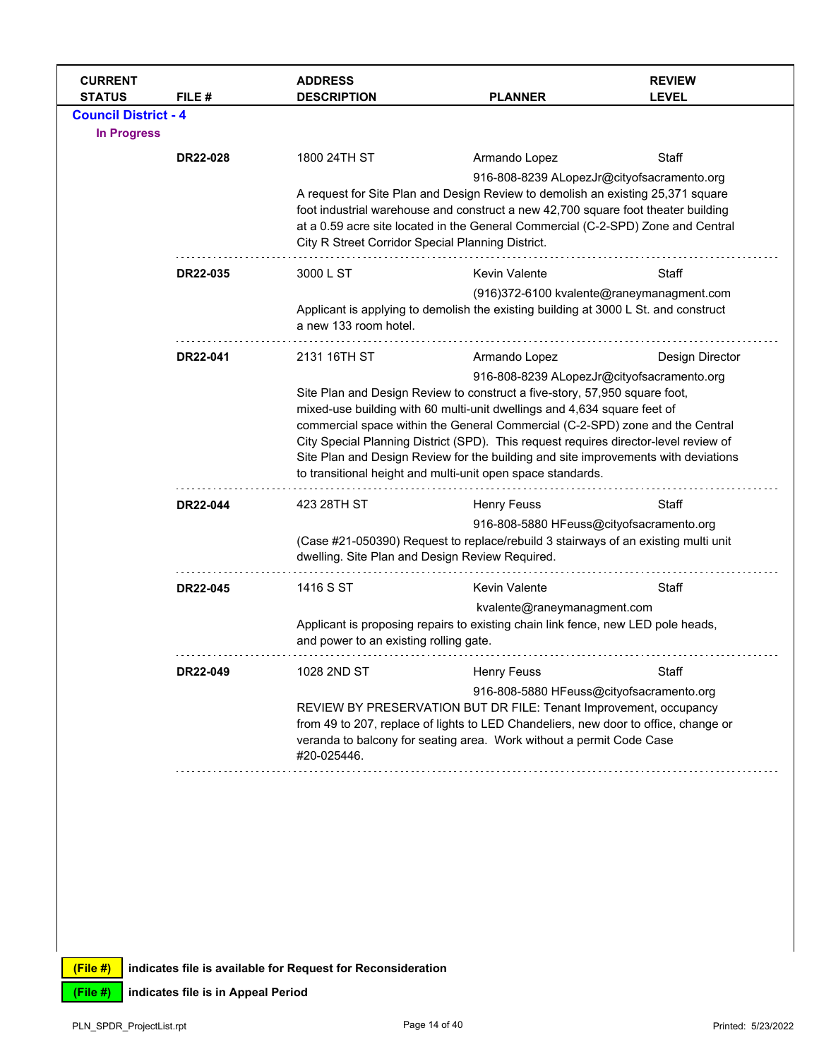| <b>CURRENT</b><br><b>STATUS</b>                   | FILE#    | <b>ADDRESS</b><br><b>DESCRIPTION</b>              | <b>PLANNER</b>                                                                                                                                                                                                                                                                                                                                                                                                                                                                                                                     | <b>REVIEW</b><br><b>LEVEL</b> |  |
|---------------------------------------------------|----------|---------------------------------------------------|------------------------------------------------------------------------------------------------------------------------------------------------------------------------------------------------------------------------------------------------------------------------------------------------------------------------------------------------------------------------------------------------------------------------------------------------------------------------------------------------------------------------------------|-------------------------------|--|
| <b>Council District - 4</b><br><b>In Progress</b> |          |                                                   |                                                                                                                                                                                                                                                                                                                                                                                                                                                                                                                                    |                               |  |
|                                                   | DR22-028 | 1800 24TH ST                                      | Armando Lopez                                                                                                                                                                                                                                                                                                                                                                                                                                                                                                                      | Staff                         |  |
|                                                   |          | City R Street Corridor Special Planning District. | 916-808-8239 ALopezJr@cityofsacramento.org<br>A request for Site Plan and Design Review to demolish an existing 25,371 square<br>foot industrial warehouse and construct a new 42,700 square foot theater building<br>at a 0.59 acre site located in the General Commercial (C-2-SPD) Zone and Central                                                                                                                                                                                                                             |                               |  |
|                                                   | DR22-035 | 3000 L ST                                         | Kevin Valente                                                                                                                                                                                                                                                                                                                                                                                                                                                                                                                      | Staff                         |  |
|                                                   |          | a new 133 room hotel.                             | (916)372-6100 kvalente@raneymanagment.com<br>Applicant is applying to demolish the existing building at 3000 L St. and construct                                                                                                                                                                                                                                                                                                                                                                                                   |                               |  |
|                                                   | DR22-041 | 2131 16TH ST                                      | Armando Lopez                                                                                                                                                                                                                                                                                                                                                                                                                                                                                                                      | Design Director               |  |
|                                                   |          |                                                   | 916-808-8239 ALopezJr@cityofsacramento.org<br>Site Plan and Design Review to construct a five-story, 57,950 square foot,<br>mixed-use building with 60 multi-unit dwellings and 4,634 square feet of<br>commercial space within the General Commercial (C-2-SPD) zone and the Central<br>City Special Planning District (SPD). This request requires director-level review of<br>Site Plan and Design Review for the building and site improvements with deviations<br>to transitional height and multi-unit open space standards. |                               |  |
|                                                   | DR22-044 | 423 28TH ST                                       | <b>Henry Feuss</b>                                                                                                                                                                                                                                                                                                                                                                                                                                                                                                                 | Staff                         |  |
|                                                   |          | dwelling. Site Plan and Design Review Required.   | 916-808-5880 HFeuss@cityofsacramento.org<br>(Case #21-050390) Request to replace/rebuild 3 stairways of an existing multi unit                                                                                                                                                                                                                                                                                                                                                                                                     |                               |  |
|                                                   | DR22-045 | 1416 S ST                                         | <b>Kevin Valente</b>                                                                                                                                                                                                                                                                                                                                                                                                                                                                                                               | Staff                         |  |
|                                                   |          | and power to an existing rolling gate.            | kvalente@raneymanagment.com<br>Applicant is proposing repairs to existing chain link fence, new LED pole heads,                                                                                                                                                                                                                                                                                                                                                                                                                    |                               |  |
|                                                   | DR22-049 | 1028 2ND ST                                       | <b>Henry Feuss</b>                                                                                                                                                                                                                                                                                                                                                                                                                                                                                                                 | Staff                         |  |
|                                                   |          | #20-025446.                                       | 916-808-5880 HFeuss@cityofsacramento.org<br>REVIEW BY PRESERVATION BUT DR FILE: Tenant Improvement, occupancy<br>from 49 to 207, replace of lights to LED Chandeliers, new door to office, change or<br>veranda to balcony for seating area. Work without a permit Code Case                                                                                                                                                                                                                                                       |                               |  |
|                                                   |          |                                                   |                                                                                                                                                                                                                                                                                                                                                                                                                                                                                                                                    |                               |  |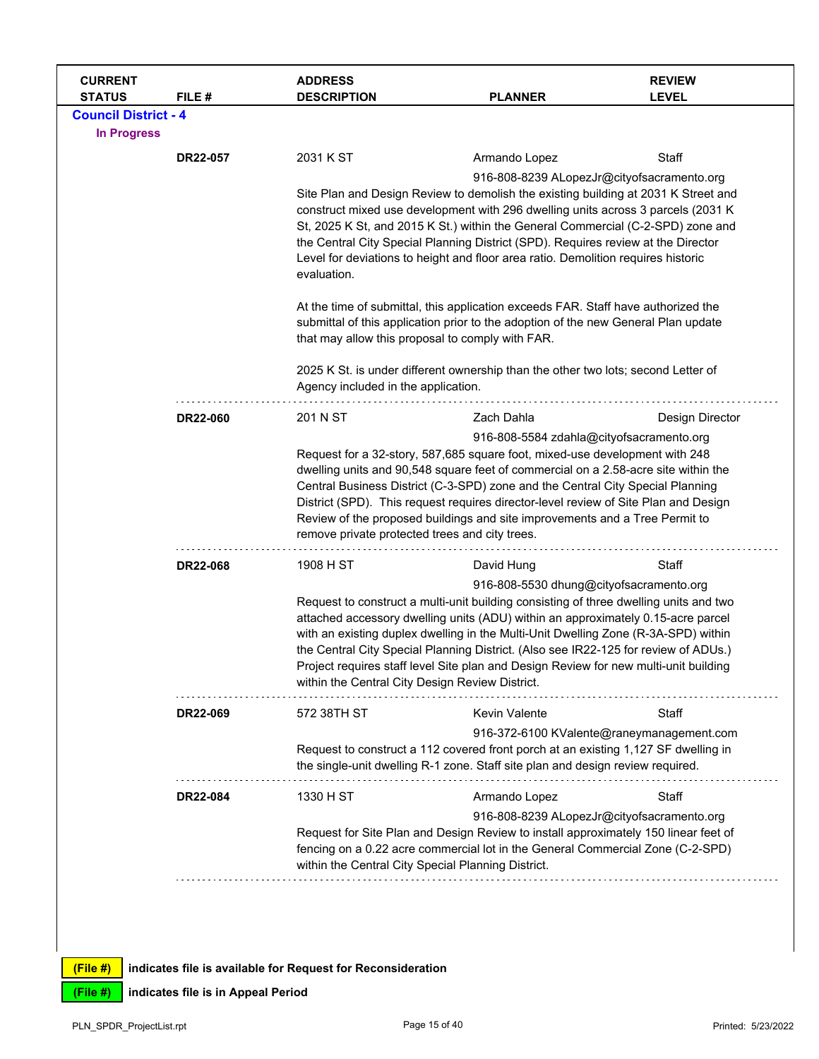| <b>CURRENT</b><br><b>STATUS</b> | FILE#           | <b>ADDRESS</b><br><b>DESCRIPTION</b>                                                                                                                                                                                                                                                                                                                                                                                                                                                                                    | <b>PLANNER</b>                                                                                                                                                                                                                                                                                                                                                                                                                                                                                                                               | <b>REVIEW</b><br><b>LEVEL</b> |  |  |
|---------------------------------|-----------------|-------------------------------------------------------------------------------------------------------------------------------------------------------------------------------------------------------------------------------------------------------------------------------------------------------------------------------------------------------------------------------------------------------------------------------------------------------------------------------------------------------------------------|----------------------------------------------------------------------------------------------------------------------------------------------------------------------------------------------------------------------------------------------------------------------------------------------------------------------------------------------------------------------------------------------------------------------------------------------------------------------------------------------------------------------------------------------|-------------------------------|--|--|
| <b>Council District - 4</b>     |                 |                                                                                                                                                                                                                                                                                                                                                                                                                                                                                                                         |                                                                                                                                                                                                                                                                                                                                                                                                                                                                                                                                              |                               |  |  |
| <b>In Progress</b>              |                 |                                                                                                                                                                                                                                                                                                                                                                                                                                                                                                                         |                                                                                                                                                                                                                                                                                                                                                                                                                                                                                                                                              |                               |  |  |
|                                 | DR22-057        | 2031 K ST                                                                                                                                                                                                                                                                                                                                                                                                                                                                                                               | Armando Lopez                                                                                                                                                                                                                                                                                                                                                                                                                                                                                                                                | Staff                         |  |  |
|                                 |                 | evaluation.                                                                                                                                                                                                                                                                                                                                                                                                                                                                                                             | 916-808-8239 ALopezJr@cityofsacramento.org<br>Site Plan and Design Review to demolish the existing building at 2031 K Street and<br>construct mixed use development with 296 dwelling units across 3 parcels (2031 K)<br>St, 2025 K St, and 2015 K St.) within the General Commercial (C-2-SPD) zone and<br>the Central City Special Planning District (SPD). Requires review at the Director<br>Level for deviations to height and floor area ratio. Demolition requires historic                                                           |                               |  |  |
|                                 |                 | At the time of submittal, this application exceeds FAR. Staff have authorized the<br>submittal of this application prior to the adoption of the new General Plan update<br>that may allow this proposal to comply with FAR.<br>2025 K St. is under different ownership than the other two lots; second Letter of                                                                                                                                                                                                        |                                                                                                                                                                                                                                                                                                                                                                                                                                                                                                                                              |                               |  |  |
|                                 |                 | Agency included in the application.                                                                                                                                                                                                                                                                                                                                                                                                                                                                                     |                                                                                                                                                                                                                                                                                                                                                                                                                                                                                                                                              |                               |  |  |
|                                 | DR22-060        | 201 N ST                                                                                                                                                                                                                                                                                                                                                                                                                                                                                                                | Zach Dahla                                                                                                                                                                                                                                                                                                                                                                                                                                                                                                                                   | Design Director               |  |  |
|                                 |                 | 916-808-5584 zdahla@cityofsacramento.org<br>Request for a 32-story, 587,685 square foot, mixed-use development with 248<br>dwelling units and 90,548 square feet of commercial on a 2.58-acre site within the<br>Central Business District (C-3-SPD) zone and the Central City Special Planning<br>District (SPD). This request requires director-level review of Site Plan and Design<br>Review of the proposed buildings and site improvements and a Tree Permit to<br>remove private protected trees and city trees. |                                                                                                                                                                                                                                                                                                                                                                                                                                                                                                                                              |                               |  |  |
|                                 | DR22-068        | 1908 H ST                                                                                                                                                                                                                                                                                                                                                                                                                                                                                                               | David Hung                                                                                                                                                                                                                                                                                                                                                                                                                                                                                                                                   | Staff                         |  |  |
|                                 |                 |                                                                                                                                                                                                                                                                                                                                                                                                                                                                                                                         | 916-808-5530 dhung@cityofsacramento.org<br>Request to construct a multi-unit building consisting of three dwelling units and two<br>attached accessory dwelling units (ADU) within an approximately 0.15-acre parcel<br>with an existing duplex dwelling in the Multi-Unit Dwelling Zone (R-3A-SPD) within<br>the Central City Special Planning District. (Also see IR22-125 for review of ADUs.)<br>Project requires staff level Site plan and Design Review for new multi-unit building<br>within the Central City Design Review District. |                               |  |  |
|                                 | DR22-069        | 572 38TH ST                                                                                                                                                                                                                                                                                                                                                                                                                                                                                                             | <b>Kevin Valente</b>                                                                                                                                                                                                                                                                                                                                                                                                                                                                                                                         | Staff                         |  |  |
|                                 |                 |                                                                                                                                                                                                                                                                                                                                                                                                                                                                                                                         | 916-372-6100 KValente@raneymanagement.com<br>Request to construct a 112 covered front porch at an existing 1,127 SF dwelling in<br>the single-unit dwelling R-1 zone. Staff site plan and design review required.                                                                                                                                                                                                                                                                                                                            |                               |  |  |
|                                 | <b>DR22-084</b> | 1330 H ST                                                                                                                                                                                                                                                                                                                                                                                                                                                                                                               | Armando Lopez                                                                                                                                                                                                                                                                                                                                                                                                                                                                                                                                | Staff                         |  |  |
|                                 |                 |                                                                                                                                                                                                                                                                                                                                                                                                                                                                                                                         | 916-808-8239 ALopezJr@cityofsacramento.org<br>Request for Site Plan and Design Review to install approximately 150 linear feet of<br>fencing on a 0.22 acre commercial lot in the General Commercial Zone (C-2-SPD)<br>within the Central City Special Planning District.                                                                                                                                                                                                                                                                    |                               |  |  |
|                                 |                 |                                                                                                                                                                                                                                                                                                                                                                                                                                                                                                                         |                                                                                                                                                                                                                                                                                                                                                                                                                                                                                                                                              |                               |  |  |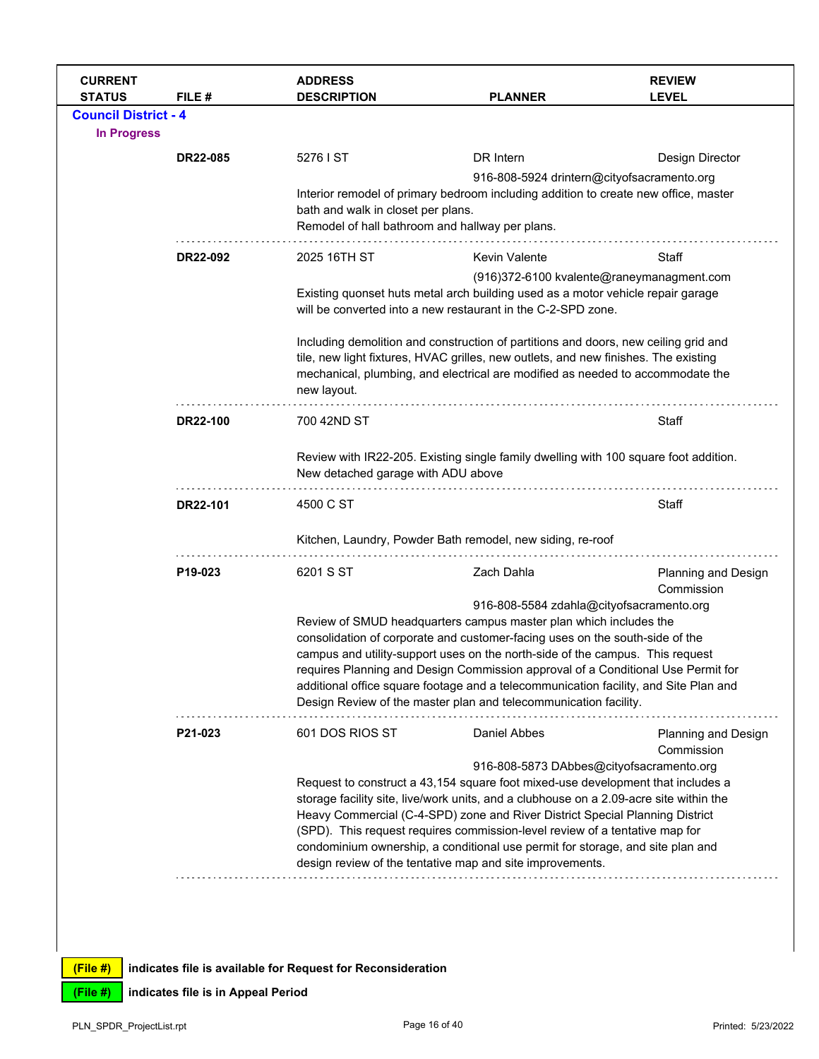| <b>CURRENT</b><br><b>STATUS</b> | FILE#           | <b>ADDRESS</b><br><b>DESCRIPTION</b>                                                                                       | <b>PLANNER</b>                                                                                                                                                         | <b>REVIEW</b><br><b>LEVEL</b>            |  |  |
|---------------------------------|-----------------|----------------------------------------------------------------------------------------------------------------------------|------------------------------------------------------------------------------------------------------------------------------------------------------------------------|------------------------------------------|--|--|
| <b>Council District - 4</b>     |                 |                                                                                                                            |                                                                                                                                                                        |                                          |  |  |
| <b>In Progress</b>              |                 |                                                                                                                            |                                                                                                                                                                        |                                          |  |  |
|                                 | <b>DR22-085</b> | 5276 I ST                                                                                                                  | DR Intern                                                                                                                                                              | Design Director                          |  |  |
|                                 |                 |                                                                                                                            | 916-808-5924 drintern@cityofsacramento.org                                                                                                                             |                                          |  |  |
|                                 |                 |                                                                                                                            | Interior remodel of primary bedroom including addition to create new office, master                                                                                    |                                          |  |  |
|                                 |                 | bath and walk in closet per plans.<br>Remodel of hall bathroom and hallway per plans.                                      |                                                                                                                                                                        |                                          |  |  |
|                                 |                 |                                                                                                                            |                                                                                                                                                                        |                                          |  |  |
|                                 | DR22-092        | 2025 16TH ST                                                                                                               | <b>Kevin Valente</b>                                                                                                                                                   | Staff                                    |  |  |
|                                 |                 | (916)372-6100 kvalente@raneymanagment.com                                                                                  |                                                                                                                                                                        |                                          |  |  |
|                                 |                 |                                                                                                                            | Existing quonset huts metal arch building used as a motor vehicle repair garage<br>will be converted into a new restaurant in the C-2-SPD zone.                        |                                          |  |  |
|                                 |                 |                                                                                                                            | Including demolition and construction of partitions and doors, new ceiling grid and                                                                                    |                                          |  |  |
|                                 |                 |                                                                                                                            | tile, new light fixtures, HVAC grilles, new outlets, and new finishes. The existing<br>mechanical, plumbing, and electrical are modified as needed to accommodate the  |                                          |  |  |
|                                 |                 | new layout.                                                                                                                |                                                                                                                                                                        |                                          |  |  |
|                                 | DR22-100        | 700 42ND ST                                                                                                                |                                                                                                                                                                        | Staff                                    |  |  |
|                                 |                 | Review with IR22-205. Existing single family dwelling with 100 square foot addition.<br>New detached garage with ADU above |                                                                                                                                                                        |                                          |  |  |
|                                 | DR22-101        | 4500 C ST                                                                                                                  |                                                                                                                                                                        | Staff                                    |  |  |
|                                 |                 |                                                                                                                            | Kitchen, Laundry, Powder Bath remodel, new siding, re-roof                                                                                                             |                                          |  |  |
|                                 | P19-023         | 6201 S ST                                                                                                                  | Zach Dahla                                                                                                                                                             | Planning and Design<br>Commission        |  |  |
|                                 |                 |                                                                                                                            | 916-808-5584 zdahla@cityofsacramento.org                                                                                                                               |                                          |  |  |
|                                 |                 |                                                                                                                            | Review of SMUD headquarters campus master plan which includes the<br>consolidation of corporate and customer-facing uses on the south-side of the                      |                                          |  |  |
|                                 |                 |                                                                                                                            | campus and utility-support uses on the north-side of the campus. This request                                                                                          |                                          |  |  |
|                                 |                 |                                                                                                                            | requires Planning and Design Commission approval of a Conditional Use Permit for                                                                                       |                                          |  |  |
|                                 |                 |                                                                                                                            | additional office square footage and a telecommunication facility, and Site Plan and<br>Design Review of the master plan and telecommunication facility.               |                                          |  |  |
|                                 | P21-023         | 601 DOS RIOS ST                                                                                                            | Daniel Abbes                                                                                                                                                           | <b>Planning and Design</b><br>Commission |  |  |
|                                 |                 |                                                                                                                            | 916-808-5873 DAbbes@cityofsacramento.org                                                                                                                               |                                          |  |  |
|                                 |                 |                                                                                                                            | Request to construct a 43,154 square foot mixed-use development that includes a                                                                                        |                                          |  |  |
|                                 |                 |                                                                                                                            | storage facility site, live/work units, and a clubhouse on a 2.09-acre site within the<br>Heavy Commercial (C-4-SPD) zone and River District Special Planning District |                                          |  |  |
|                                 |                 |                                                                                                                            | (SPD). This request requires commission-level review of a tentative map for                                                                                            |                                          |  |  |
|                                 |                 |                                                                                                                            | condominium ownership, a conditional use permit for storage, and site plan and                                                                                         |                                          |  |  |
|                                 |                 |                                                                                                                            | design review of the tentative map and site improvements.                                                                                                              |                                          |  |  |
|                                 |                 |                                                                                                                            |                                                                                                                                                                        |                                          |  |  |
|                                 |                 |                                                                                                                            |                                                                                                                                                                        |                                          |  |  |
|                                 |                 |                                                                                                                            |                                                                                                                                                                        |                                          |  |  |

**(File #) indicates file is in Appeal Period**

 $\mathsf{l}$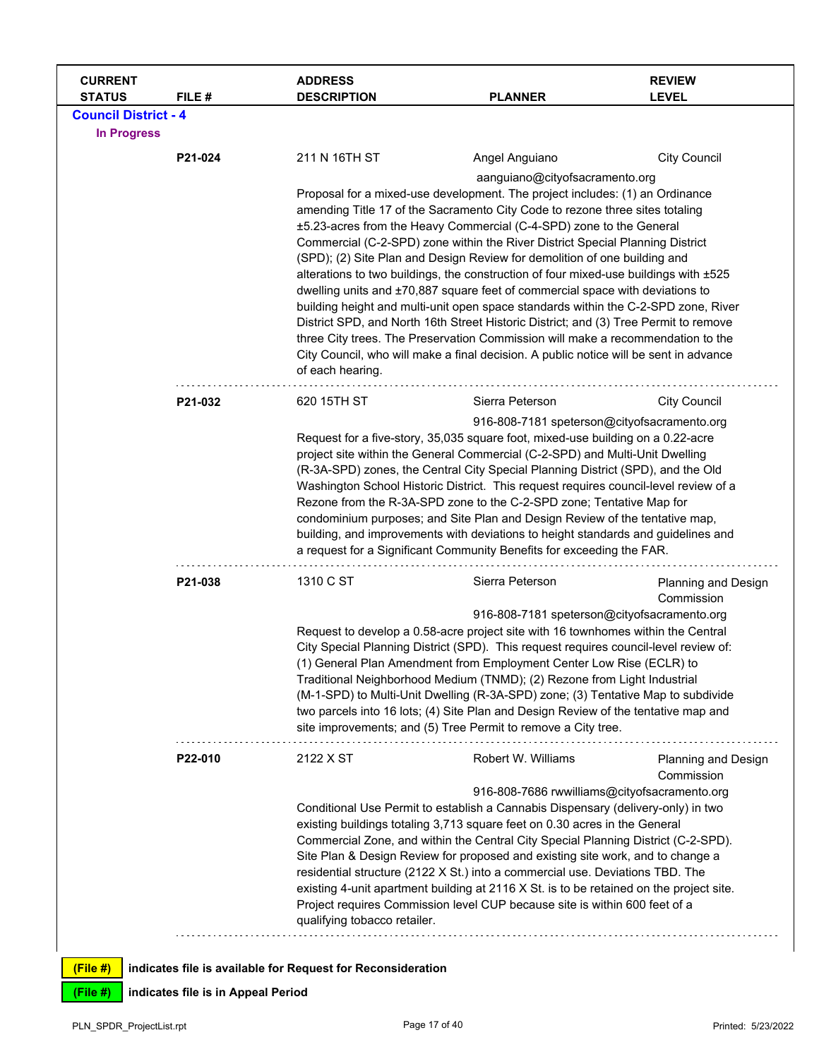| <b>CURRENT</b><br><b>STATUS</b> | FILE#                              | <b>ADDRESS</b><br><b>DESCRIPTION</b>                                                 | <b>PLANNER</b>                                                                                                                                                           | <b>REVIEW</b><br><b>LEVEL</b>     |  |  |  |
|---------------------------------|------------------------------------|--------------------------------------------------------------------------------------|--------------------------------------------------------------------------------------------------------------------------------------------------------------------------|-----------------------------------|--|--|--|
| <b>Council District - 4</b>     |                                    |                                                                                      |                                                                                                                                                                          |                                   |  |  |  |
| <b>In Progress</b>              |                                    |                                                                                      |                                                                                                                                                                          |                                   |  |  |  |
|                                 | P21-024                            | 211 N 16TH ST                                                                        | Angel Anguiano                                                                                                                                                           | <b>City Council</b>               |  |  |  |
|                                 |                                    |                                                                                      | aanguiano@cityofsacramento.org                                                                                                                                           |                                   |  |  |  |
|                                 |                                    |                                                                                      | Proposal for a mixed-use development. The project includes: (1) an Ordinance                                                                                             |                                   |  |  |  |
|                                 |                                    |                                                                                      | amending Title 17 of the Sacramento City Code to rezone three sites totaling                                                                                             |                                   |  |  |  |
|                                 |                                    |                                                                                      | ±5.23-acres from the Heavy Commercial (C-4-SPD) zone to the General                                                                                                      |                                   |  |  |  |
|                                 |                                    |                                                                                      | Commercial (C-2-SPD) zone within the River District Special Planning District<br>(SPD); (2) Site Plan and Design Review for demolition of one building and               |                                   |  |  |  |
|                                 |                                    |                                                                                      | alterations to two buildings, the construction of four mixed-use buildings with ±525                                                                                     |                                   |  |  |  |
|                                 |                                    |                                                                                      | dwelling units and ±70,887 square feet of commercial space with deviations to                                                                                            |                                   |  |  |  |
|                                 |                                    |                                                                                      | building height and multi-unit open space standards within the C-2-SPD zone, River                                                                                       |                                   |  |  |  |
|                                 |                                    | District SPD, and North 16th Street Historic District; and (3) Tree Permit to remove |                                                                                                                                                                          |                                   |  |  |  |
|                                 |                                    |                                                                                      | three City trees. The Preservation Commission will make a recommendation to the<br>City Council, who will make a final decision. A public notice will be sent in advance |                                   |  |  |  |
|                                 |                                    | of each hearing.                                                                     |                                                                                                                                                                          |                                   |  |  |  |
|                                 |                                    |                                                                                      |                                                                                                                                                                          |                                   |  |  |  |
|                                 | P21-032                            | 620 15TH ST                                                                          | Sierra Peterson                                                                                                                                                          | <b>City Council</b>               |  |  |  |
|                                 |                                    |                                                                                      | 916-808-7181 speterson@cityofsacramento.org                                                                                                                              |                                   |  |  |  |
|                                 |                                    |                                                                                      | Request for a five-story, 35,035 square foot, mixed-use building on a 0.22-acre                                                                                          |                                   |  |  |  |
|                                 |                                    | project site within the General Commercial (C-2-SPD) and Multi-Unit Dwelling         |                                                                                                                                                                          |                                   |  |  |  |
|                                 |                                    | (R-3A-SPD) zones, the Central City Special Planning District (SPD), and the Old      |                                                                                                                                                                          |                                   |  |  |  |
|                                 |                                    |                                                                                      | Washington School Historic District. This request requires council-level review of a                                                                                     |                                   |  |  |  |
|                                 |                                    |                                                                                      | Rezone from the R-3A-SPD zone to the C-2-SPD zone; Tentative Map for<br>condominium purposes; and Site Plan and Design Review of the tentative map,                      |                                   |  |  |  |
|                                 |                                    | building, and improvements with deviations to height standards and guidelines and    |                                                                                                                                                                          |                                   |  |  |  |
|                                 |                                    |                                                                                      | a request for a Significant Community Benefits for exceeding the FAR.                                                                                                    |                                   |  |  |  |
|                                 | P21-038                            | 1310 C ST                                                                            | Sierra Peterson                                                                                                                                                          |                                   |  |  |  |
|                                 |                                    |                                                                                      |                                                                                                                                                                          | Planning and Design<br>Commission |  |  |  |
|                                 |                                    |                                                                                      | 916-808-7181 speterson@cityofsacramento.org                                                                                                                              |                                   |  |  |  |
|                                 |                                    |                                                                                      | Request to develop a 0.58-acre project site with 16 townhomes within the Central                                                                                         |                                   |  |  |  |
|                                 |                                    |                                                                                      | City Special Planning District (SPD). This request requires council-level review of:                                                                                     |                                   |  |  |  |
|                                 |                                    |                                                                                      | (1) General Plan Amendment from Employment Center Low Rise (ECLR) to<br>Traditional Neighborhood Medium (TNMD); (2) Rezone from Light Industrial                         |                                   |  |  |  |
|                                 |                                    |                                                                                      | (M-1-SPD) to Multi-Unit Dwelling (R-3A-SPD) zone; (3) Tentative Map to subdivide                                                                                         |                                   |  |  |  |
|                                 |                                    |                                                                                      | two parcels into 16 lots; (4) Site Plan and Design Review of the tentative map and                                                                                       |                                   |  |  |  |
|                                 |                                    |                                                                                      | site improvements; and (5) Tree Permit to remove a City tree.                                                                                                            |                                   |  |  |  |
|                                 | P22-010                            | 2122 X ST                                                                            | Robert W. Williams                                                                                                                                                       | Planning and Design<br>Commission |  |  |  |
|                                 |                                    |                                                                                      | 916-808-7686 rwwilliams@cityofsacramento.org                                                                                                                             |                                   |  |  |  |
|                                 |                                    |                                                                                      | Conditional Use Permit to establish a Cannabis Dispensary (delivery-only) in two                                                                                         |                                   |  |  |  |
|                                 |                                    |                                                                                      | existing buildings totaling 3,713 square feet on 0.30 acres in the General                                                                                               |                                   |  |  |  |
|                                 |                                    |                                                                                      | Commercial Zone, and within the Central City Special Planning District (C-2-SPD).<br>Site Plan & Design Review for proposed and existing site work, and to change a      |                                   |  |  |  |
|                                 |                                    |                                                                                      | residential structure (2122 X St.) into a commercial use. Deviations TBD. The                                                                                            |                                   |  |  |  |
|                                 |                                    |                                                                                      | existing 4-unit apartment building at 2116 X St. is to be retained on the project site.                                                                                  |                                   |  |  |  |
|                                 |                                    |                                                                                      | Project requires Commission level CUP because site is within 600 feet of a                                                                                               |                                   |  |  |  |
|                                 |                                    | qualifying tobacco retailer.                                                         |                                                                                                                                                                          |                                   |  |  |  |
|                                 |                                    |                                                                                      |                                                                                                                                                                          |                                   |  |  |  |
| (File#)                         |                                    | indicates file is available for Request for Reconsideration                          |                                                                                                                                                                          |                                   |  |  |  |
| $(File$ #)                      | indicates file is in Appeal Period |                                                                                      |                                                                                                                                                                          |                                   |  |  |  |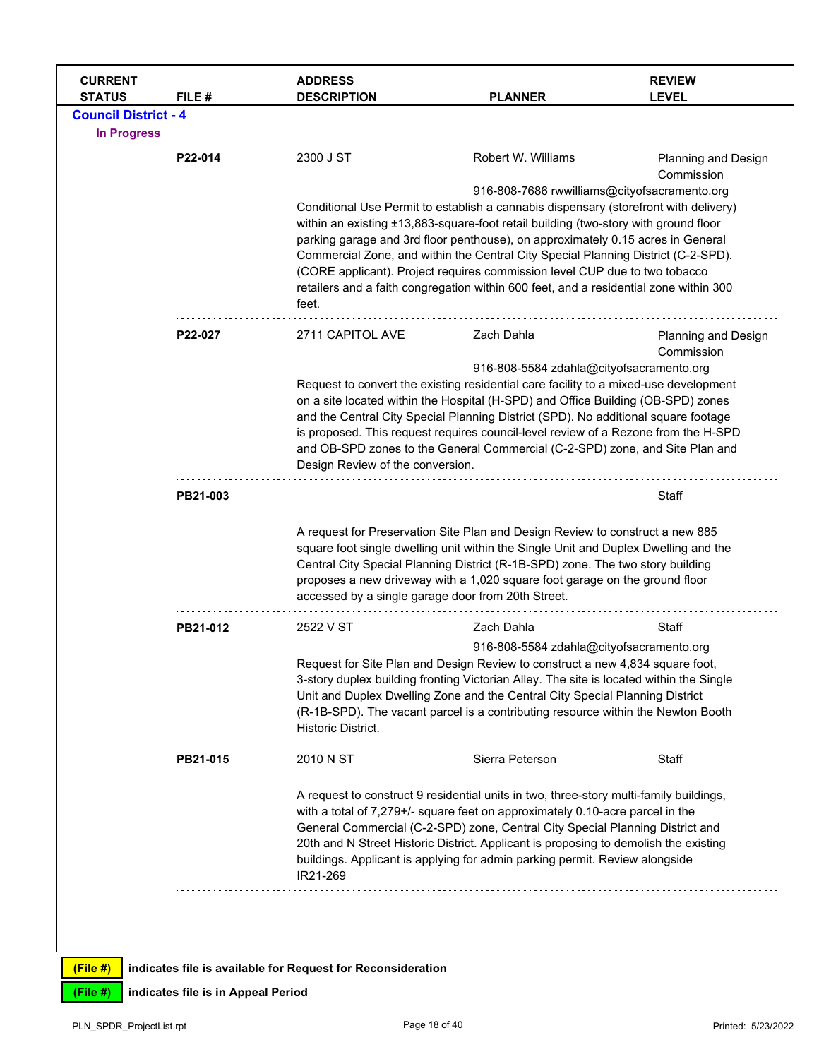| <b>CURRENT</b><br><b>STATUS</b>                   | FILE #                             | <b>ADDRESS</b><br><b>DESCRIPTION</b>                                                                                                                                                                                                                                                                                                                                                                                                                                                                                                                                                | <b>PLANNER</b>                                                                                                                                                                                                                                                                                                                                                                                                                  | <b>REVIEW</b><br><b>LEVEL</b>     |
|---------------------------------------------------|------------------------------------|-------------------------------------------------------------------------------------------------------------------------------------------------------------------------------------------------------------------------------------------------------------------------------------------------------------------------------------------------------------------------------------------------------------------------------------------------------------------------------------------------------------------------------------------------------------------------------------|---------------------------------------------------------------------------------------------------------------------------------------------------------------------------------------------------------------------------------------------------------------------------------------------------------------------------------------------------------------------------------------------------------------------------------|-----------------------------------|
| <b>Council District - 4</b><br><b>In Progress</b> |                                    |                                                                                                                                                                                                                                                                                                                                                                                                                                                                                                                                                                                     |                                                                                                                                                                                                                                                                                                                                                                                                                                 |                                   |
|                                                   | P22-014                            | 2300 J ST                                                                                                                                                                                                                                                                                                                                                                                                                                                                                                                                                                           | Robert W. Williams                                                                                                                                                                                                                                                                                                                                                                                                              | Planning and Design<br>Commission |
|                                                   |                                    | 916-808-7686 rwwilliams@cityofsacramento.org<br>Conditional Use Permit to establish a cannabis dispensary (storefront with delivery)<br>within an existing ±13,883-square-foot retail building (two-story with ground floor<br>parking garage and 3rd floor penthouse), on approximately 0.15 acres in General<br>Commercial Zone, and within the Central City Special Planning District (C-2-SPD).<br>(CORE applicant). Project requires commission level CUP due to two tobacco<br>retailers and a faith congregation within 600 feet, and a residential zone within 300<br>feet. |                                                                                                                                                                                                                                                                                                                                                                                                                                 |                                   |
|                                                   | P22-027                            | 2711 CAPITOL AVE                                                                                                                                                                                                                                                                                                                                                                                                                                                                                                                                                                    | Zach Dahla                                                                                                                                                                                                                                                                                                                                                                                                                      | <b>Planning and Design</b>        |
|                                                   |                                    | Commission<br>916-808-5584 zdahla@cityofsacramento.org<br>Request to convert the existing residential care facility to a mixed-use development<br>on a site located within the Hospital (H-SPD) and Office Building (OB-SPD) zones<br>and the Central City Special Planning District (SPD). No additional square footage<br>is proposed. This request requires council-level review of a Rezone from the H-SPD<br>and OB-SPD zones to the General Commercial (C-2-SPD) zone, and Site Plan and<br>Design Review of the conversion.                                                  |                                                                                                                                                                                                                                                                                                                                                                                                                                 |                                   |
|                                                   | PB21-003                           |                                                                                                                                                                                                                                                                                                                                                                                                                                                                                                                                                                                     |                                                                                                                                                                                                                                                                                                                                                                                                                                 | Staff                             |
|                                                   |                                    | A request for Preservation Site Plan and Design Review to construct a new 885<br>square foot single dwelling unit within the Single Unit and Duplex Dwelling and the<br>Central City Special Planning District (R-1B-SPD) zone. The two story building<br>proposes a new driveway with a 1,020 square foot garage on the ground floor<br>accessed by a single garage door from 20th Street.                                                                                                                                                                                         |                                                                                                                                                                                                                                                                                                                                                                                                                                 |                                   |
|                                                   | PB21-012                           | 2522 V ST                                                                                                                                                                                                                                                                                                                                                                                                                                                                                                                                                                           | Zach Dahla                                                                                                                                                                                                                                                                                                                                                                                                                      | Staff                             |
|                                                   |                                    | Historic District.                                                                                                                                                                                                                                                                                                                                                                                                                                                                                                                                                                  | 916-808-5584 zdahla@cityofsacramento.org<br>Request for Site Plan and Design Review to construct a new 4,834 square foot,<br>3-story duplex building fronting Victorian Alley. The site is located within the Single<br>Unit and Duplex Dwelling Zone and the Central City Special Planning District<br>(R-1B-SPD). The vacant parcel is a contributing resource within the Newton Booth                                        |                                   |
|                                                   | PB21-015                           | 2010 N ST                                                                                                                                                                                                                                                                                                                                                                                                                                                                                                                                                                           | Sierra Peterson                                                                                                                                                                                                                                                                                                                                                                                                                 | Staff                             |
|                                                   |                                    | IR21-269                                                                                                                                                                                                                                                                                                                                                                                                                                                                                                                                                                            | A request to construct 9 residential units in two, three-story multi-family buildings,<br>with a total of 7,279+/- square feet on approximately 0.10-acre parcel in the<br>General Commercial (C-2-SPD) zone, Central City Special Planning District and<br>20th and N Street Historic District. Applicant is proposing to demolish the existing<br>buildings. Applicant is applying for admin parking permit. Review alongside |                                   |
| (File#)                                           |                                    | indicates file is available for Request for Reconsideration                                                                                                                                                                                                                                                                                                                                                                                                                                                                                                                         |                                                                                                                                                                                                                                                                                                                                                                                                                                 |                                   |
| (File #)                                          | indicates file is in Appeal Period |                                                                                                                                                                                                                                                                                                                                                                                                                                                                                                                                                                                     |                                                                                                                                                                                                                                                                                                                                                                                                                                 |                                   |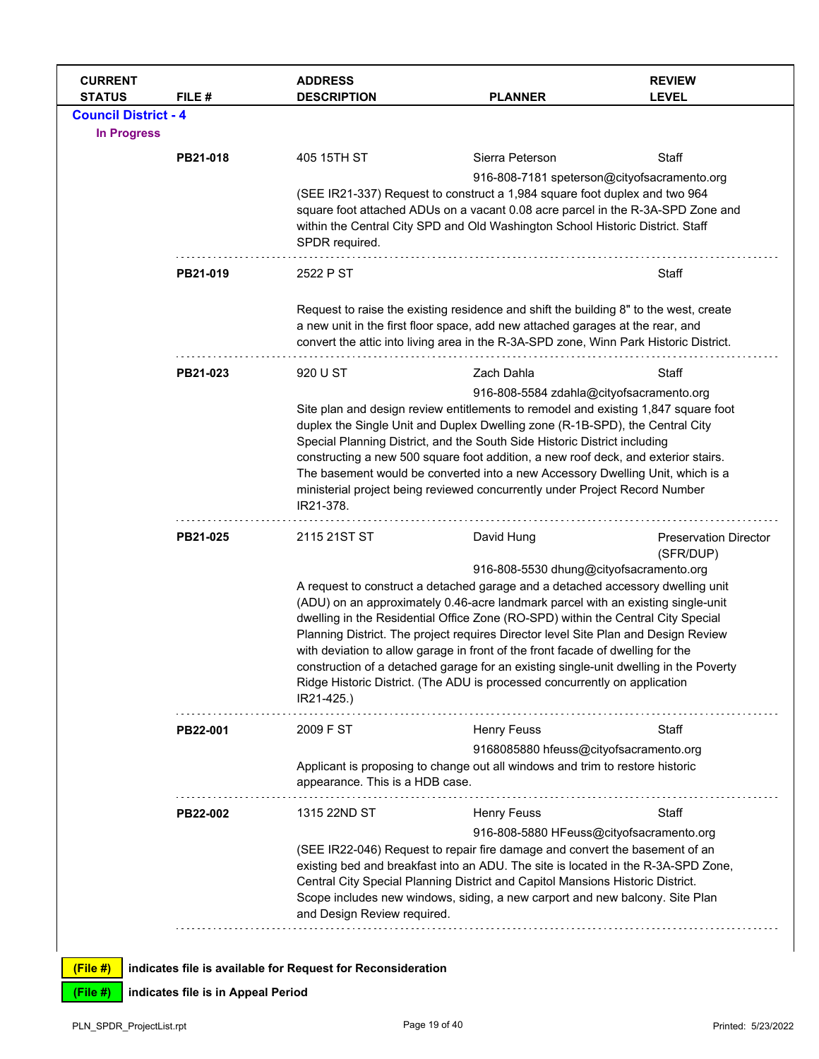| <b>CURRENT</b><br><b>STATUS</b> | FILE #   | <b>ADDRESS</b><br><b>DESCRIPTION</b>                                                                                                                                                                                                                                                                                                                                                                                                                                                                                                                            | <b>PLANNER</b>                                                                                                                                                                                                                                                                                                                                                                                                                                                                                                                                                                                                                                     | <b>REVIEW</b><br><b>LEVEL</b>             |
|---------------------------------|----------|-----------------------------------------------------------------------------------------------------------------------------------------------------------------------------------------------------------------------------------------------------------------------------------------------------------------------------------------------------------------------------------------------------------------------------------------------------------------------------------------------------------------------------------------------------------------|----------------------------------------------------------------------------------------------------------------------------------------------------------------------------------------------------------------------------------------------------------------------------------------------------------------------------------------------------------------------------------------------------------------------------------------------------------------------------------------------------------------------------------------------------------------------------------------------------------------------------------------------------|-------------------------------------------|
| <b>Council District - 4</b>     |          |                                                                                                                                                                                                                                                                                                                                                                                                                                                                                                                                                                 |                                                                                                                                                                                                                                                                                                                                                                                                                                                                                                                                                                                                                                                    |                                           |
| <b>In Progress</b>              |          |                                                                                                                                                                                                                                                                                                                                                                                                                                                                                                                                                                 |                                                                                                                                                                                                                                                                                                                                                                                                                                                                                                                                                                                                                                                    |                                           |
|                                 | PB21-018 | 405 15TH ST                                                                                                                                                                                                                                                                                                                                                                                                                                                                                                                                                     | Sierra Peterson                                                                                                                                                                                                                                                                                                                                                                                                                                                                                                                                                                                                                                    | Staff                                     |
|                                 |          | SPDR required.                                                                                                                                                                                                                                                                                                                                                                                                                                                                                                                                                  | 916-808-7181 speterson@cityofsacramento.org<br>(SEE IR21-337) Request to construct a 1,984 square foot duplex and two 964<br>square foot attached ADUs on a vacant 0.08 acre parcel in the R-3A-SPD Zone and<br>within the Central City SPD and Old Washington School Historic District. Staff                                                                                                                                                                                                                                                                                                                                                     |                                           |
|                                 | PB21-019 | 2522 P ST                                                                                                                                                                                                                                                                                                                                                                                                                                                                                                                                                       |                                                                                                                                                                                                                                                                                                                                                                                                                                                                                                                                                                                                                                                    | Staff                                     |
|                                 |          |                                                                                                                                                                                                                                                                                                                                                                                                                                                                                                                                                                 | Request to raise the existing residence and shift the building 8" to the west, create<br>a new unit in the first floor space, add new attached garages at the rear, and<br>convert the attic into living area in the R-3A-SPD zone, Winn Park Historic District.                                                                                                                                                                                                                                                                                                                                                                                   |                                           |
|                                 | PB21-023 | 920 U ST                                                                                                                                                                                                                                                                                                                                                                                                                                                                                                                                                        | Zach Dahla                                                                                                                                                                                                                                                                                                                                                                                                                                                                                                                                                                                                                                         | Staff                                     |
|                                 |          | 916-808-5584 zdahla@cityofsacramento.org<br>Site plan and design review entitlements to remodel and existing 1,847 square foot<br>duplex the Single Unit and Duplex Dwelling zone (R-1B-SPD), the Central City<br>Special Planning District, and the South Side Historic District including<br>constructing a new 500 square foot addition, a new roof deck, and exterior stairs.<br>The basement would be converted into a new Accessory Dwelling Unit, which is a<br>ministerial project being reviewed concurrently under Project Record Number<br>IR21-378. |                                                                                                                                                                                                                                                                                                                                                                                                                                                                                                                                                                                                                                                    |                                           |
|                                 | PB21-025 | 2115 21ST ST                                                                                                                                                                                                                                                                                                                                                                                                                                                                                                                                                    | David Hung                                                                                                                                                                                                                                                                                                                                                                                                                                                                                                                                                                                                                                         | <b>Preservation Director</b><br>(SFR/DUP) |
|                                 |          | IR21-425.)                                                                                                                                                                                                                                                                                                                                                                                                                                                                                                                                                      | 916-808-5530 dhung@cityofsacramento.org<br>A request to construct a detached garage and a detached accessory dwelling unit<br>(ADU) on an approximately 0.46-acre landmark parcel with an existing single-unit<br>dwelling in the Residential Office Zone (RO-SPD) within the Central City Special<br>Planning District. The project requires Director level Site Plan and Design Review<br>with deviation to allow garage in front of the front facade of dwelling for the<br>construction of a detached garage for an existing single-unit dwelling in the Poverty<br>Ridge Historic District. (The ADU is processed concurrently on application |                                           |
|                                 | PB22-001 | 2009 F ST                                                                                                                                                                                                                                                                                                                                                                                                                                                                                                                                                       | <b>Henry Feuss</b>                                                                                                                                                                                                                                                                                                                                                                                                                                                                                                                                                                                                                                 | Staff                                     |
|                                 |          | appearance. This is a HDB case.                                                                                                                                                                                                                                                                                                                                                                                                                                                                                                                                 | 9168085880 hfeuss@cityofsacramento.org<br>Applicant is proposing to change out all windows and trim to restore historic                                                                                                                                                                                                                                                                                                                                                                                                                                                                                                                            |                                           |
|                                 | PB22-002 | 1315 22ND ST                                                                                                                                                                                                                                                                                                                                                                                                                                                                                                                                                    | <b>Henry Feuss</b>                                                                                                                                                                                                                                                                                                                                                                                                                                                                                                                                                                                                                                 | Staff                                     |
|                                 |          | and Design Review required.                                                                                                                                                                                                                                                                                                                                                                                                                                                                                                                                     | 916-808-5880 HFeuss@cityofsacramento.org<br>(SEE IR22-046) Request to repair fire damage and convert the basement of an<br>existing bed and breakfast into an ADU. The site is located in the R-3A-SPD Zone,<br>Central City Special Planning District and Capitol Mansions Historic District.<br>Scope includes new windows, siding, a new carport and new balcony. Site Plan                                                                                                                                                                                                                                                                     |                                           |
| (File #)                        |          | indicates file is available for Request for Reconsideration                                                                                                                                                                                                                                                                                                                                                                                                                                                                                                     |                                                                                                                                                                                                                                                                                                                                                                                                                                                                                                                                                                                                                                                    |                                           |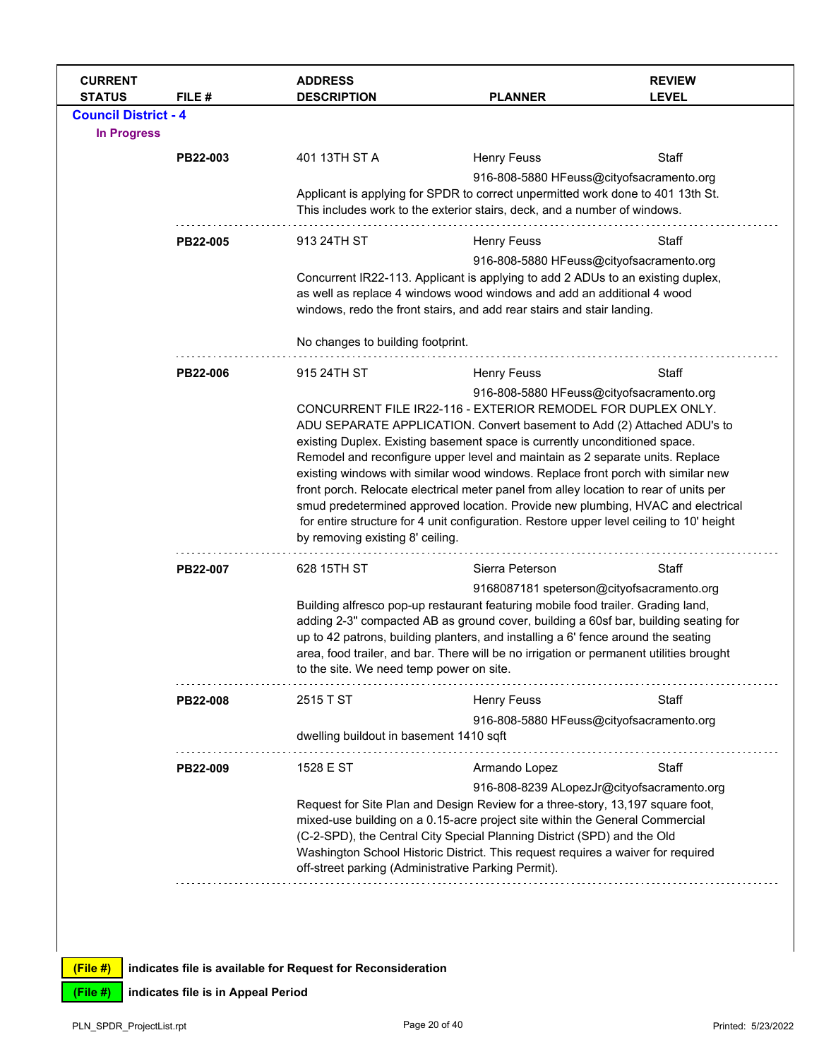| <b>CURRENT</b><br><b>STATUS</b>                   | FILE#                                                                                                                                                                                                                                                                                                                                                                                                                                                                                                                                                                                                                                                                                                  | <b>ADDRESS</b><br><b>DESCRIPTION</b>                                                                                                                                                                                                                                                                                                                                                                                               | <b>PLANNER</b>                                                                                                                                                                                                                                                                  | <b>REVIEW</b><br><b>LEVEL</b>            |  |  |
|---------------------------------------------------|--------------------------------------------------------------------------------------------------------------------------------------------------------------------------------------------------------------------------------------------------------------------------------------------------------------------------------------------------------------------------------------------------------------------------------------------------------------------------------------------------------------------------------------------------------------------------------------------------------------------------------------------------------------------------------------------------------|------------------------------------------------------------------------------------------------------------------------------------------------------------------------------------------------------------------------------------------------------------------------------------------------------------------------------------------------------------------------------------------------------------------------------------|---------------------------------------------------------------------------------------------------------------------------------------------------------------------------------------------------------------------------------------------------------------------------------|------------------------------------------|--|--|
| <b>Council District - 4</b><br><b>In Progress</b> |                                                                                                                                                                                                                                                                                                                                                                                                                                                                                                                                                                                                                                                                                                        |                                                                                                                                                                                                                                                                                                                                                                                                                                    |                                                                                                                                                                                                                                                                                 |                                          |  |  |
|                                                   | PB22-003                                                                                                                                                                                                                                                                                                                                                                                                                                                                                                                                                                                                                                                                                               | 401 13TH ST A                                                                                                                                                                                                                                                                                                                                                                                                                      | <b>Henry Feuss</b>                                                                                                                                                                                                                                                              | Staff                                    |  |  |
|                                                   |                                                                                                                                                                                                                                                                                                                                                                                                                                                                                                                                                                                                                                                                                                        | 916-808-5880 HFeuss@cityofsacramento.org<br>Applicant is applying for SPDR to correct unpermitted work done to 401 13th St.<br>This includes work to the exterior stairs, deck, and a number of windows.                                                                                                                                                                                                                           |                                                                                                                                                                                                                                                                                 |                                          |  |  |
|                                                   | PB22-005                                                                                                                                                                                                                                                                                                                                                                                                                                                                                                                                                                                                                                                                                               | 913 24TH ST                                                                                                                                                                                                                                                                                                                                                                                                                        | <b>Henry Feuss</b>                                                                                                                                                                                                                                                              | Staff                                    |  |  |
|                                                   |                                                                                                                                                                                                                                                                                                                                                                                                                                                                                                                                                                                                                                                                                                        |                                                                                                                                                                                                                                                                                                                                                                                                                                    | 916-808-5880 HFeuss@cityofsacramento.org<br>Concurrent IR22-113. Applicant is applying to add 2 ADUs to an existing duplex,<br>as well as replace 4 windows wood windows and add an additional 4 wood<br>windows, redo the front stairs, and add rear stairs and stair landing. |                                          |  |  |
|                                                   |                                                                                                                                                                                                                                                                                                                                                                                                                                                                                                                                                                                                                                                                                                        | No changes to building footprint.                                                                                                                                                                                                                                                                                                                                                                                                  |                                                                                                                                                                                                                                                                                 |                                          |  |  |
|                                                   | PB22-006                                                                                                                                                                                                                                                                                                                                                                                                                                                                                                                                                                                                                                                                                               | 915 24TH ST                                                                                                                                                                                                                                                                                                                                                                                                                        | <b>Henry Feuss</b>                                                                                                                                                                                                                                                              | Staff                                    |  |  |
|                                                   | CONCURRENT FILE IR22-116 - EXTERIOR REMODEL FOR DUPLEX ONLY.<br>ADU SEPARATE APPLICATION. Convert basement to Add (2) Attached ADU's to<br>existing Duplex. Existing basement space is currently unconditioned space.<br>Remodel and reconfigure upper level and maintain as 2 separate units. Replace<br>existing windows with similar wood windows. Replace front porch with similar new<br>front porch. Relocate electrical meter panel from alley location to rear of units per<br>smud predetermined approved location. Provide new plumbing, HVAC and electrical<br>for entire structure for 4 unit configuration. Restore upper level ceiling to 10' height<br>by removing existing 8' ceiling. |                                                                                                                                                                                                                                                                                                                                                                                                                                    |                                                                                                                                                                                                                                                                                 | 916-808-5880 HFeuss@cityofsacramento.org |  |  |
|                                                   | PB22-007                                                                                                                                                                                                                                                                                                                                                                                                                                                                                                                                                                                                                                                                                               | 628 15TH ST                                                                                                                                                                                                                                                                                                                                                                                                                        | Sierra Peterson                                                                                                                                                                                                                                                                 | Staff                                    |  |  |
|                                                   |                                                                                                                                                                                                                                                                                                                                                                                                                                                                                                                                                                                                                                                                                                        | Building alfresco pop-up restaurant featuring mobile food trailer. Grading land,<br>adding 2-3" compacted AB as ground cover, building a 60sf bar, building seating for<br>up to 42 patrons, building planters, and installing a 6' fence around the seating<br>area, food trailer, and bar. There will be no irrigation or permanent utilities brought<br>to the site. We need temp power on site.                                | 9168087181 speterson@cityofsacramento.org                                                                                                                                                                                                                                       |                                          |  |  |
|                                                   | <b>PB22-008</b>                                                                                                                                                                                                                                                                                                                                                                                                                                                                                                                                                                                                                                                                                        | 2515 T ST                                                                                                                                                                                                                                                                                                                                                                                                                          | <b>Henry Feuss</b>                                                                                                                                                                                                                                                              | Staff                                    |  |  |
|                                                   |                                                                                                                                                                                                                                                                                                                                                                                                                                                                                                                                                                                                                                                                                                        | dwelling buildout in basement 1410 sqft                                                                                                                                                                                                                                                                                                                                                                                            | 916-808-5880 HFeuss@cityofsacramento.org                                                                                                                                                                                                                                        |                                          |  |  |
|                                                   | PB22-009                                                                                                                                                                                                                                                                                                                                                                                                                                                                                                                                                                                                                                                                                               | 1528 E ST                                                                                                                                                                                                                                                                                                                                                                                                                          | Armando Lopez                                                                                                                                                                                                                                                                   | Staff                                    |  |  |
|                                                   |                                                                                                                                                                                                                                                                                                                                                                                                                                                                                                                                                                                                                                                                                                        | 916-808-8239 ALopezJr@cityofsacramento.org<br>Request for Site Plan and Design Review for a three-story, 13,197 square foot,<br>mixed-use building on a 0.15-acre project site within the General Commercial<br>(C-2-SPD), the Central City Special Planning District (SPD) and the Old<br>Washington School Historic District. This request requires a waiver for required<br>off-street parking (Administrative Parking Permit). |                                                                                                                                                                                                                                                                                 |                                          |  |  |
|                                                   |                                                                                                                                                                                                                                                                                                                                                                                                                                                                                                                                                                                                                                                                                                        |                                                                                                                                                                                                                                                                                                                                                                                                                                    |                                                                                                                                                                                                                                                                                 |                                          |  |  |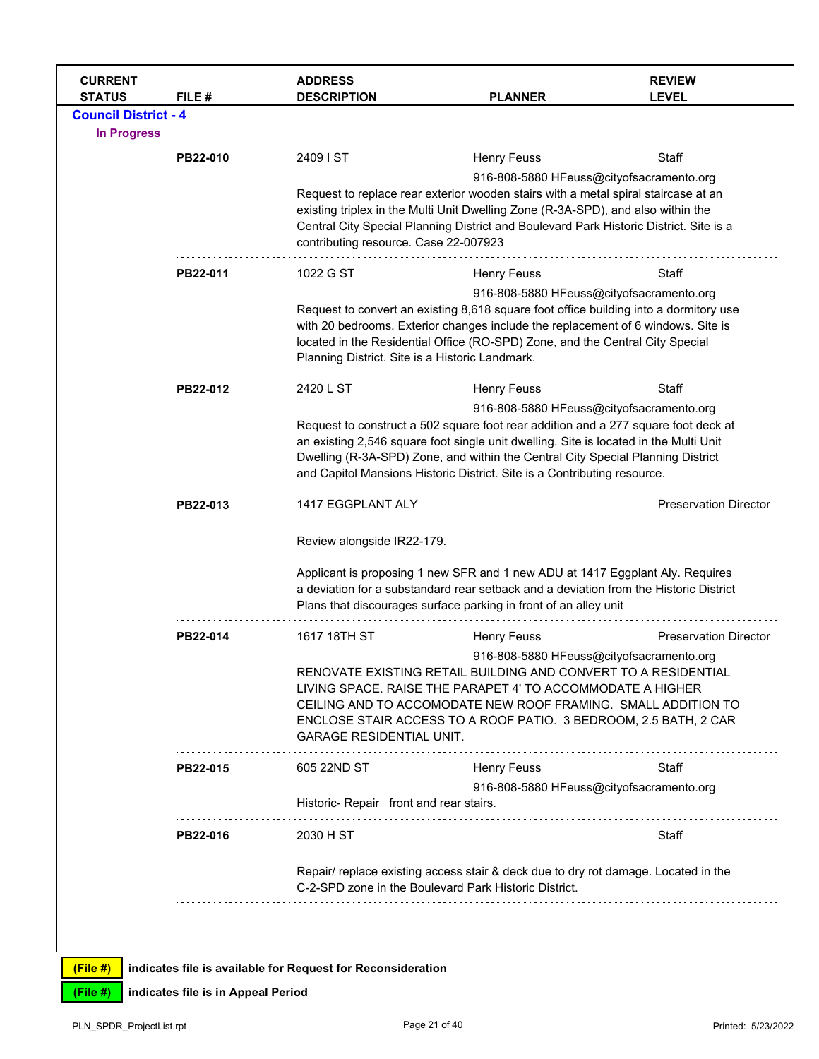| <b>CURRENT</b><br><b>STATUS</b> | FILE #   | <b>ADDRESS</b><br><b>DESCRIPTION</b>                                                                                                                                                                                                                                                                                                       | <b>PLANNER</b>                                                                                                                                                                                                                             | <b>REVIEW</b><br><b>LEVEL</b> |  |
|---------------------------------|----------|--------------------------------------------------------------------------------------------------------------------------------------------------------------------------------------------------------------------------------------------------------------------------------------------------------------------------------------------|--------------------------------------------------------------------------------------------------------------------------------------------------------------------------------------------------------------------------------------------|-------------------------------|--|
| <b>Council District - 4</b>     |          |                                                                                                                                                                                                                                                                                                                                            |                                                                                                                                                                                                                                            |                               |  |
| <b>In Progress</b>              |          |                                                                                                                                                                                                                                                                                                                                            |                                                                                                                                                                                                                                            |                               |  |
|                                 | PB22-010 | 2409 I ST                                                                                                                                                                                                                                                                                                                                  | <b>Henry Feuss</b>                                                                                                                                                                                                                         | Staff                         |  |
|                                 |          |                                                                                                                                                                                                                                                                                                                                            | 916-808-5880 HFeuss@cityofsacramento.org                                                                                                                                                                                                   |                               |  |
|                                 |          |                                                                                                                                                                                                                                                                                                                                            | Request to replace rear exterior wooden stairs with a metal spiral staircase at an<br>existing triplex in the Multi Unit Dwelling Zone (R-3A-SPD), and also within the                                                                     |                               |  |
|                                 |          |                                                                                                                                                                                                                                                                                                                                            | Central City Special Planning District and Boulevard Park Historic District. Site is a                                                                                                                                                     |                               |  |
|                                 |          | contributing resource. Case 22-007923                                                                                                                                                                                                                                                                                                      |                                                                                                                                                                                                                                            |                               |  |
|                                 | PB22-011 | 1022 G ST                                                                                                                                                                                                                                                                                                                                  | <b>Henry Feuss</b>                                                                                                                                                                                                                         | Staff                         |  |
|                                 |          |                                                                                                                                                                                                                                                                                                                                            | 916-808-5880 HFeuss@cityofsacramento.org                                                                                                                                                                                                   |                               |  |
|                                 |          | Request to convert an existing 8,618 square foot office building into a dormitory use<br>with 20 bedrooms. Exterior changes include the replacement of 6 windows. Site is<br>located in the Residential Office (RO-SPD) Zone, and the Central City Special                                                                                 |                                                                                                                                                                                                                                            |                               |  |
|                                 |          |                                                                                                                                                                                                                                                                                                                                            |                                                                                                                                                                                                                                            |                               |  |
|                                 |          | Planning District. Site is a Historic Landmark.                                                                                                                                                                                                                                                                                            |                                                                                                                                                                                                                                            |                               |  |
|                                 | PB22-012 | 2420 L ST                                                                                                                                                                                                                                                                                                                                  | <b>Henry Feuss</b>                                                                                                                                                                                                                         | Staff                         |  |
|                                 |          |                                                                                                                                                                                                                                                                                                                                            | 916-808-5880 HFeuss@cityofsacramento.org                                                                                                                                                                                                   |                               |  |
|                                 |          | Request to construct a 502 square foot rear addition and a 277 square foot deck at<br>an existing 2,546 square foot single unit dwelling. Site is located in the Multi Unit<br>Dwelling (R-3A-SPD) Zone, and within the Central City Special Planning District<br>and Capitol Mansions Historic District. Site is a Contributing resource. |                                                                                                                                                                                                                                            |                               |  |
|                                 |          |                                                                                                                                                                                                                                                                                                                                            |                                                                                                                                                                                                                                            |                               |  |
|                                 |          |                                                                                                                                                                                                                                                                                                                                            |                                                                                                                                                                                                                                            |                               |  |
|                                 | PB22-013 | 1417 EGGPLANT ALY                                                                                                                                                                                                                                                                                                                          |                                                                                                                                                                                                                                            | <b>Preservation Director</b>  |  |
|                                 |          | Review alongside IR22-179.                                                                                                                                                                                                                                                                                                                 |                                                                                                                                                                                                                                            |                               |  |
|                                 |          |                                                                                                                                                                                                                                                                                                                                            | Applicant is proposing 1 new SFR and 1 new ADU at 1417 Eggplant Aly. Requires<br>a deviation for a substandard rear setback and a deviation from the Historic District<br>Plans that discourages surface parking in front of an alley unit |                               |  |
|                                 | PB22-014 | 1617 18TH ST                                                                                                                                                                                                                                                                                                                               | <b>Henry Feuss</b>                                                                                                                                                                                                                         | <b>Preservation Director</b>  |  |
|                                 |          |                                                                                                                                                                                                                                                                                                                                            | 916-808-5880 HFeuss@cityofsacramento.org                                                                                                                                                                                                   |                               |  |
|                                 |          |                                                                                                                                                                                                                                                                                                                                            | RENOVATE EXISTING RETAIL BUILDING AND CONVERT TO A RESIDENTIAL<br>LIVING SPACE, RAISE THE PARAPET 4' TO ACCOMMODATE A HIGHER                                                                                                               |                               |  |
|                                 |          |                                                                                                                                                                                                                                                                                                                                            | CEILING AND TO ACCOMODATE NEW ROOF FRAMING. SMALL ADDITION TO                                                                                                                                                                              |                               |  |
|                                 |          |                                                                                                                                                                                                                                                                                                                                            | ENCLOSE STAIR ACCESS TO A ROOF PATIO. 3 BEDROOM, 2.5 BATH, 2 CAR                                                                                                                                                                           |                               |  |
|                                 |          | <b>GARAGE RESIDENTIAL UNIT.</b>                                                                                                                                                                                                                                                                                                            |                                                                                                                                                                                                                                            |                               |  |
|                                 | PB22-015 | 605 22ND ST                                                                                                                                                                                                                                                                                                                                | <b>Henry Feuss</b>                                                                                                                                                                                                                         | Staff                         |  |
|                                 |          |                                                                                                                                                                                                                                                                                                                                            | 916-808-5880 HFeuss@cityofsacramento.org                                                                                                                                                                                                   |                               |  |
|                                 |          | Historic-Repair front and rear stairs.                                                                                                                                                                                                                                                                                                     |                                                                                                                                                                                                                                            |                               |  |
|                                 | PB22-016 | 2030 H ST                                                                                                                                                                                                                                                                                                                                  |                                                                                                                                                                                                                                            | Staff                         |  |
|                                 |          |                                                                                                                                                                                                                                                                                                                                            | Repair/ replace existing access stair & deck due to dry rot damage. Located in the<br>C-2-SPD zone in the Boulevard Park Historic District.                                                                                                |                               |  |
|                                 |          |                                                                                                                                                                                                                                                                                                                                            |                                                                                                                                                                                                                                            |                               |  |
|                                 |          |                                                                                                                                                                                                                                                                                                                                            |                                                                                                                                                                                                                                            |                               |  |
|                                 |          |                                                                                                                                                                                                                                                                                                                                            |                                                                                                                                                                                                                                            |                               |  |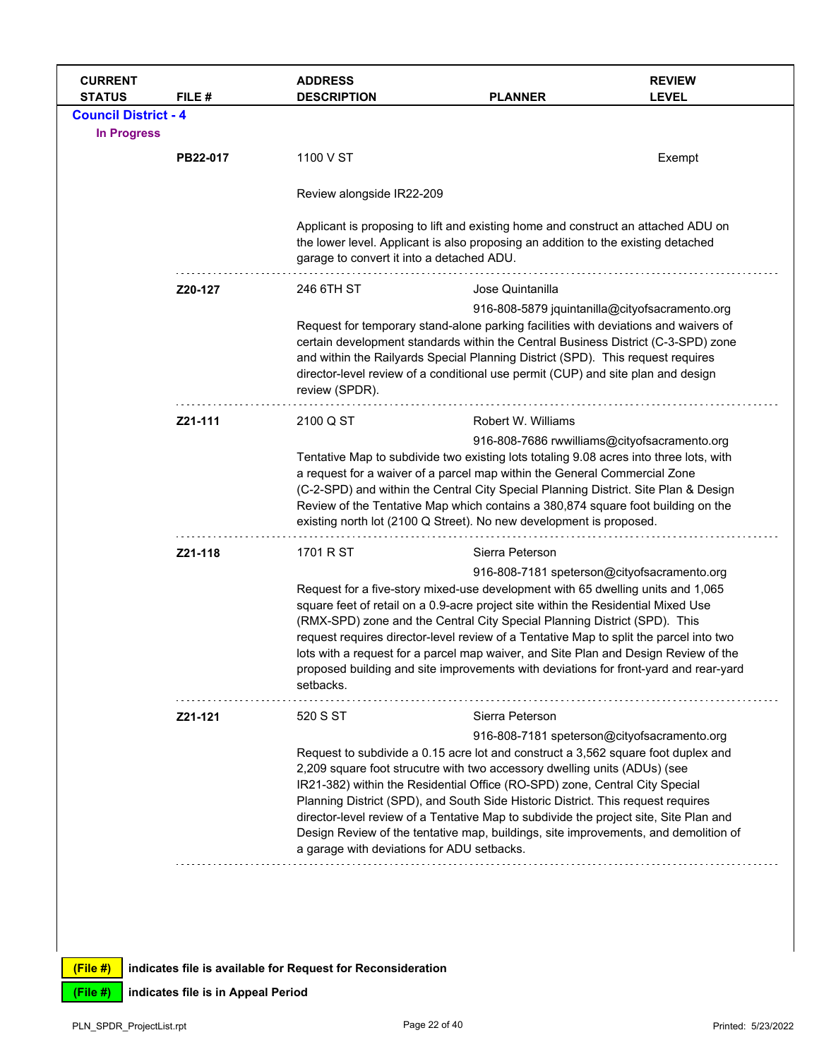| <b>CURRENT</b><br><b>STATUS</b> | FILE #   | <b>ADDRESS</b><br><b>DESCRIPTION</b>                                                                                                                                                                                                                                                                                                                                                                                                                                                                                                                            | <b>PLANNER</b>                                                                                                                                                                                                                                                                                                                                                                                                                                                                                                                                                            | <b>REVIEW</b><br><b>LEVEL</b>                  |
|---------------------------------|----------|-----------------------------------------------------------------------------------------------------------------------------------------------------------------------------------------------------------------------------------------------------------------------------------------------------------------------------------------------------------------------------------------------------------------------------------------------------------------------------------------------------------------------------------------------------------------|---------------------------------------------------------------------------------------------------------------------------------------------------------------------------------------------------------------------------------------------------------------------------------------------------------------------------------------------------------------------------------------------------------------------------------------------------------------------------------------------------------------------------------------------------------------------------|------------------------------------------------|
| <b>Council District - 4</b>     |          |                                                                                                                                                                                                                                                                                                                                                                                                                                                                                                                                                                 |                                                                                                                                                                                                                                                                                                                                                                                                                                                                                                                                                                           |                                                |
| <b>In Progress</b>              |          |                                                                                                                                                                                                                                                                                                                                                                                                                                                                                                                                                                 |                                                                                                                                                                                                                                                                                                                                                                                                                                                                                                                                                                           |                                                |
|                                 | PB22-017 | 1100 V ST                                                                                                                                                                                                                                                                                                                                                                                                                                                                                                                                                       |                                                                                                                                                                                                                                                                                                                                                                                                                                                                                                                                                                           | Exempt                                         |
|                                 |          | Review alongside IR22-209                                                                                                                                                                                                                                                                                                                                                                                                                                                                                                                                       |                                                                                                                                                                                                                                                                                                                                                                                                                                                                                                                                                                           |                                                |
|                                 |          | Applicant is proposing to lift and existing home and construct an attached ADU on<br>the lower level. Applicant is also proposing an addition to the existing detached<br>garage to convert it into a detached ADU.                                                                                                                                                                                                                                                                                                                                             |                                                                                                                                                                                                                                                                                                                                                                                                                                                                                                                                                                           |                                                |
|                                 | Z20-127  | 246 6TH ST                                                                                                                                                                                                                                                                                                                                                                                                                                                                                                                                                      | Jose Quintanilla                                                                                                                                                                                                                                                                                                                                                                                                                                                                                                                                                          |                                                |
|                                 |          | Request for temporary stand-alone parking facilities with deviations and waivers of<br>certain development standards within the Central Business District (C-3-SPD) zone<br>and within the Railyards Special Planning District (SPD). This request requires<br>director-level review of a conditional use permit (CUP) and site plan and design<br>review (SPDR).                                                                                                                                                                                               |                                                                                                                                                                                                                                                                                                                                                                                                                                                                                                                                                                           | 916-808-5879 jquintanilla@cityofsacramento.org |
|                                 | Z21-111  | 2100 Q ST                                                                                                                                                                                                                                                                                                                                                                                                                                                                                                                                                       | Robert W. Williams                                                                                                                                                                                                                                                                                                                                                                                                                                                                                                                                                        |                                                |
|                                 |          | Tentative Map to subdivide two existing lots totaling 9.08 acres into three lots, with<br>a request for a waiver of a parcel map within the General Commercial Zone<br>(C-2-SPD) and within the Central City Special Planning District. Site Plan & Design<br>Review of the Tentative Map which contains a 380,874 square foot building on the<br>existing north lot (2100 Q Street). No new development is proposed.                                                                                                                                           |                                                                                                                                                                                                                                                                                                                                                                                                                                                                                                                                                                           | 916-808-7686 rwwilliams@cityofsacramento.org   |
|                                 | Z21-118  | 1701 R ST                                                                                                                                                                                                                                                                                                                                                                                                                                                                                                                                                       | Sierra Peterson                                                                                                                                                                                                                                                                                                                                                                                                                                                                                                                                                           |                                                |
|                                 |          | setbacks.                                                                                                                                                                                                                                                                                                                                                                                                                                                                                                                                                       | 916-808-7181 speterson@cityofsacramento.org<br>Request for a five-story mixed-use development with 65 dwelling units and 1,065<br>square feet of retail on a 0.9-acre project site within the Residential Mixed Use<br>(RMX-SPD) zone and the Central City Special Planning District (SPD). This<br>request requires director-level review of a Tentative Map to split the parcel into two<br>lots with a request for a parcel map waiver, and Site Plan and Design Review of the<br>proposed building and site improvements with deviations for front-yard and rear-yard |                                                |
|                                 | Z21-121  | 520 S ST                                                                                                                                                                                                                                                                                                                                                                                                                                                                                                                                                        | Sierra Peterson                                                                                                                                                                                                                                                                                                                                                                                                                                                                                                                                                           |                                                |
|                                 |          | Request to subdivide a 0.15 acre lot and construct a 3,562 square foot duplex and<br>2,209 square foot strucutre with two accessory dwelling units (ADUs) (see<br>IR21-382) within the Residential Office (RO-SPD) zone, Central City Special<br>Planning District (SPD), and South Side Historic District. This request requires<br>director-level review of a Tentative Map to subdivide the project site, Site Plan and<br>Design Review of the tentative map, buildings, site improvements, and demolition of<br>a garage with deviations for ADU setbacks. | 916-808-7181 speterson@cityofsacramento.org                                                                                                                                                                                                                                                                                                                                                                                                                                                                                                                               |                                                |
|                                 |          |                                                                                                                                                                                                                                                                                                                                                                                                                                                                                                                                                                 |                                                                                                                                                                                                                                                                                                                                                                                                                                                                                                                                                                           |                                                |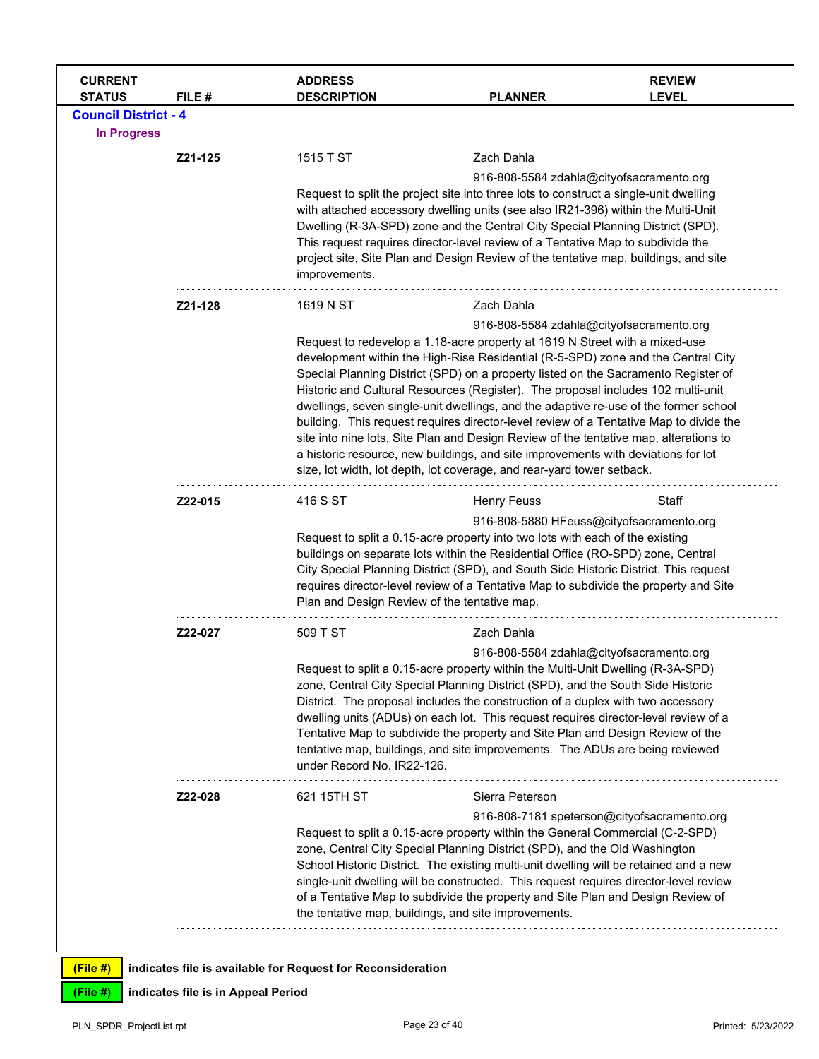| <b>CURRENT</b><br><b>STATUS</b> | FILE#   | <b>ADDRESS</b><br><b>DESCRIPTION</b>                                                                                                                                                                                                                                                                                                                                                                                                         | <b>PLANNER</b>                                                                                                                                                                                                                                                                                                                                                                                                                                                                                                                                                                                                                                                                                                                                                                                                                  | <b>REVIEW</b><br><b>LEVEL</b>               |
|---------------------------------|---------|----------------------------------------------------------------------------------------------------------------------------------------------------------------------------------------------------------------------------------------------------------------------------------------------------------------------------------------------------------------------------------------------------------------------------------------------|---------------------------------------------------------------------------------------------------------------------------------------------------------------------------------------------------------------------------------------------------------------------------------------------------------------------------------------------------------------------------------------------------------------------------------------------------------------------------------------------------------------------------------------------------------------------------------------------------------------------------------------------------------------------------------------------------------------------------------------------------------------------------------------------------------------------------------|---------------------------------------------|
| <b>Council District - 4</b>     |         |                                                                                                                                                                                                                                                                                                                                                                                                                                              |                                                                                                                                                                                                                                                                                                                                                                                                                                                                                                                                                                                                                                                                                                                                                                                                                                 |                                             |
| <b>In Progress</b>              |         |                                                                                                                                                                                                                                                                                                                                                                                                                                              |                                                                                                                                                                                                                                                                                                                                                                                                                                                                                                                                                                                                                                                                                                                                                                                                                                 |                                             |
|                                 | Z21-125 | 1515 T ST                                                                                                                                                                                                                                                                                                                                                                                                                                    | Zach Dahla                                                                                                                                                                                                                                                                                                                                                                                                                                                                                                                                                                                                                                                                                                                                                                                                                      |                                             |
|                                 |         | improvements.                                                                                                                                                                                                                                                                                                                                                                                                                                | 916-808-5584 zdahla@cityofsacramento.org<br>Request to split the project site into three lots to construct a single-unit dwelling<br>with attached accessory dwelling units (see also IR21-396) within the Multi-Unit<br>Dwelling (R-3A-SPD) zone and the Central City Special Planning District (SPD).<br>This request requires director-level review of a Tentative Map to subdivide the<br>project site, Site Plan and Design Review of the tentative map, buildings, and site                                                                                                                                                                                                                                                                                                                                               |                                             |
|                                 | Z21-128 | 1619 N ST                                                                                                                                                                                                                                                                                                                                                                                                                                    | Zach Dahla                                                                                                                                                                                                                                                                                                                                                                                                                                                                                                                                                                                                                                                                                                                                                                                                                      |                                             |
|                                 |         |                                                                                                                                                                                                                                                                                                                                                                                                                                              | 916-808-5584 zdahla@cityofsacramento.org<br>Request to redevelop a 1.18-acre property at 1619 N Street with a mixed-use<br>development within the High-Rise Residential (R-5-SPD) zone and the Central City<br>Special Planning District (SPD) on a property listed on the Sacramento Register of<br>Historic and Cultural Resources (Register). The proposal includes 102 multi-unit<br>dwellings, seven single-unit dwellings, and the adaptive re-use of the former school<br>building. This request requires director-level review of a Tentative Map to divide the<br>site into nine lots, Site Plan and Design Review of the tentative map, alterations to<br>a historic resource, new buildings, and site improvements with deviations for lot<br>size, lot width, lot depth, lot coverage, and rear-yard tower setback. |                                             |
|                                 | Z22-015 | 416 S ST                                                                                                                                                                                                                                                                                                                                                                                                                                     | <b>Henry Feuss</b>                                                                                                                                                                                                                                                                                                                                                                                                                                                                                                                                                                                                                                                                                                                                                                                                              | Staff                                       |
|                                 |         | 916-808-5880 HFeuss@cityofsacramento.org<br>Request to split a 0.15-acre property into two lots with each of the existing<br>buildings on separate lots within the Residential Office (RO-SPD) zone, Central<br>City Special Planning District (SPD), and South Side Historic District. This request<br>requires director-level review of a Tentative Map to subdivide the property and Site<br>Plan and Design Review of the tentative map. |                                                                                                                                                                                                                                                                                                                                                                                                                                                                                                                                                                                                                                                                                                                                                                                                                                 |                                             |
|                                 | Z22-027 | 509 T ST                                                                                                                                                                                                                                                                                                                                                                                                                                     | Zach Dahla                                                                                                                                                                                                                                                                                                                                                                                                                                                                                                                                                                                                                                                                                                                                                                                                                      |                                             |
|                                 |         | under Record No. IR22-126.                                                                                                                                                                                                                                                                                                                                                                                                                   | 916-808-5584 zdahla@cityofsacramento.org<br>Request to split a 0.15-acre property within the Multi-Unit Dwelling (R-3A-SPD)<br>zone, Central City Special Planning District (SPD), and the South Side Historic<br>District. The proposal includes the construction of a duplex with two accessory<br>dwelling units (ADUs) on each lot. This request requires director-level review of a<br>Tentative Map to subdivide the property and Site Plan and Design Review of the<br>tentative map, buildings, and site improvements. The ADUs are being reviewed                                                                                                                                                                                                                                                                      |                                             |
|                                 | Z22-028 | 621 15TH ST                                                                                                                                                                                                                                                                                                                                                                                                                                  | Sierra Peterson                                                                                                                                                                                                                                                                                                                                                                                                                                                                                                                                                                                                                                                                                                                                                                                                                 |                                             |
|                                 |         |                                                                                                                                                                                                                                                                                                                                                                                                                                              | Request to split a 0.15-acre property within the General Commercial (C-2-SPD)<br>zone, Central City Special Planning District (SPD), and the Old Washington<br>School Historic District. The existing multi-unit dwelling will be retained and a new<br>single-unit dwelling will be constructed. This request requires director-level review<br>of a Tentative Map to subdivide the property and Site Plan and Design Review of<br>the tentative map, buildings, and site improvements.                                                                                                                                                                                                                                                                                                                                        | 916-808-7181 speterson@cityofsacramento.org |
| (File #)                        |         | indicates file is available for Request for Reconsideration                                                                                                                                                                                                                                                                                                                                                                                  |                                                                                                                                                                                                                                                                                                                                                                                                                                                                                                                                                                                                                                                                                                                                                                                                                                 |                                             |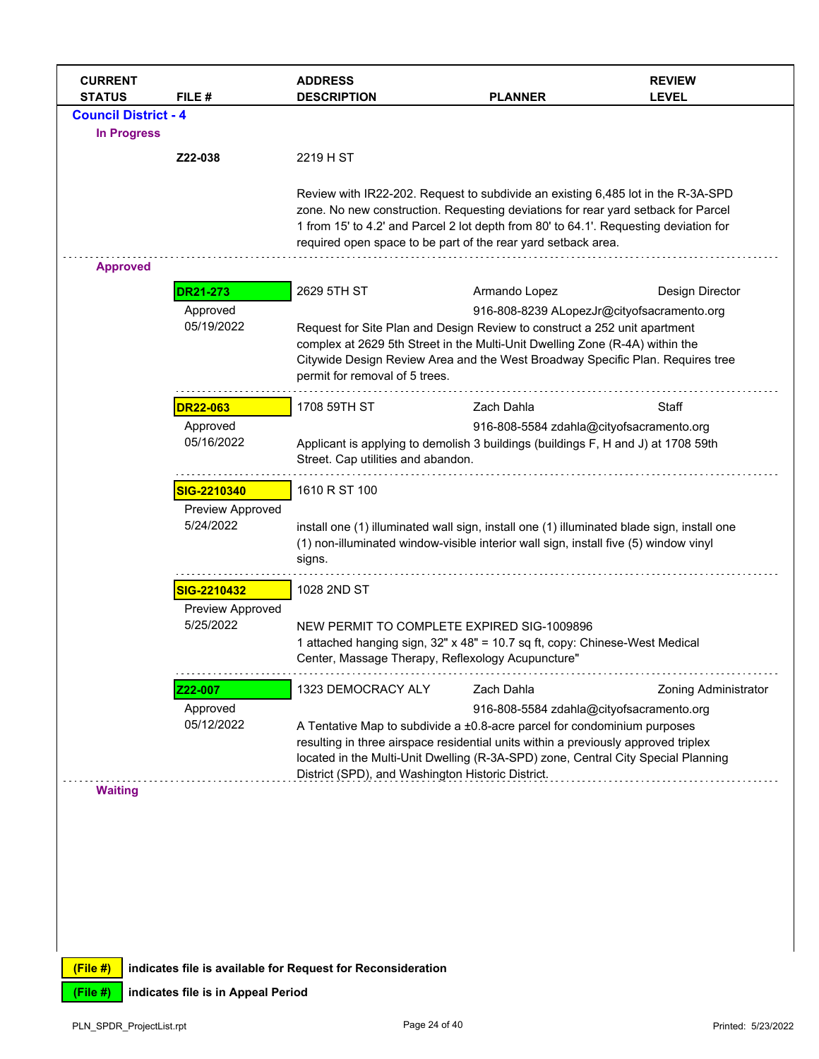| <b>CURRENT</b><br><b>STATUS</b> | FILE#                         | <b>ADDRESS</b><br><b>DESCRIPTION</b>                                                                                                                                                                                                                                                                                            | <b>PLANNER</b>                                                                                                                                                                                                                                      | <b>REVIEW</b><br><b>LEVEL</b>              |  |
|---------------------------------|-------------------------------|---------------------------------------------------------------------------------------------------------------------------------------------------------------------------------------------------------------------------------------------------------------------------------------------------------------------------------|-----------------------------------------------------------------------------------------------------------------------------------------------------------------------------------------------------------------------------------------------------|--------------------------------------------|--|
| <b>Council District - 4</b>     |                               |                                                                                                                                                                                                                                                                                                                                 |                                                                                                                                                                                                                                                     |                                            |  |
| <b>In Progress</b>              |                               |                                                                                                                                                                                                                                                                                                                                 |                                                                                                                                                                                                                                                     |                                            |  |
|                                 | Z22-038                       | 2219 H ST                                                                                                                                                                                                                                                                                                                       |                                                                                                                                                                                                                                                     |                                            |  |
|                                 |                               | Review with IR22-202. Request to subdivide an existing 6,485 lot in the R-3A-SPD<br>zone. No new construction. Requesting deviations for rear yard setback for Parcel<br>1 from 15' to 4.2' and Parcel 2 lot depth from 80' to 64.1'. Requesting deviation for<br>required open space to be part of the rear yard setback area. |                                                                                                                                                                                                                                                     |                                            |  |
| <b>Approved</b>                 |                               |                                                                                                                                                                                                                                                                                                                                 |                                                                                                                                                                                                                                                     |                                            |  |
|                                 | <b>DR21-273</b>               | 2629 5TH ST                                                                                                                                                                                                                                                                                                                     | Armando Lopez                                                                                                                                                                                                                                       | Design Director                            |  |
|                                 | Approved<br>05/19/2022        | permit for removal of 5 trees.                                                                                                                                                                                                                                                                                                  | Request for Site Plan and Design Review to construct a 252 unit apartment<br>complex at 2629 5th Street in the Multi-Unit Dwelling Zone (R-4A) within the<br>Citywide Design Review Area and the West Broadway Specific Plan. Requires tree         | 916-808-8239 ALopezJr@cityofsacramento.org |  |
|                                 | <b>DR22-063</b>               | 1708 59TH ST                                                                                                                                                                                                                                                                                                                    | Zach Dahla                                                                                                                                                                                                                                          | Staff                                      |  |
|                                 | Approved<br>05/16/2022        | 916-808-5584 zdahla@cityofsacramento.org<br>Applicant is applying to demolish 3 buildings (buildings F, H and J) at 1708 59th<br>Street. Cap utilities and abandon.                                                                                                                                                             |                                                                                                                                                                                                                                                     |                                            |  |
|                                 | SIG-2210340                   | 1610 R ST 100                                                                                                                                                                                                                                                                                                                   |                                                                                                                                                                                                                                                     |                                            |  |
|                                 | Preview Approved<br>5/24/2022 | signs.                                                                                                                                                                                                                                                                                                                          | install one (1) illuminated wall sign, install one (1) illuminated blade sign, install one<br>(1) non-illuminated window-visible interior wall sign, install five (5) window vinyl                                                                  |                                            |  |
|                                 | SIG-2210432                   | 1028 2ND ST                                                                                                                                                                                                                                                                                                                     |                                                                                                                                                                                                                                                     |                                            |  |
|                                 | Preview Approved<br>5/25/2022 | Center, Massage Therapy, Reflexology Acupuncture"                                                                                                                                                                                                                                                                               | NEW PERMIT TO COMPLETE EXPIRED SIG-1009896<br>1 attached hanging sign, 32" x 48" = 10.7 sq ft, copy: Chinese-West Medical                                                                                                                           |                                            |  |
|                                 | Z22-007                       | 1323 DEMOCRACY ALY                                                                                                                                                                                                                                                                                                              | Zach Dahla                                                                                                                                                                                                                                          | <b>Zoning Administrator</b>                |  |
|                                 | Approved                      |                                                                                                                                                                                                                                                                                                                                 | 916-808-5584 zdahla@cityofsacramento.org                                                                                                                                                                                                            |                                            |  |
|                                 | 05/12/2022                    | District (SPD), and Washington Historic District.                                                                                                                                                                                                                                                                               | A Tentative Map to subdivide a ±0.8-acre parcel for condominium purposes<br>resulting in three airspace residential units within a previously approved triplex<br>located in the Multi-Unit Dwelling (R-3A-SPD) zone, Central City Special Planning |                                            |  |
| <b>Waiting</b>                  |                               |                                                                                                                                                                                                                                                                                                                                 |                                                                                                                                                                                                                                                     |                                            |  |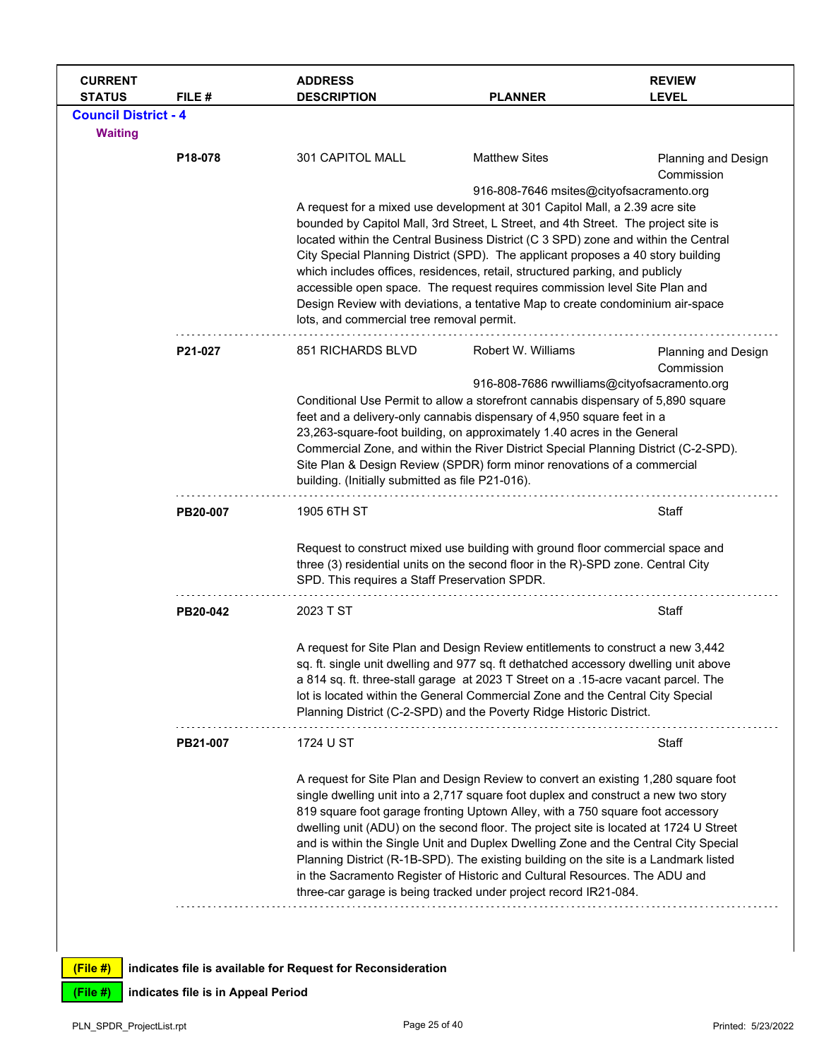| <b>CURRENT</b><br><b>STATUS</b> | FILE#    | <b>ADDRESS</b><br><b>DESCRIPTION</b>                                                                                                                                                                                | <b>PLANNER</b>                                                                                                                                                                                                                                                                                                                                                                                                                                                                                                                                                                                                                                                                       | <b>REVIEW</b><br><b>LEVEL</b>            |
|---------------------------------|----------|---------------------------------------------------------------------------------------------------------------------------------------------------------------------------------------------------------------------|--------------------------------------------------------------------------------------------------------------------------------------------------------------------------------------------------------------------------------------------------------------------------------------------------------------------------------------------------------------------------------------------------------------------------------------------------------------------------------------------------------------------------------------------------------------------------------------------------------------------------------------------------------------------------------------|------------------------------------------|
| <b>Council District - 4</b>     |          |                                                                                                                                                                                                                     |                                                                                                                                                                                                                                                                                                                                                                                                                                                                                                                                                                                                                                                                                      |                                          |
| <b>Waiting</b>                  | P18-078  | 301 CAPITOL MALL                                                                                                                                                                                                    | <b>Matthew Sites</b>                                                                                                                                                                                                                                                                                                                                                                                                                                                                                                                                                                                                                                                                 | <b>Planning and Design</b>               |
|                                 |          | lots, and commercial tree removal permit.                                                                                                                                                                           | 916-808-7646 msites@cityofsacramento.org<br>A request for a mixed use development at 301 Capitol Mall, a 2.39 acre site<br>bounded by Capitol Mall, 3rd Street, L Street, and 4th Street. The project site is<br>located within the Central Business District (C 3 SPD) zone and within the Central<br>City Special Planning District (SPD). The applicant proposes a 40 story building<br>which includes offices, residences, retail, structured parking, and publicly<br>accessible open space. The request requires commission level Site Plan and<br>Design Review with deviations, a tentative Map to create condominium air-space                                              | Commission                               |
|                                 | P21-027  | 851 RICHARDS BLVD<br>building. (Initially submitted as file P21-016).                                                                                                                                               | Robert W. Williams<br>916-808-7686 rwwilliams@cityofsacramento.org<br>Conditional Use Permit to allow a storefront cannabis dispensary of 5,890 square<br>feet and a delivery-only cannabis dispensary of 4,950 square feet in a<br>23,263-square-foot building, on approximately 1.40 acres in the General<br>Commercial Zone, and within the River District Special Planning District (C-2-SPD).<br>Site Plan & Design Review (SPDR) form minor renovations of a commercial                                                                                                                                                                                                        | <b>Planning and Design</b><br>Commission |
|                                 | PB20-007 | 1905 6TH ST                                                                                                                                                                                                         |                                                                                                                                                                                                                                                                                                                                                                                                                                                                                                                                                                                                                                                                                      | Staff                                    |
|                                 |          | Request to construct mixed use building with ground floor commercial space and<br>three (3) residential units on the second floor in the R)-SPD zone. Central City<br>SPD. This requires a Staff Preservation SPDR. |                                                                                                                                                                                                                                                                                                                                                                                                                                                                                                                                                                                                                                                                                      |                                          |
|                                 | PB20-042 | 2023 T ST                                                                                                                                                                                                           |                                                                                                                                                                                                                                                                                                                                                                                                                                                                                                                                                                                                                                                                                      | Staff                                    |
|                                 |          |                                                                                                                                                                                                                     | A request for Site Plan and Design Review entitlements to construct a new 3,442<br>sq. ft. single unit dwelling and 977 sq. ft dethatched accessory dwelling unit above<br>a 814 sq. ft. three-stall garage at 2023 T Street on a .15-acre vacant parcel. The<br>lot is located within the General Commercial Zone and the Central City Special<br>Planning District (C-2-SPD) and the Poverty Ridge Historic District.                                                                                                                                                                                                                                                              |                                          |
|                                 | PB21-007 | 1724 U ST                                                                                                                                                                                                           |                                                                                                                                                                                                                                                                                                                                                                                                                                                                                                                                                                                                                                                                                      | Staff                                    |
|                                 |          |                                                                                                                                                                                                                     | A request for Site Plan and Design Review to convert an existing 1,280 square foot<br>single dwelling unit into a 2,717 square foot duplex and construct a new two story<br>819 square foot garage fronting Uptown Alley, with a 750 square foot accessory<br>dwelling unit (ADU) on the second floor. The project site is located at 1724 U Street<br>and is within the Single Unit and Duplex Dwelling Zone and the Central City Special<br>Planning District (R-1B-SPD). The existing building on the site is a Landmark listed<br>in the Sacramento Register of Historic and Cultural Resources. The ADU and<br>three-car garage is being tracked under project record IR21-084. |                                          |
|                                 |          |                                                                                                                                                                                                                     |                                                                                                                                                                                                                                                                                                                                                                                                                                                                                                                                                                                                                                                                                      |                                          |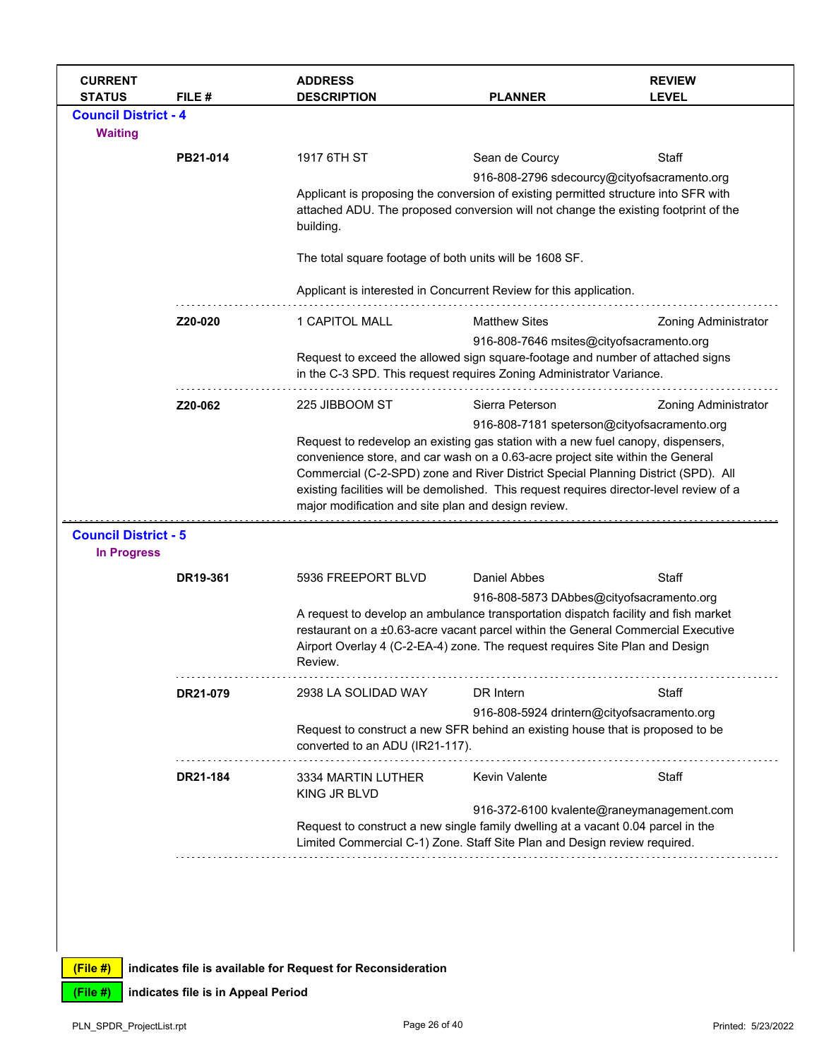| <b>CURRENT</b><br><b>STATUS</b>                   | FILE#    | <b>ADDRESS</b><br><b>DESCRIPTION</b>                                                                                                                                                    | <b>PLANNER</b>                                                                                                                                                                                                                                                  | <b>REVIEW</b><br><b>LEVEL</b>               |  |  |
|---------------------------------------------------|----------|-----------------------------------------------------------------------------------------------------------------------------------------------------------------------------------------|-----------------------------------------------------------------------------------------------------------------------------------------------------------------------------------------------------------------------------------------------------------------|---------------------------------------------|--|--|
| <b>Council District - 4</b>                       |          |                                                                                                                                                                                         |                                                                                                                                                                                                                                                                 |                                             |  |  |
| <b>Waiting</b>                                    |          |                                                                                                                                                                                         |                                                                                                                                                                                                                                                                 |                                             |  |  |
|                                                   | PB21-014 | 1917 6TH ST                                                                                                                                                                             | Sean de Courcy                                                                                                                                                                                                                                                  | Staff                                       |  |  |
|                                                   |          |                                                                                                                                                                                         |                                                                                                                                                                                                                                                                 | 916-808-2796 sdecourcy@cityofsacramento.org |  |  |
|                                                   |          | Applicant is proposing the conversion of existing permitted structure into SFR with<br>attached ADU. The proposed conversion will not change the existing footprint of the<br>building. |                                                                                                                                                                                                                                                                 |                                             |  |  |
|                                                   |          | The total square footage of both units will be 1608 SF.                                                                                                                                 |                                                                                                                                                                                                                                                                 |                                             |  |  |
|                                                   |          | Applicant is interested in Concurrent Review for this application.                                                                                                                      |                                                                                                                                                                                                                                                                 |                                             |  |  |
|                                                   | Z20-020  | 1 CAPITOL MALL                                                                                                                                                                          | <b>Matthew Sites</b>                                                                                                                                                                                                                                            | <b>Zoning Administrator</b>                 |  |  |
|                                                   |          |                                                                                                                                                                                         | 916-808-7646 msites@cityofsacramento.org<br>Request to exceed the allowed sign square-footage and number of attached signs<br>in the C-3 SPD. This request requires Zoning Administrator Variance.                                                              |                                             |  |  |
|                                                   | Z20-062  | 225 JIBBOOM ST                                                                                                                                                                          | Sierra Peterson                                                                                                                                                                                                                                                 | <b>Zoning Administrator</b>                 |  |  |
|                                                   |          | major modification and site plan and design review.                                                                                                                                     | convenience store, and car wash on a 0.63-acre project site within the General<br>Commercial (C-2-SPD) zone and River District Special Planning District (SPD). All<br>existing facilities will be demolished. This request requires director-level review of a |                                             |  |  |
| <b>Council District - 5</b><br><b>In Progress</b> |          |                                                                                                                                                                                         |                                                                                                                                                                                                                                                                 |                                             |  |  |
|                                                   | DR19-361 | 5936 FREEPORT BLVD                                                                                                                                                                      | Daniel Abbes                                                                                                                                                                                                                                                    | Staff                                       |  |  |
|                                                   |          | A request to develop an ambulance transportation dispatch facility and fish market<br>Airport Overlay 4 (C-2-EA-4) zone. The request requires Site Plan and Design<br>Review.           | 916-808-5873 DAbbes@cityofsacramento.org<br>restaurant on a ±0.63-acre vacant parcel within the General Commercial Executive                                                                                                                                    |                                             |  |  |
|                                                   | DR21-079 | 2938 LA SOLIDAD WAY                                                                                                                                                                     | DR Intern                                                                                                                                                                                                                                                       | Staff                                       |  |  |
|                                                   |          |                                                                                                                                                                                         | 916-808-5924 drintern@cityofsacramento.org                                                                                                                                                                                                                      |                                             |  |  |
|                                                   |          | Request to construct a new SFR behind an existing house that is proposed to be<br>converted to an ADU (IR21-117).                                                                       |                                                                                                                                                                                                                                                                 |                                             |  |  |
|                                                   | DR21-184 | 3334 MARTIN LUTHER<br>KING JR BLVD                                                                                                                                                      | <b>Kevin Valente</b>                                                                                                                                                                                                                                            | Staff                                       |  |  |
|                                                   |          |                                                                                                                                                                                         |                                                                                                                                                                                                                                                                 | 916-372-6100 kvalente@raneymanagement.com   |  |  |
|                                                   |          | Request to construct a new single family dwelling at a vacant 0.04 parcel in the<br>Limited Commercial C-1) Zone. Staff Site Plan and Design review required.                           |                                                                                                                                                                                                                                                                 |                                             |  |  |
|                                                   |          |                                                                                                                                                                                         |                                                                                                                                                                                                                                                                 |                                             |  |  |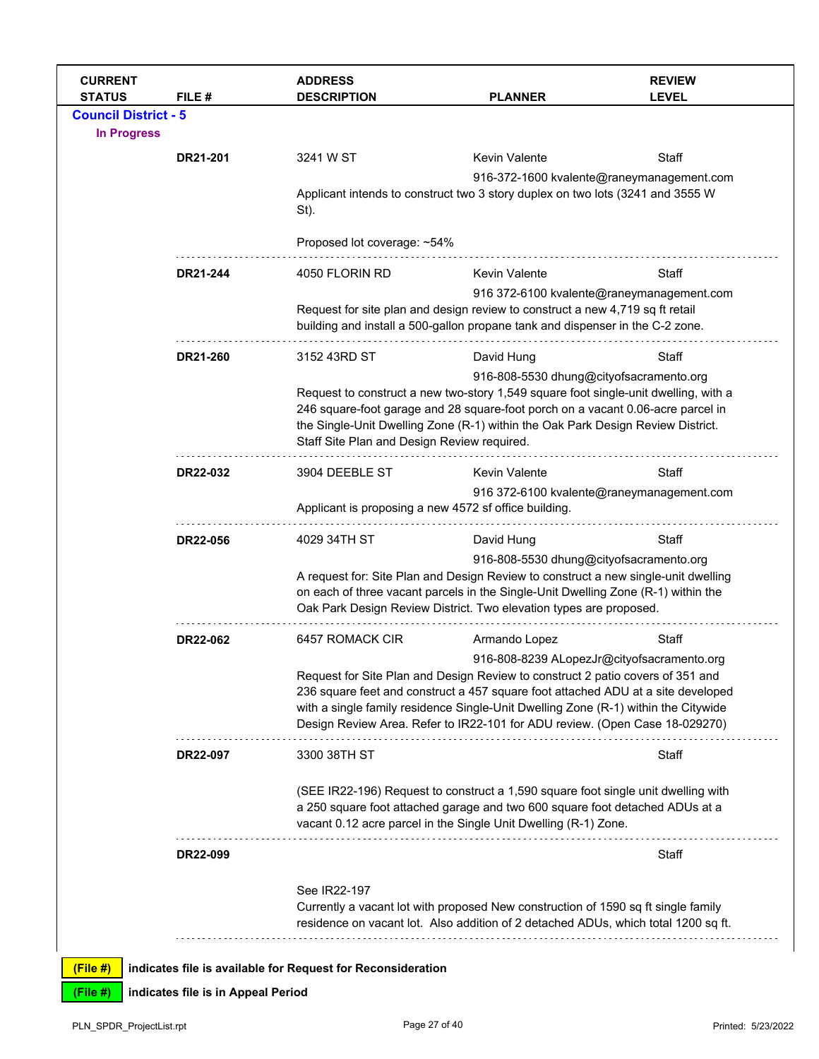| <b>CURRENT</b><br><b>STATUS</b> | FILE#    | <b>ADDRESS</b><br><b>DESCRIPTION</b>                        | <b>PLANNER</b>                                                                                                                                                                                                                                                                           | <b>REVIEW</b><br><b>LEVEL</b>             |  |
|---------------------------------|----------|-------------------------------------------------------------|------------------------------------------------------------------------------------------------------------------------------------------------------------------------------------------------------------------------------------------------------------------------------------------|-------------------------------------------|--|
| <b>Council District - 5</b>     |          |                                                             |                                                                                                                                                                                                                                                                                          |                                           |  |
| <b>In Progress</b>              |          |                                                             |                                                                                                                                                                                                                                                                                          |                                           |  |
|                                 | DR21-201 | 3241 W ST                                                   | Kevin Valente                                                                                                                                                                                                                                                                            | Staff                                     |  |
|                                 |          | St).                                                        | Applicant intends to construct two 3 story duplex on two lots (3241 and 3555 W                                                                                                                                                                                                           | 916-372-1600 kvalente@raneymanagement.com |  |
|                                 |          | Proposed lot coverage: ~54%                                 |                                                                                                                                                                                                                                                                                          |                                           |  |
|                                 | DR21-244 | 4050 FLORIN RD                                              | <b>Kevin Valente</b>                                                                                                                                                                                                                                                                     | Staff                                     |  |
|                                 |          |                                                             | Request for site plan and design review to construct a new 4,719 sq ft retail<br>building and install a 500-gallon propane tank and dispenser in the C-2 zone.                                                                                                                           | 916 372-6100 kvalente@raneymanagement.com |  |
|                                 | DR21-260 | 3152 43RD ST                                                | David Hung                                                                                                                                                                                                                                                                               | Staff                                     |  |
|                                 |          |                                                             | 916-808-5530 dhung@cityofsacramento.org                                                                                                                                                                                                                                                  |                                           |  |
|                                 |          | Staff Site Plan and Design Review required.                 | Request to construct a new two-story 1,549 square foot single-unit dwelling, with a<br>246 square-foot garage and 28 square-foot porch on a vacant 0.06-acre parcel in<br>the Single-Unit Dwelling Zone (R-1) within the Oak Park Design Review District.                                |                                           |  |
|                                 | DR22-032 | 3904 DEEBLE ST                                              | <b>Kevin Valente</b>                                                                                                                                                                                                                                                                     | Staff                                     |  |
|                                 |          |                                                             | 916 372-6100 kvalente@raneymanagement.com<br>Applicant is proposing a new 4572 sf office building.                                                                                                                                                                                       |                                           |  |
|                                 |          |                                                             |                                                                                                                                                                                                                                                                                          |                                           |  |
|                                 | DR22-056 | 4029 34TH ST                                                | David Hung                                                                                                                                                                                                                                                                               | Staff                                     |  |
|                                 |          |                                                             | 916-808-5530 dhung@cityofsacramento.org<br>A request for: Site Plan and Design Review to construct a new single-unit dwelling<br>on each of three vacant parcels in the Single-Unit Dwelling Zone (R-1) within the<br>Oak Park Design Review District. Two elevation types are proposed. |                                           |  |
|                                 | DR22-062 | 6457 ROMACK CIR                                             | Armando Lopez                                                                                                                                                                                                                                                                            | Staff                                     |  |
|                                 |          |                                                             | 916-808-8239 ALopezJr@cityofsacramento.org                                                                                                                                                                                                                                               |                                           |  |
|                                 |          |                                                             | Request for Site Plan and Design Review to construct 2 patio covers of 351 and                                                                                                                                                                                                           |                                           |  |
|                                 |          |                                                             | 236 square feet and construct a 457 square foot attached ADU at a site developed<br>with a single family residence Single-Unit Dwelling Zone (R-1) within the Citywide<br>Design Review Area. Refer to IR22-101 for ADU review. (Open Case 18-029270)                                    |                                           |  |
|                                 | DR22-097 | 3300 38TH ST                                                |                                                                                                                                                                                                                                                                                          | Staff                                     |  |
|                                 |          |                                                             | (SEE IR22-196) Request to construct a 1,590 square foot single unit dwelling with<br>a 250 square foot attached garage and two 600 square foot detached ADUs at a<br>vacant 0.12 acre parcel in the Single Unit Dwelling (R-1) Zone.                                                     |                                           |  |
|                                 | DR22-099 |                                                             |                                                                                                                                                                                                                                                                                          | Staff                                     |  |
|                                 |          | See IR22-197                                                |                                                                                                                                                                                                                                                                                          |                                           |  |
|                                 |          |                                                             | Currently a vacant lot with proposed New construction of 1590 sq ft single family<br>residence on vacant lot. Also addition of 2 detached ADUs, which total 1200 sq ft.                                                                                                                  |                                           |  |
|                                 |          |                                                             |                                                                                                                                                                                                                                                                                          |                                           |  |
| (File #)                        |          | indicates file is available for Request for Reconsideration |                                                                                                                                                                                                                                                                                          |                                           |  |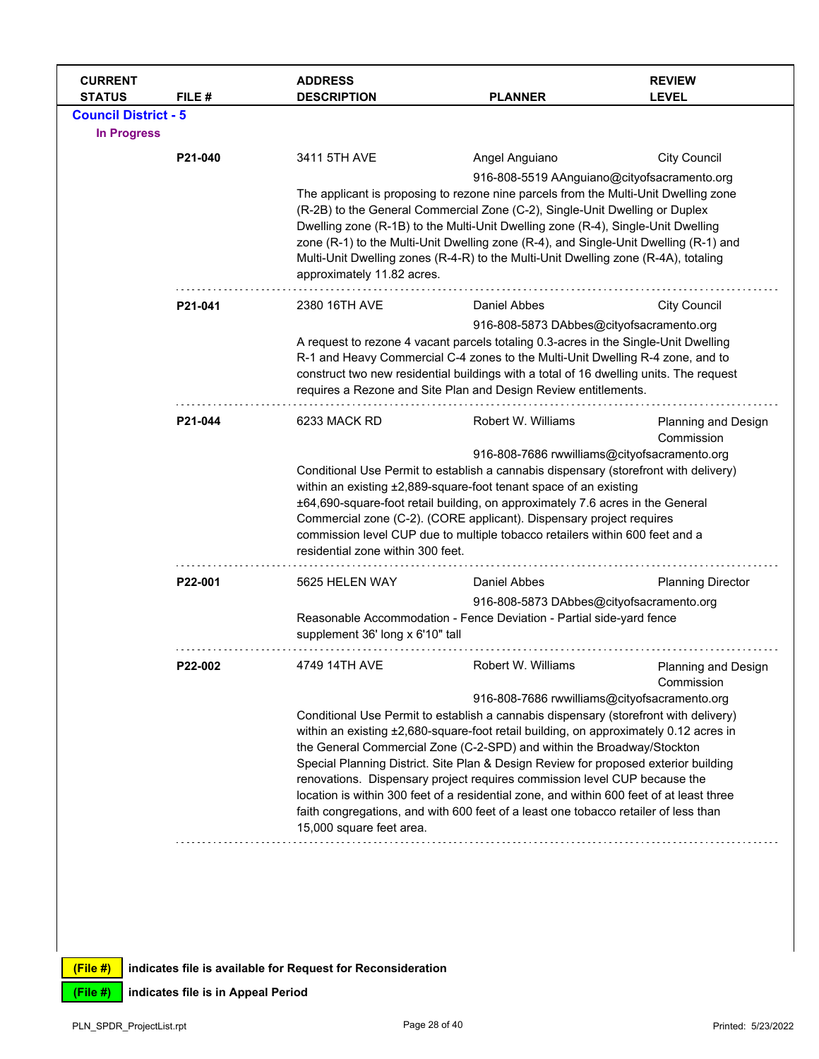| <b>CURRENT</b><br><b>STATUS</b> | FILE #  | <b>ADDRESS</b><br><b>DESCRIPTION</b>                                                                                                                                                                                                                                                                                                                                                                                                                               | <b>PLANNER</b>                                                                                                                                                | <b>REVIEW</b><br><b>LEVEL</b>     |  |  |  |
|---------------------------------|---------|--------------------------------------------------------------------------------------------------------------------------------------------------------------------------------------------------------------------------------------------------------------------------------------------------------------------------------------------------------------------------------------------------------------------------------------------------------------------|---------------------------------------------------------------------------------------------------------------------------------------------------------------|-----------------------------------|--|--|--|
| <b>Council District - 5</b>     |         |                                                                                                                                                                                                                                                                                                                                                                                                                                                                    |                                                                                                                                                               |                                   |  |  |  |
| <b>In Progress</b>              |         |                                                                                                                                                                                                                                                                                                                                                                                                                                                                    |                                                                                                                                                               |                                   |  |  |  |
|                                 | P21-040 | 3411 5TH AVE                                                                                                                                                                                                                                                                                                                                                                                                                                                       | Angel Anguiano                                                                                                                                                | <b>City Council</b>               |  |  |  |
|                                 |         |                                                                                                                                                                                                                                                                                                                                                                                                                                                                    | 916-808-5519 AAnguiano@cityofsacramento.org                                                                                                                   |                                   |  |  |  |
|                                 |         | The applicant is proposing to rezone nine parcels from the Multi-Unit Dwelling zone<br>(R-2B) to the General Commercial Zone (C-2), Single-Unit Dwelling or Duplex<br>Dwelling zone (R-1B) to the Multi-Unit Dwelling zone (R-4), Single-Unit Dwelling<br>zone (R-1) to the Multi-Unit Dwelling zone (R-4), and Single-Unit Dwelling (R-1) and<br>Multi-Unit Dwelling zones (R-4-R) to the Multi-Unit Dwelling zone (R-4A), totaling<br>approximately 11.82 acres. |                                                                                                                                                               |                                   |  |  |  |
|                                 | P21-041 | 2380 16TH AVE                                                                                                                                                                                                                                                                                                                                                                                                                                                      | Daniel Abbes                                                                                                                                                  | <b>City Council</b>               |  |  |  |
|                                 |         |                                                                                                                                                                                                                                                                                                                                                                                                                                                                    | 916-808-5873 DAbbes@cityofsacramento.org                                                                                                                      |                                   |  |  |  |
|                                 |         |                                                                                                                                                                                                                                                                                                                                                                                                                                                                    | A request to rezone 4 vacant parcels totaling 0.3-acres in the Single-Unit Dwelling                                                                           |                                   |  |  |  |
|                                 |         |                                                                                                                                                                                                                                                                                                                                                                                                                                                                    | R-1 and Heavy Commercial C-4 zones to the Multi-Unit Dwelling R-4 zone, and to                                                                                |                                   |  |  |  |
|                                 |         |                                                                                                                                                                                                                                                                                                                                                                                                                                                                    | construct two new residential buildings with a total of 16 dwelling units. The request                                                                        |                                   |  |  |  |
|                                 |         |                                                                                                                                                                                                                                                                                                                                                                                                                                                                    | requires a Rezone and Site Plan and Design Review entitlements.                                                                                               |                                   |  |  |  |
|                                 | P21-044 | 6233 MACK RD                                                                                                                                                                                                                                                                                                                                                                                                                                                       | Robert W. Williams                                                                                                                                            | Planning and Design<br>Commission |  |  |  |
|                                 |         |                                                                                                                                                                                                                                                                                                                                                                                                                                                                    | 916-808-7686 rwwilliams@cityofsacramento.org                                                                                                                  |                                   |  |  |  |
|                                 |         |                                                                                                                                                                                                                                                                                                                                                                                                                                                                    | Conditional Use Permit to establish a cannabis dispensary (storefront with delivery)                                                                          |                                   |  |  |  |
|                                 |         |                                                                                                                                                                                                                                                                                                                                                                                                                                                                    | within an existing ±2,889-square-foot tenant space of an existing<br>±64,690-square-foot retail building, on approximately 7.6 acres in the General           |                                   |  |  |  |
|                                 |         |                                                                                                                                                                                                                                                                                                                                                                                                                                                                    | Commercial zone (C-2). (CORE applicant). Dispensary project requires                                                                                          |                                   |  |  |  |
|                                 |         |                                                                                                                                                                                                                                                                                                                                                                                                                                                                    | commission level CUP due to multiple tobacco retailers within 600 feet and a                                                                                  |                                   |  |  |  |
|                                 |         | residential zone within 300 feet.                                                                                                                                                                                                                                                                                                                                                                                                                                  |                                                                                                                                                               |                                   |  |  |  |
|                                 | P22-001 | 5625 HELEN WAY                                                                                                                                                                                                                                                                                                                                                                                                                                                     | Daniel Abbes                                                                                                                                                  | <b>Planning Director</b>          |  |  |  |
|                                 |         |                                                                                                                                                                                                                                                                                                                                                                                                                                                                    | 916-808-5873 DAbbes@cityofsacramento.org                                                                                                                      |                                   |  |  |  |
|                                 |         | supplement 36' long x 6'10" tall                                                                                                                                                                                                                                                                                                                                                                                                                                   | Reasonable Accommodation - Fence Deviation - Partial side-yard fence                                                                                          |                                   |  |  |  |
|                                 | P22-002 | 4749 14TH AVE                                                                                                                                                                                                                                                                                                                                                                                                                                                      | Robert W. Williams                                                                                                                                            | Planning and Design<br>Commission |  |  |  |
|                                 |         |                                                                                                                                                                                                                                                                                                                                                                                                                                                                    | 916-808-7686 rwwilliams@cityofsacramento.org                                                                                                                  |                                   |  |  |  |
|                                 |         |                                                                                                                                                                                                                                                                                                                                                                                                                                                                    | Conditional Use Permit to establish a cannabis dispensary (storefront with delivery)                                                                          |                                   |  |  |  |
|                                 |         |                                                                                                                                                                                                                                                                                                                                                                                                                                                                    | within an existing ±2,680-square-foot retail building, on approximately 0.12 acres in                                                                         |                                   |  |  |  |
|                                 |         |                                                                                                                                                                                                                                                                                                                                                                                                                                                                    | the General Commercial Zone (C-2-SPD) and within the Broadway/Stockton<br>Special Planning District. Site Plan & Design Review for proposed exterior building |                                   |  |  |  |
|                                 |         |                                                                                                                                                                                                                                                                                                                                                                                                                                                                    | renovations. Dispensary project requires commission level CUP because the                                                                                     |                                   |  |  |  |
|                                 |         |                                                                                                                                                                                                                                                                                                                                                                                                                                                                    | location is within 300 feet of a residential zone, and within 600 feet of at least three                                                                      |                                   |  |  |  |
|                                 |         |                                                                                                                                                                                                                                                                                                                                                                                                                                                                    | faith congregations, and with 600 feet of a least one tobacco retailer of less than                                                                           |                                   |  |  |  |
|                                 |         | 15,000 square feet area.                                                                                                                                                                                                                                                                                                                                                                                                                                           |                                                                                                                                                               |                                   |  |  |  |
|                                 |         |                                                                                                                                                                                                                                                                                                                                                                                                                                                                    |                                                                                                                                                               |                                   |  |  |  |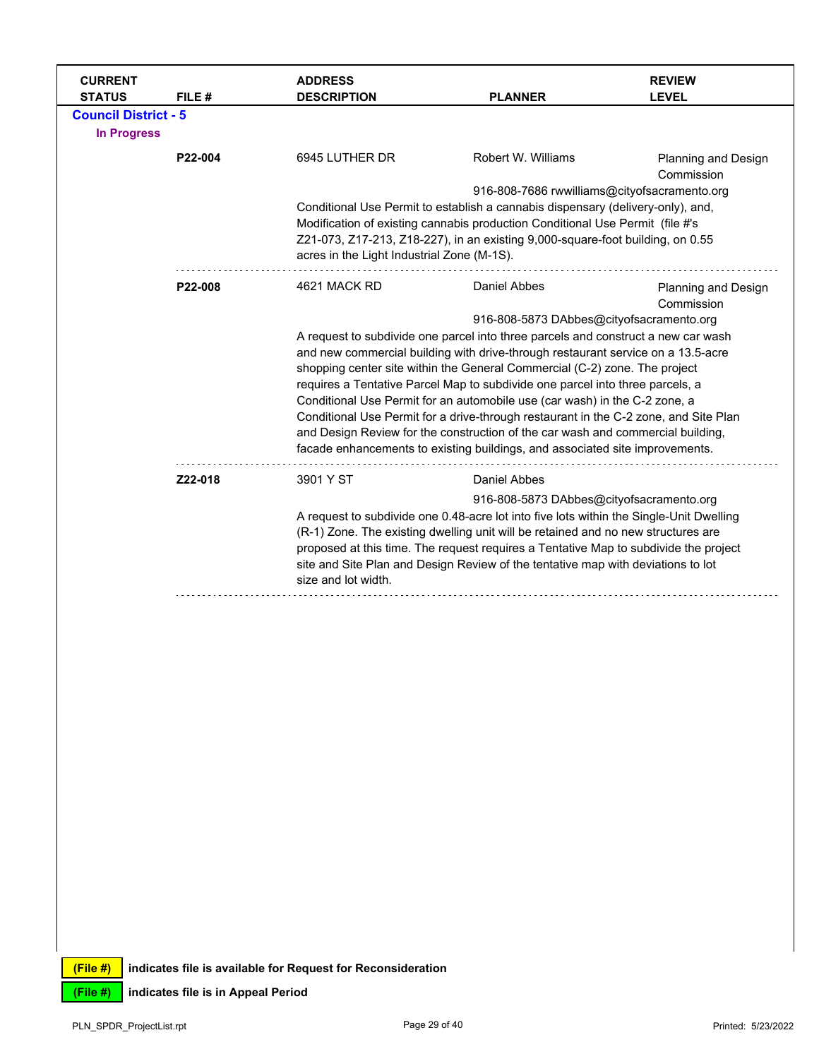| <b>CURRENT</b><br><b>STATUS</b>                   | FILE #  | <b>ADDRESS</b><br><b>DESCRIPTION</b>       | <b>PLANNER</b>                                                                                                                                                           | <b>REVIEW</b><br><b>LEVEL</b>     |
|---------------------------------------------------|---------|--------------------------------------------|--------------------------------------------------------------------------------------------------------------------------------------------------------------------------|-----------------------------------|
| <b>Council District - 5</b><br><b>In Progress</b> |         |                                            |                                                                                                                                                                          |                                   |
|                                                   | P22-004 | 6945 LUTHER DR                             | Robert W. Williams                                                                                                                                                       | Planning and Design<br>Commission |
|                                                   |         |                                            | 916-808-7686 rwwilliams@cityofsacramento.org                                                                                                                             |                                   |
|                                                   |         |                                            | Conditional Use Permit to establish a cannabis dispensary (delivery-only), and,                                                                                          |                                   |
|                                                   |         |                                            | Modification of existing cannabis production Conditional Use Permit (file #'s                                                                                            |                                   |
|                                                   |         | acres in the Light Industrial Zone (M-1S). | Z21-073, Z17-213, Z18-227), in an existing 9,000-square-foot building, on 0.55                                                                                           |                                   |
|                                                   | P22-008 | 4621 MACK RD                               | Daniel Abbes                                                                                                                                                             | Planning and Design               |
|                                                   |         |                                            |                                                                                                                                                                          | Commission                        |
|                                                   |         |                                            | 916-808-5873 DAbbes@cityofsacramento.org<br>A request to subdivide one parcel into three parcels and construct a new car wash                                            |                                   |
|                                                   |         |                                            | and new commercial building with drive-through restaurant service on a 13.5-acre                                                                                         |                                   |
|                                                   |         |                                            | shopping center site within the General Commercial (C-2) zone. The project                                                                                               |                                   |
|                                                   |         |                                            | requires a Tentative Parcel Map to subdivide one parcel into three parcels, a                                                                                            |                                   |
|                                                   |         |                                            | Conditional Use Permit for an automobile use (car wash) in the C-2 zone, a                                                                                               |                                   |
|                                                   |         |                                            | Conditional Use Permit for a drive-through restaurant in the C-2 zone, and Site Plan                                                                                     |                                   |
|                                                   |         |                                            | and Design Review for the construction of the car wash and commercial building,<br>facade enhancements to existing buildings, and associated site improvements.          |                                   |
|                                                   | Z22-018 | 3901 Y ST                                  | Daniel Abbes                                                                                                                                                             |                                   |
|                                                   |         |                                            | 916-808-5873 DAbbes@cityofsacramento.org                                                                                                                                 |                                   |
|                                                   |         |                                            | A request to subdivide one 0.48-acre lot into five lots within the Single-Unit Dwelling                                                                                  |                                   |
|                                                   |         |                                            | (R-1) Zone. The existing dwelling unit will be retained and no new structures are                                                                                        |                                   |
|                                                   |         | size and lot width.                        | proposed at this time. The request requires a Tentative Map to subdivide the project<br>site and Site Plan and Design Review of the tentative map with deviations to lot |                                   |
|                                                   |         |                                            |                                                                                                                                                                          |                                   |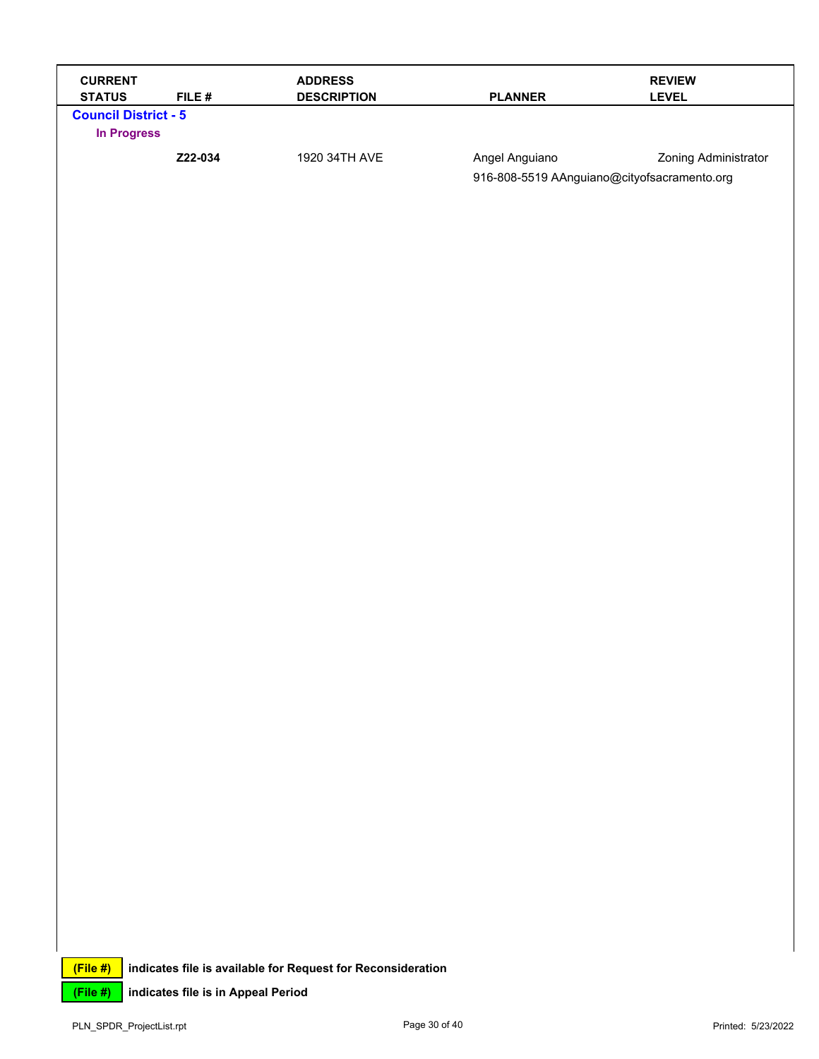| <b>CURRENT</b><br><b>STATUS</b>                   | FILE#                              | <b>ADDRESS</b><br><b>DESCRIPTION</b>                        | <b>PLANNER</b>                                                | <b>REVIEW</b><br><b>LEVEL</b> |
|---------------------------------------------------|------------------------------------|-------------------------------------------------------------|---------------------------------------------------------------|-------------------------------|
| <b>Council District - 5</b><br><b>In Progress</b> |                                    |                                                             |                                                               |                               |
|                                                   | Z22-034                            | 1920 34TH AVE                                               | Angel Anguiano<br>916-808-5519 AAnguiano@cityofsacramento.org | Zoning Administrator          |
|                                                   |                                    |                                                             |                                                               |                               |
|                                                   |                                    |                                                             |                                                               |                               |
|                                                   |                                    |                                                             |                                                               |                               |
|                                                   |                                    |                                                             |                                                               |                               |
|                                                   |                                    |                                                             |                                                               |                               |
|                                                   |                                    |                                                             |                                                               |                               |
|                                                   |                                    |                                                             |                                                               |                               |
|                                                   |                                    |                                                             |                                                               |                               |
|                                                   |                                    |                                                             |                                                               |                               |
|                                                   |                                    |                                                             |                                                               |                               |
|                                                   |                                    |                                                             |                                                               |                               |
|                                                   |                                    |                                                             |                                                               |                               |
|                                                   |                                    |                                                             |                                                               |                               |
|                                                   |                                    |                                                             |                                                               |                               |
|                                                   |                                    |                                                             |                                                               |                               |
|                                                   |                                    |                                                             |                                                               |                               |
|                                                   |                                    |                                                             |                                                               |                               |
|                                                   |                                    |                                                             |                                                               |                               |
|                                                   |                                    |                                                             |                                                               |                               |
| (File#)                                           |                                    | indicates file is available for Request for Reconsideration |                                                               |                               |
| (File #)                                          | indicates file is in Appeal Period |                                                             |                                                               |                               |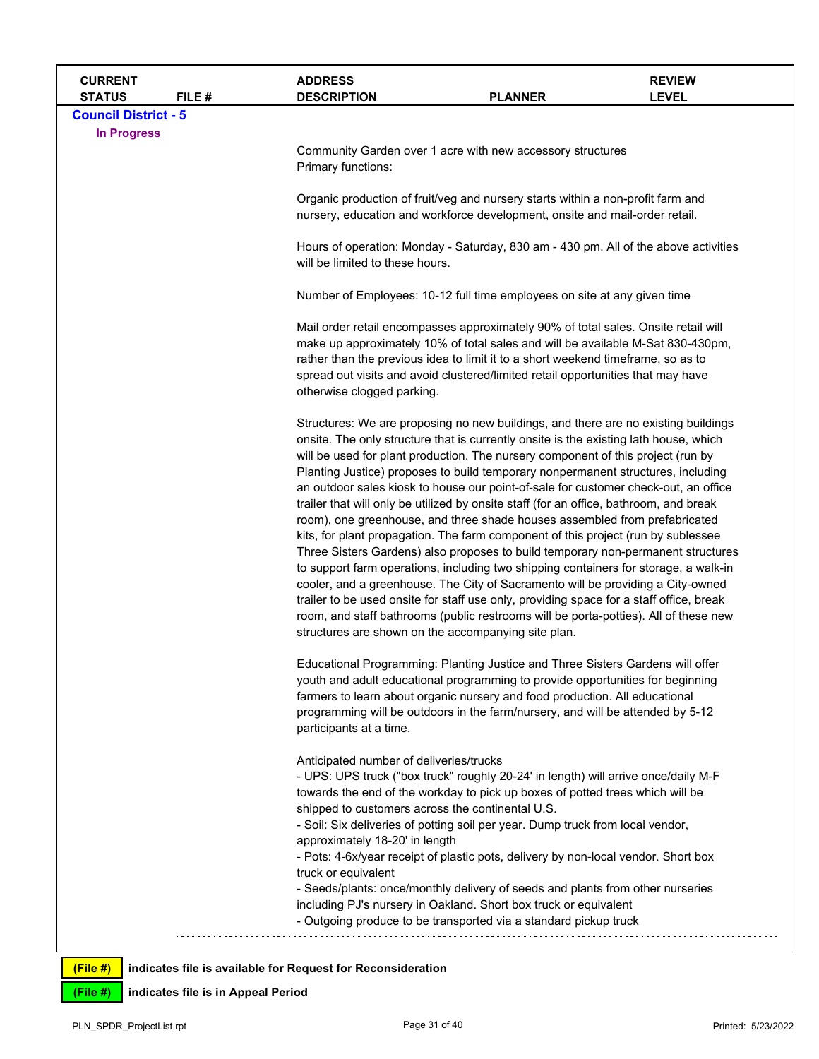| <b>CURRENT</b><br><b>STATUS</b> | FILE# | <b>ADDRESS</b><br><b>DESCRIPTION</b>                                                        | <b>PLANNER</b>                                                                                                                                                                                                                                                                                                                                                                                                                                                                                                                                                                                                                                                                                                                                                                                                                                                                                                                                                                                                                                                                                                                                                                                                   | <b>REVIEW</b><br><b>LEVEL</b> |  |  |
|---------------------------------|-------|---------------------------------------------------------------------------------------------|------------------------------------------------------------------------------------------------------------------------------------------------------------------------------------------------------------------------------------------------------------------------------------------------------------------------------------------------------------------------------------------------------------------------------------------------------------------------------------------------------------------------------------------------------------------------------------------------------------------------------------------------------------------------------------------------------------------------------------------------------------------------------------------------------------------------------------------------------------------------------------------------------------------------------------------------------------------------------------------------------------------------------------------------------------------------------------------------------------------------------------------------------------------------------------------------------------------|-------------------------------|--|--|
| <b>Council District - 5</b>     |       |                                                                                             |                                                                                                                                                                                                                                                                                                                                                                                                                                                                                                                                                                                                                                                                                                                                                                                                                                                                                                                                                                                                                                                                                                                                                                                                                  |                               |  |  |
| <b>In Progress</b>              |       | Primary functions:                                                                          | Community Garden over 1 acre with new accessory structures                                                                                                                                                                                                                                                                                                                                                                                                                                                                                                                                                                                                                                                                                                                                                                                                                                                                                                                                                                                                                                                                                                                                                       |                               |  |  |
|                                 |       |                                                                                             | Organic production of fruit/veg and nursery starts within a non-profit farm and<br>nursery, education and workforce development, onsite and mail-order retail.                                                                                                                                                                                                                                                                                                                                                                                                                                                                                                                                                                                                                                                                                                                                                                                                                                                                                                                                                                                                                                                   |                               |  |  |
|                                 |       |                                                                                             | Hours of operation: Monday - Saturday, 830 am - 430 pm. All of the above activities<br>will be limited to these hours.                                                                                                                                                                                                                                                                                                                                                                                                                                                                                                                                                                                                                                                                                                                                                                                                                                                                                                                                                                                                                                                                                           |                               |  |  |
|                                 |       |                                                                                             | Number of Employees: 10-12 full time employees on site at any given time                                                                                                                                                                                                                                                                                                                                                                                                                                                                                                                                                                                                                                                                                                                                                                                                                                                                                                                                                                                                                                                                                                                                         |                               |  |  |
|                                 |       | otherwise clogged parking.                                                                  | Mail order retail encompasses approximately 90% of total sales. Onsite retail will<br>make up approximately 10% of total sales and will be available M-Sat 830-430pm,<br>rather than the previous idea to limit it to a short weekend timeframe, so as to<br>spread out visits and avoid clustered/limited retail opportunities that may have                                                                                                                                                                                                                                                                                                                                                                                                                                                                                                                                                                                                                                                                                                                                                                                                                                                                    |                               |  |  |
|                                 |       |                                                                                             | Structures: We are proposing no new buildings, and there are no existing buildings<br>onsite. The only structure that is currently onsite is the existing lath house, which<br>will be used for plant production. The nursery component of this project (run by<br>Planting Justice) proposes to build temporary nonpermanent structures, including<br>an outdoor sales kiosk to house our point-of-sale for customer check-out, an office<br>trailer that will only be utilized by onsite staff (for an office, bathroom, and break<br>room), one greenhouse, and three shade houses assembled from prefabricated<br>kits, for plant propagation. The farm component of this project (run by sublessee<br>Three Sisters Gardens) also proposes to build temporary non-permanent structures<br>to support farm operations, including two shipping containers for storage, a walk-in<br>cooler, and a greenhouse. The City of Sacramento will be providing a City-owned<br>trailer to be used onsite for staff use only, providing space for a staff office, break<br>room, and staff bathrooms (public restrooms will be porta-potties). All of these new<br>structures are shown on the accompanying site plan. |                               |  |  |
|                                 |       | participants at a time.                                                                     | Educational Programming: Planting Justice and Three Sisters Gardens will offer<br>youth and adult educational programming to provide opportunities for beginning<br>farmers to learn about organic nursery and food production. All educational<br>programming will be outdoors in the farm/nursery, and will be attended by 5-12                                                                                                                                                                                                                                                                                                                                                                                                                                                                                                                                                                                                                                                                                                                                                                                                                                                                                |                               |  |  |
|                                 |       | Anticipated number of deliveries/trucks<br>shipped to customers across the continental U.S. | - UPS: UPS truck ("box truck" roughly 20-24' in length) will arrive once/daily M-F<br>towards the end of the workday to pick up boxes of potted trees which will be                                                                                                                                                                                                                                                                                                                                                                                                                                                                                                                                                                                                                                                                                                                                                                                                                                                                                                                                                                                                                                              |                               |  |  |
|                                 |       | approximately 18-20' in length                                                              | - Soil: Six deliveries of potting soil per year. Dump truck from local vendor,<br>- Pots: 4-6x/year receipt of plastic pots, delivery by non-local vendor. Short box                                                                                                                                                                                                                                                                                                                                                                                                                                                                                                                                                                                                                                                                                                                                                                                                                                                                                                                                                                                                                                             |                               |  |  |
|                                 |       | truck or equivalent                                                                         | - Seeds/plants: once/monthly delivery of seeds and plants from other nurseries<br>including PJ's nursery in Oakland. Short box truck or equivalent<br>- Outgoing produce to be transported via a standard pickup truck                                                                                                                                                                                                                                                                                                                                                                                                                                                                                                                                                                                                                                                                                                                                                                                                                                                                                                                                                                                           |                               |  |  |
| (File#)                         |       | indicates file is available for Request for Reconsideration                                 |                                                                                                                                                                                                                                                                                                                                                                                                                                                                                                                                                                                                                                                                                                                                                                                                                                                                                                                                                                                                                                                                                                                                                                                                                  |                               |  |  |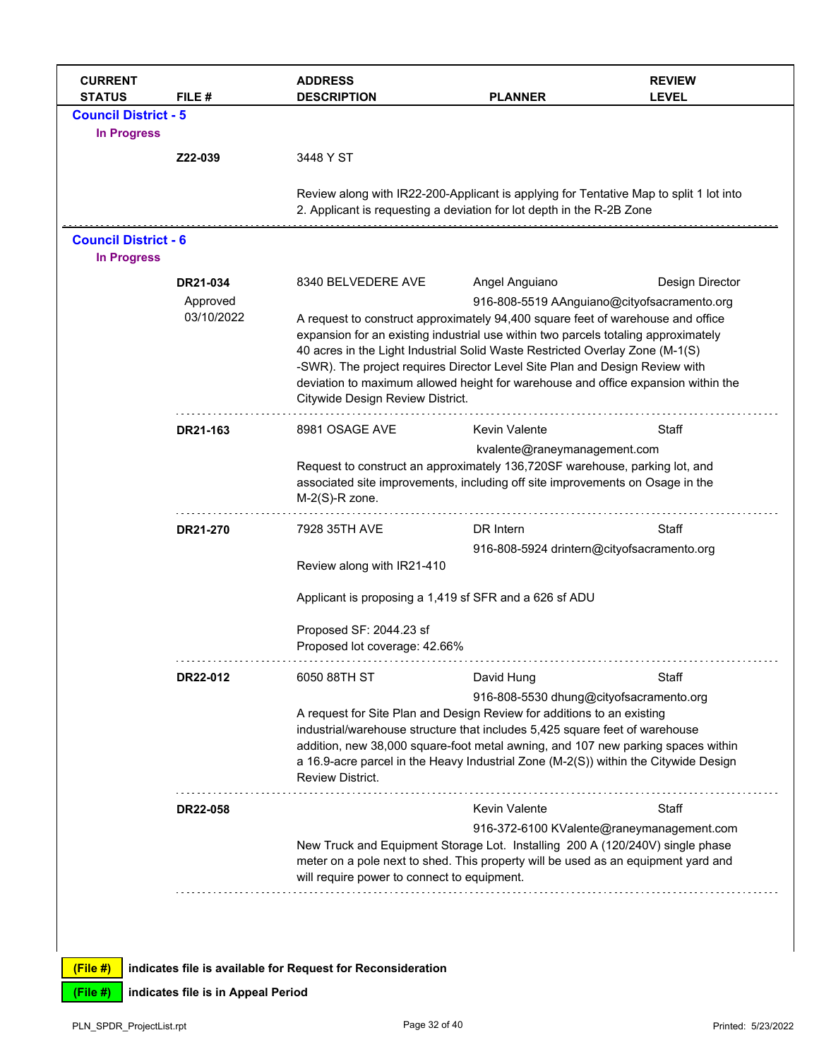| <b>CURRENT</b><br><b>STATUS</b>                   | FILE#                              | <b>ADDRESS</b><br><b>DESCRIPTION</b>                                                                                                                                                                                                                                                                                                                                                                                                                          | <b>PLANNER</b>                                                | <b>REVIEW</b><br><b>LEVEL</b> |
|---------------------------------------------------|------------------------------------|---------------------------------------------------------------------------------------------------------------------------------------------------------------------------------------------------------------------------------------------------------------------------------------------------------------------------------------------------------------------------------------------------------------------------------------------------------------|---------------------------------------------------------------|-------------------------------|
| <b>Council District - 5</b><br><b>In Progress</b> |                                    |                                                                                                                                                                                                                                                                                                                                                                                                                                                               |                                                               |                               |
|                                                   | Z22-039                            | 3448 Y ST                                                                                                                                                                                                                                                                                                                                                                                                                                                     |                                                               |                               |
|                                                   |                                    | Review along with IR22-200-Applicant is applying for Tentative Map to split 1 lot into<br>2. Applicant is requesting a deviation for lot depth in the R-2B Zone                                                                                                                                                                                                                                                                                               |                                                               |                               |
| <b>Council District - 6</b><br><b>In Progress</b> |                                    |                                                                                                                                                                                                                                                                                                                                                                                                                                                               |                                                               |                               |
|                                                   | DR21-034<br>Approved               | 8340 BELVEDERE AVE                                                                                                                                                                                                                                                                                                                                                                                                                                            | Angel Anguiano<br>916-808-5519 AAnguiano@cityofsacramento.org | Design Director               |
|                                                   | 03/10/2022                         | A request to construct approximately 94,400 square feet of warehouse and office<br>expansion for an existing industrial use within two parcels totaling approximately<br>40 acres in the Light Industrial Solid Waste Restricted Overlay Zone (M-1(S)<br>-SWR). The project requires Director Level Site Plan and Design Review with<br>deviation to maximum allowed height for warehouse and office expansion within the<br>Citywide Design Review District. |                                                               |                               |
|                                                   | DR21-163                           | 8981 OSAGE AVE                                                                                                                                                                                                                                                                                                                                                                                                                                                | <b>Kevin Valente</b>                                          | Staff                         |
|                                                   |                                    | Request to construct an approximately 136,720SF warehouse, parking lot, and<br>associated site improvements, including off site improvements on Osage in the<br>$M-2(S)$ -R zone.                                                                                                                                                                                                                                                                             | kvalente@raneymanagement.com                                  |                               |
|                                                   | DR21-270                           | 7928 35TH AVE                                                                                                                                                                                                                                                                                                                                                                                                                                                 | DR Intern                                                     | Staff                         |
|                                                   |                                    | Review along with IR21-410                                                                                                                                                                                                                                                                                                                                                                                                                                    | 916-808-5924 drintern@cityofsacramento.org                    |                               |
|                                                   |                                    | Applicant is proposing a 1,419 sf SFR and a 626 sf ADU                                                                                                                                                                                                                                                                                                                                                                                                        |                                                               |                               |
|                                                   |                                    | Proposed SF: 2044.23 sf<br>Proposed lot coverage: 42.66%                                                                                                                                                                                                                                                                                                                                                                                                      |                                                               |                               |
|                                                   | DR22-012                           | 6050 88TH ST                                                                                                                                                                                                                                                                                                                                                                                                                                                  | David Hung                                                    | Staff                         |
|                                                   |                                    | A request for Site Plan and Design Review for additions to an existing                                                                                                                                                                                                                                                                                                                                                                                        | 916-808-5530 dhung@cityofsacramento.org                       |                               |
|                                                   |                                    | industrial/warehouse structure that includes 5,425 square feet of warehouse<br>addition, new 38,000 square-foot metal awning, and 107 new parking spaces within<br>a 16.9-acre parcel in the Heavy Industrial Zone (M-2(S)) within the Citywide Design<br><b>Review District.</b>                                                                                                                                                                             |                                                               |                               |
|                                                   | <b>DR22-058</b>                    |                                                                                                                                                                                                                                                                                                                                                                                                                                                               | Kevin Valente                                                 | Staff                         |
|                                                   |                                    | New Truck and Equipment Storage Lot. Installing 200 A (120/240V) single phase<br>meter on a pole next to shed. This property will be used as an equipment yard and<br>will require power to connect to equipment.                                                                                                                                                                                                                                             | 916-372-6100 KValente@raneymanagement.com                     |                               |
| $(File$ #)                                        |                                    | indicates file is available for Request for Reconsideration                                                                                                                                                                                                                                                                                                                                                                                                   |                                                               |                               |
| (File #)                                          | indicates file is in Appeal Period |                                                                                                                                                                                                                                                                                                                                                                                                                                                               |                                                               |                               |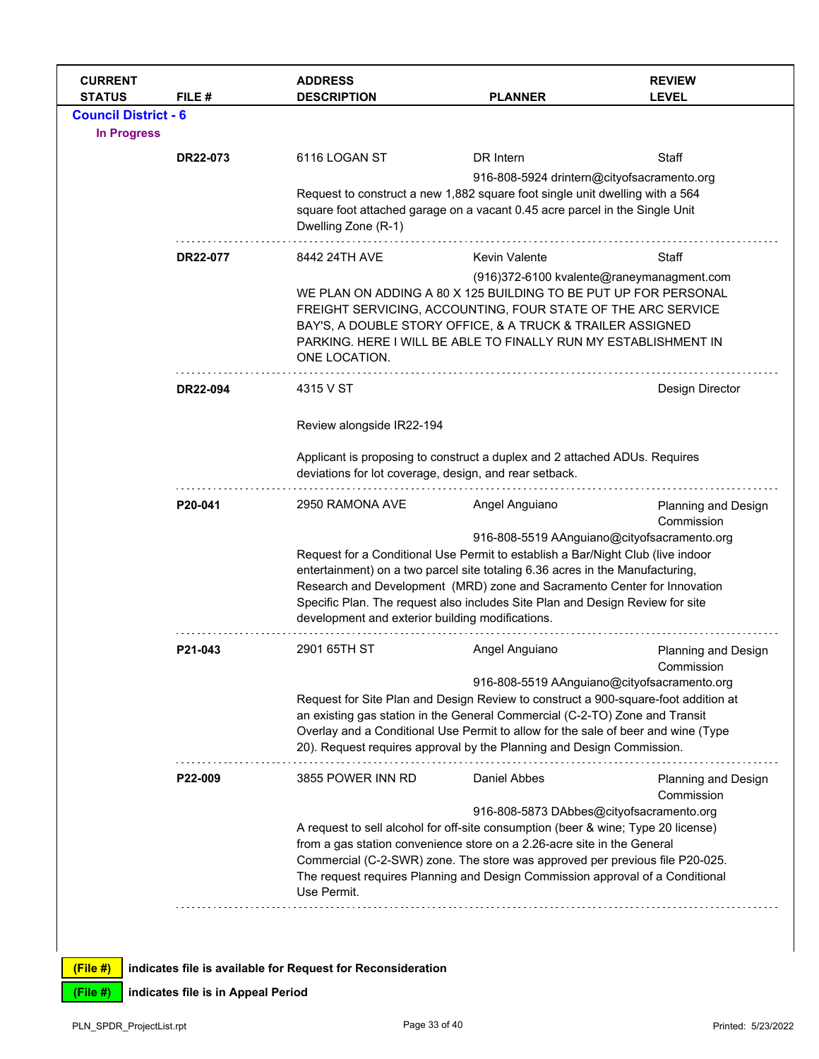| <b>CURRENT</b><br><b>STATUS</b>                   | FILE #          | <b>ADDRESS</b><br><b>DESCRIPTION</b>                                                                                                                                                                                                                                                                                                                                                                                             | <b>PLANNER</b> | <b>REVIEW</b><br><b>LEVEL</b>            |  |  |  |
|---------------------------------------------------|-----------------|----------------------------------------------------------------------------------------------------------------------------------------------------------------------------------------------------------------------------------------------------------------------------------------------------------------------------------------------------------------------------------------------------------------------------------|----------------|------------------------------------------|--|--|--|
| <b>Council District - 6</b><br><b>In Progress</b> |                 |                                                                                                                                                                                                                                                                                                                                                                                                                                  |                |                                          |  |  |  |
|                                                   | <b>DR22-073</b> | 6116 LOGAN ST                                                                                                                                                                                                                                                                                                                                                                                                                    | DR Intern      | Staff                                    |  |  |  |
|                                                   |                 | 916-808-5924 drintern@cityofsacramento.org<br>Request to construct a new 1,882 square foot single unit dwelling with a 564<br>square foot attached garage on a vacant 0.45 acre parcel in the Single Unit<br>Dwelling Zone (R-1)                                                                                                                                                                                                 |                |                                          |  |  |  |
|                                                   | DR22-077        | 8442 24TH AVE                                                                                                                                                                                                                                                                                                                                                                                                                    | Kevin Valente  | Staff                                    |  |  |  |
|                                                   |                 | (916)372-6100 kvalente@raneymanagment.com<br>WE PLAN ON ADDING A 80 X 125 BUILDING TO BE PUT UP FOR PERSONAL<br>FREIGHT SERVICING, ACCOUNTING, FOUR STATE OF THE ARC SERVICE<br>BAY'S, A DOUBLE STORY OFFICE, & A TRUCK & TRAILER ASSIGNED<br>PARKING. HERE I WILL BE ABLE TO FINALLY RUN MY ESTABLISHMENT IN<br>ONE LOCATION.                                                                                                   |                |                                          |  |  |  |
|                                                   | <b>DR22-094</b> | 4315 V ST                                                                                                                                                                                                                                                                                                                                                                                                                        |                | Design Director                          |  |  |  |
|                                                   |                 | Review alongside IR22-194                                                                                                                                                                                                                                                                                                                                                                                                        |                |                                          |  |  |  |
|                                                   |                 | Applicant is proposing to construct a duplex and 2 attached ADUs. Requires<br>deviations for lot coverage, design, and rear setback.                                                                                                                                                                                                                                                                                             |                |                                          |  |  |  |
|                                                   | P20-041         | 2950 RAMONA AVE                                                                                                                                                                                                                                                                                                                                                                                                                  | Angel Anguiano | <b>Planning and Design</b><br>Commission |  |  |  |
|                                                   |                 | 916-808-5519 AAnguiano@cityofsacramento.org<br>Request for a Conditional Use Permit to establish a Bar/Night Club (live indoor<br>entertainment) on a two parcel site totaling 6.36 acres in the Manufacturing,<br>Research and Development (MRD) zone and Sacramento Center for Innovation<br>Specific Plan. The request also includes Site Plan and Design Review for site<br>development and exterior building modifications. |                |                                          |  |  |  |
|                                                   | P21-043         | 2901 65TH ST                                                                                                                                                                                                                                                                                                                                                                                                                     | Angel Anguiano | Planning and Design<br>Commission        |  |  |  |
|                                                   |                 | 916-808-5519 AAnguiano@cityofsacramento.org<br>Request for Site Plan and Design Review to construct a 900-square-foot addition at<br>an existing gas station in the General Commercial (C-2-TO) Zone and Transit<br>Overlay and a Conditional Use Permit to allow for the sale of beer and wine (Type<br>20). Request requires approval by the Planning and Design Commission.                                                   |                |                                          |  |  |  |
|                                                   | P22-009         | 3855 POWER INN RD                                                                                                                                                                                                                                                                                                                                                                                                                | Daniel Abbes   | <b>Planning and Design</b><br>Commission |  |  |  |
|                                                   |                 | 916-808-5873 DAbbes@cityofsacramento.org<br>A request to sell alcohol for off-site consumption (beer & wine; Type 20 license)<br>from a gas station convenience store on a 2.26-acre site in the General<br>Commercial (C-2-SWR) zone. The store was approved per previous file P20-025.<br>The request requires Planning and Design Commission approval of a Conditional<br>Use Permit.                                         |                |                                          |  |  |  |
|                                                   |                 |                                                                                                                                                                                                                                                                                                                                                                                                                                  |                |                                          |  |  |  |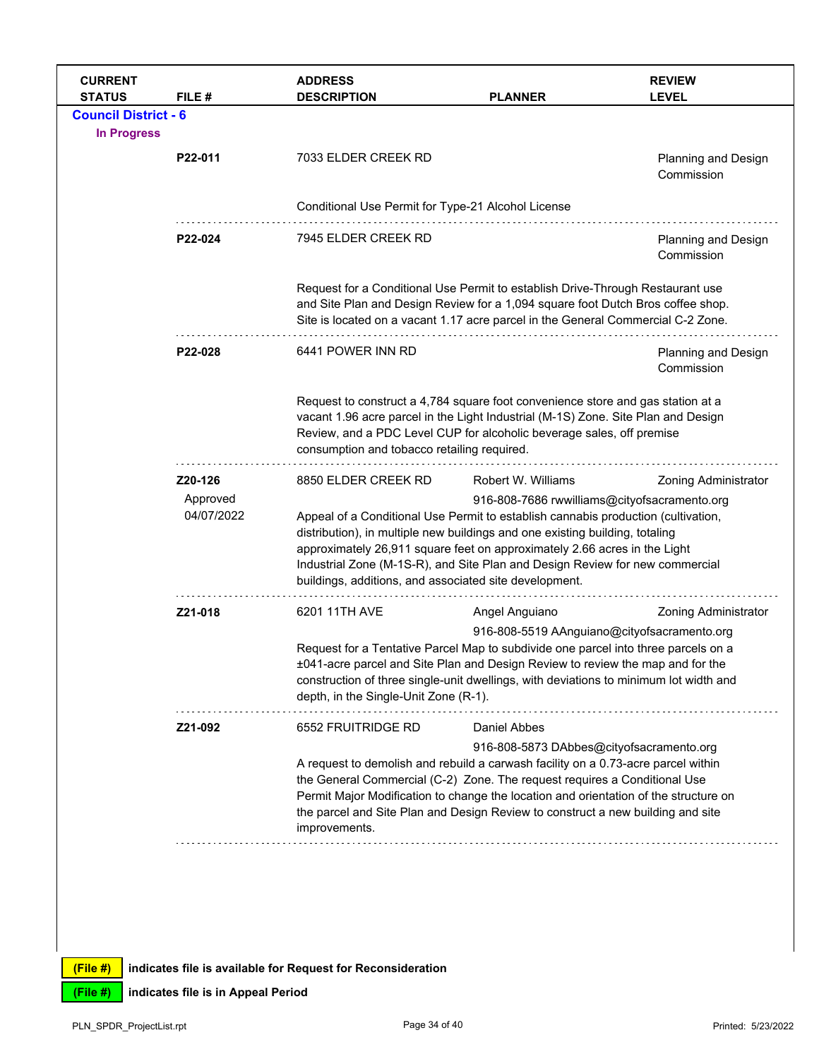| <b>CURRENT</b><br><b>STATUS</b>                   | FILE #                            | <b>ADDRESS</b><br><b>DESCRIPTION</b>                                                                                                                                                                                                                                                                                                                                                                                                                                                  | <b>PLANNER</b>                                                                                                                                                                                                                                                                                                                                                                                        | <b>REVIEW</b><br><b>LEVEL</b>            |
|---------------------------------------------------|-----------------------------------|---------------------------------------------------------------------------------------------------------------------------------------------------------------------------------------------------------------------------------------------------------------------------------------------------------------------------------------------------------------------------------------------------------------------------------------------------------------------------------------|-------------------------------------------------------------------------------------------------------------------------------------------------------------------------------------------------------------------------------------------------------------------------------------------------------------------------------------------------------------------------------------------------------|------------------------------------------|
| <b>Council District - 6</b><br><b>In Progress</b> |                                   |                                                                                                                                                                                                                                                                                                                                                                                                                                                                                       |                                                                                                                                                                                                                                                                                                                                                                                                       |                                          |
|                                                   | P22-011                           | 7033 ELDER CREEK RD                                                                                                                                                                                                                                                                                                                                                                                                                                                                   |                                                                                                                                                                                                                                                                                                                                                                                                       | <b>Planning and Design</b><br>Commission |
|                                                   |                                   | Conditional Use Permit for Type-21 Alcohol License                                                                                                                                                                                                                                                                                                                                                                                                                                    |                                                                                                                                                                                                                                                                                                                                                                                                       |                                          |
|                                                   | P22-024                           | 7945 ELDER CREEK RD                                                                                                                                                                                                                                                                                                                                                                                                                                                                   |                                                                                                                                                                                                                                                                                                                                                                                                       | Planning and Design<br>Commission        |
|                                                   |                                   |                                                                                                                                                                                                                                                                                                                                                                                                                                                                                       | Request for a Conditional Use Permit to establish Drive-Through Restaurant use<br>and Site Plan and Design Review for a 1,094 square foot Dutch Bros coffee shop.<br>Site is located on a vacant 1.17 acre parcel in the General Commercial C-2 Zone.                                                                                                                                                 |                                          |
|                                                   | P22-028                           | 6441 POWER INN RD                                                                                                                                                                                                                                                                                                                                                                                                                                                                     |                                                                                                                                                                                                                                                                                                                                                                                                       | Planning and Design<br>Commission        |
|                                                   |                                   | Request to construct a 4,784 square foot convenience store and gas station at a<br>vacant 1.96 acre parcel in the Light Industrial (M-1S) Zone. Site Plan and Design<br>Review, and a PDC Level CUP for alcoholic beverage sales, off premise<br>consumption and tobacco retailing required.                                                                                                                                                                                          |                                                                                                                                                                                                                                                                                                                                                                                                       |                                          |
|                                                   | Z20-126<br>Approved<br>04/07/2022 | Robert W. Williams<br>8850 ELDER CREEK RD<br>916-808-7686 rwwilliams@cityofsacramento.org<br>Appeal of a Conditional Use Permit to establish cannabis production (cultivation,<br>distribution), in multiple new buildings and one existing building, totaling<br>approximately 26,911 square feet on approximately 2.66 acres in the Light<br>Industrial Zone (M-1S-R), and Site Plan and Design Review for new commercial<br>buildings, additions, and associated site development. |                                                                                                                                                                                                                                                                                                                                                                                                       | Zoning Administrator                     |
|                                                   | Z21-018                           | 6201 11TH AVE<br>Angel Anguiano<br><b>Zoning Administrator</b><br>916-808-5519 AAnguiano@cityofsacramento.org<br>Request for a Tentative Parcel Map to subdivide one parcel into three parcels on a<br>±041-acre parcel and Site Plan and Design Review to review the map and for the<br>construction of three single-unit dwellings, with deviations to minimum lot width and<br>depth, in the Single-Unit Zone (R-1).                                                               |                                                                                                                                                                                                                                                                                                                                                                                                       |                                          |
|                                                   | Z21-092                           | 6552 FRUITRIDGE RD<br>improvements.                                                                                                                                                                                                                                                                                                                                                                                                                                                   | Daniel Abbes<br>916-808-5873 DAbbes@cityofsacramento.org<br>A request to demolish and rebuild a carwash facility on a 0.73-acre parcel within<br>the General Commercial (C-2) Zone. The request requires a Conditional Use<br>Permit Major Modification to change the location and orientation of the structure on<br>the parcel and Site Plan and Design Review to construct a new building and site |                                          |
|                                                   |                                   |                                                                                                                                                                                                                                                                                                                                                                                                                                                                                       |                                                                                                                                                                                                                                                                                                                                                                                                       |                                          |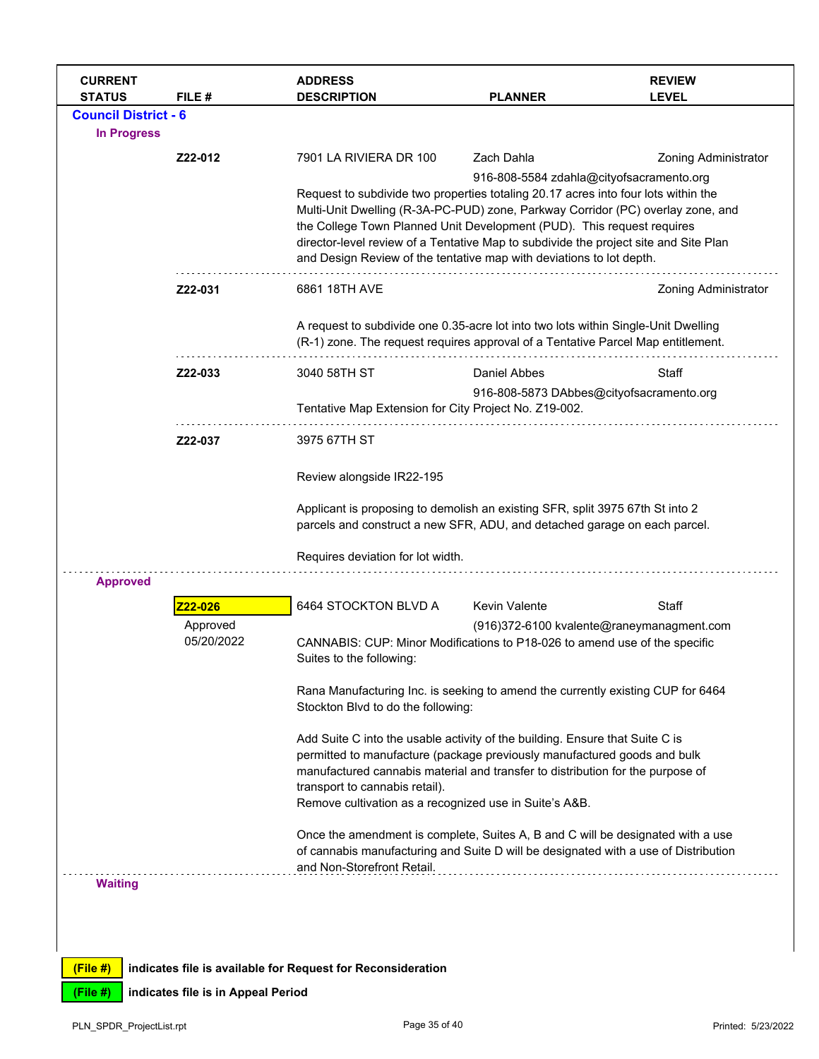| <b>CURRENT</b><br><b>STATUS</b> | FILE #                 | <b>ADDRESS</b><br><b>DESCRIPTION</b>                                                                                                                                                                                                                                                                                                                                                                            | <b>PLANNER</b>       | <b>REVIEW</b><br><b>LEVEL</b>             |
|---------------------------------|------------------------|-----------------------------------------------------------------------------------------------------------------------------------------------------------------------------------------------------------------------------------------------------------------------------------------------------------------------------------------------------------------------------------------------------------------|----------------------|-------------------------------------------|
| <b>Council District - 6</b>     |                        |                                                                                                                                                                                                                                                                                                                                                                                                                 |                      |                                           |
| <b>In Progress</b>              |                        |                                                                                                                                                                                                                                                                                                                                                                                                                 |                      |                                           |
|                                 | Z22-012                | 7901 LA RIVIERA DR 100                                                                                                                                                                                                                                                                                                                                                                                          | Zach Dahla           | <b>Zoning Administrator</b>               |
|                                 |                        | Request to subdivide two properties totaling 20.17 acres into four lots within the<br>Multi-Unit Dwelling (R-3A-PC-PUD) zone, Parkway Corridor (PC) overlay zone, and<br>the College Town Planned Unit Development (PUD). This request requires<br>director-level review of a Tentative Map to subdivide the project site and Site Plan<br>and Design Review of the tentative map with deviations to lot depth. |                      | 916-808-5584 zdahla@cityofsacramento.org  |
|                                 | Z22-031                | 6861 18TH AVE                                                                                                                                                                                                                                                                                                                                                                                                   |                      | <b>Zoning Administrator</b>               |
|                                 |                        | A request to subdivide one 0.35-acre lot into two lots within Single-Unit Dwelling<br>(R-1) zone. The request requires approval of a Tentative Parcel Map entitlement.                                                                                                                                                                                                                                          |                      |                                           |
|                                 | Z22-033                | 3040 58TH ST                                                                                                                                                                                                                                                                                                                                                                                                    | Daniel Abbes         | Staff                                     |
|                                 |                        | Tentative Map Extension for City Project No. Z19-002.                                                                                                                                                                                                                                                                                                                                                           |                      | 916-808-5873 DAbbes@cityofsacramento.org  |
|                                 | Z22-037                | 3975 67TH ST                                                                                                                                                                                                                                                                                                                                                                                                    |                      |                                           |
|                                 |                        | Review alongside IR22-195                                                                                                                                                                                                                                                                                                                                                                                       |                      |                                           |
|                                 |                        | Applicant is proposing to demolish an existing SFR, split 3975 67th St into 2<br>parcels and construct a new SFR, ADU, and detached garage on each parcel.                                                                                                                                                                                                                                                      |                      |                                           |
|                                 |                        | Requires deviation for lot width.                                                                                                                                                                                                                                                                                                                                                                               |                      |                                           |
| <b>Approved</b>                 |                        |                                                                                                                                                                                                                                                                                                                                                                                                                 |                      |                                           |
|                                 | 22-026                 | 6464 STOCKTON BLVD A                                                                                                                                                                                                                                                                                                                                                                                            | <b>Kevin Valente</b> | Staff                                     |
|                                 | Approved<br>05/20/2022 | CANNABIS: CUP: Minor Modifications to P18-026 to amend use of the specific<br>Suites to the following:                                                                                                                                                                                                                                                                                                          |                      | (916)372-6100 kvalente@raneymanagment.com |
|                                 |                        | Rana Manufacturing Inc. is seeking to amend the currently existing CUP for 6464<br>Stockton Blvd to do the following:                                                                                                                                                                                                                                                                                           |                      |                                           |
|                                 |                        | Add Suite C into the usable activity of the building. Ensure that Suite C is<br>permitted to manufacture (package previously manufactured goods and bulk                                                                                                                                                                                                                                                        |                      |                                           |
|                                 |                        | manufactured cannabis material and transfer to distribution for the purpose of<br>transport to cannabis retail).                                                                                                                                                                                                                                                                                                |                      |                                           |
|                                 |                        | Remove cultivation as a recognized use in Suite's A&B.                                                                                                                                                                                                                                                                                                                                                          |                      |                                           |
|                                 |                        | Once the amendment is complete, Suites A, B and C will be designated with a use<br>of cannabis manufacturing and Suite D will be designated with a use of Distribution<br>and Non-Storefront Retail.                                                                                                                                                                                                            |                      |                                           |
| <b>Waiting</b>                  |                        |                                                                                                                                                                                                                                                                                                                                                                                                                 |                      |                                           |
|                                 |                        |                                                                                                                                                                                                                                                                                                                                                                                                                 |                      |                                           |
|                                 |                        |                                                                                                                                                                                                                                                                                                                                                                                                                 |                      |                                           |
| (File #)                        |                        | indicates file is available for Request for Reconsideration                                                                                                                                                                                                                                                                                                                                                     |                      |                                           |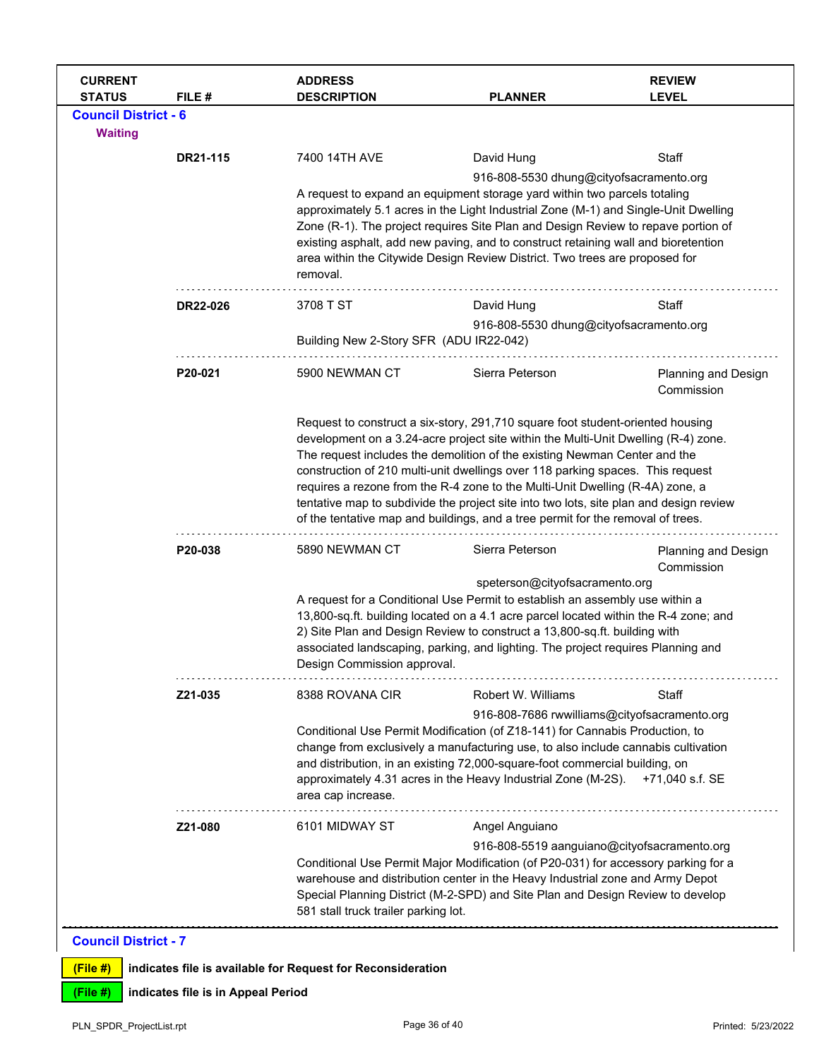| <b>CURRENT</b><br><b>STATUS</b> | FILE #   | <b>ADDRESS</b><br><b>DESCRIPTION</b>                                                                                                                                                                                                                                                                                                         | <b>PLANNER</b>                                                                                                                                                                                                                                                                                                                                                                                                                                                                                                                                                                                    | <b>REVIEW</b><br><b>LEVEL</b>     |  |
|---------------------------------|----------|----------------------------------------------------------------------------------------------------------------------------------------------------------------------------------------------------------------------------------------------------------------------------------------------------------------------------------------------|---------------------------------------------------------------------------------------------------------------------------------------------------------------------------------------------------------------------------------------------------------------------------------------------------------------------------------------------------------------------------------------------------------------------------------------------------------------------------------------------------------------------------------------------------------------------------------------------------|-----------------------------------|--|
| <b>Council District - 6</b>     |          |                                                                                                                                                                                                                                                                                                                                              |                                                                                                                                                                                                                                                                                                                                                                                                                                                                                                                                                                                                   |                                   |  |
| <b>Waiting</b>                  |          |                                                                                                                                                                                                                                                                                                                                              |                                                                                                                                                                                                                                                                                                                                                                                                                                                                                                                                                                                                   |                                   |  |
|                                 | DR21-115 | 7400 14TH AVE                                                                                                                                                                                                                                                                                                                                | David Hung                                                                                                                                                                                                                                                                                                                                                                                                                                                                                                                                                                                        | Staff                             |  |
|                                 |          | removal.                                                                                                                                                                                                                                                                                                                                     | 916-808-5530 dhung@cityofsacramento.org<br>A request to expand an equipment storage yard within two parcels totaling<br>approximately 5.1 acres in the Light Industrial Zone (M-1) and Single-Unit Dwelling<br>Zone (R-1). The project requires Site Plan and Design Review to repave portion of<br>existing asphalt, add new paving, and to construct retaining wall and bioretention<br>area within the Citywide Design Review District. Two trees are proposed for                                                                                                                             |                                   |  |
|                                 | DR22-026 | 3708 T ST                                                                                                                                                                                                                                                                                                                                    | David Hung                                                                                                                                                                                                                                                                                                                                                                                                                                                                                                                                                                                        | Staff                             |  |
|                                 |          | Building New 2-Story SFR (ADU IR22-042)                                                                                                                                                                                                                                                                                                      | 916-808-5530 dhung@cityofsacramento.org                                                                                                                                                                                                                                                                                                                                                                                                                                                                                                                                                           |                                   |  |
|                                 | P20-021  | 5900 NEWMAN CT                                                                                                                                                                                                                                                                                                                               | Sierra Peterson                                                                                                                                                                                                                                                                                                                                                                                                                                                                                                                                                                                   | Planning and Design<br>Commission |  |
|                                 |          |                                                                                                                                                                                                                                                                                                                                              | Request to construct a six-story, 291,710 square foot student-oriented housing<br>development on a 3.24-acre project site within the Multi-Unit Dwelling (R-4) zone.<br>The request includes the demolition of the existing Newman Center and the<br>construction of 210 multi-unit dwellings over 118 parking spaces. This request<br>requires a rezone from the R-4 zone to the Multi-Unit Dwelling (R-4A) zone, a<br>tentative map to subdivide the project site into two lots, site plan and design review<br>of the tentative map and buildings, and a tree permit for the removal of trees. |                                   |  |
|                                 | P20-038  | 5890 NEWMAN CT                                                                                                                                                                                                                                                                                                                               | Sierra Peterson                                                                                                                                                                                                                                                                                                                                                                                                                                                                                                                                                                                   | Planning and Design<br>Commission |  |
|                                 |          | Design Commission approval.                                                                                                                                                                                                                                                                                                                  | speterson@cityofsacramento.org<br>A request for a Conditional Use Permit to establish an assembly use within a<br>13,800-sq.ft. building located on a 4.1 acre parcel located within the R-4 zone; and<br>2) Site Plan and Design Review to construct a 13,800-sq.ft. building with<br>associated landscaping, parking, and lighting. The project requires Planning and                                                                                                                                                                                                                           |                                   |  |
|                                 | Z21-035  | 8388 ROVANA CIR                                                                                                                                                                                                                                                                                                                              | Robert W. Williams                                                                                                                                                                                                                                                                                                                                                                                                                                                                                                                                                                                | Staff                             |  |
|                                 |          | area cap increase.                                                                                                                                                                                                                                                                                                                           | 916-808-7686 rwwilliams@cityofsacramento.org<br>Conditional Use Permit Modification (of Z18-141) for Cannabis Production, to<br>change from exclusively a manufacturing use, to also include cannabis cultivation<br>and distribution, in an existing 72,000-square-foot commercial building, on<br>approximately 4.31 acres in the Heavy Industrial Zone (M-2S).                                                                                                                                                                                                                                 | +71,040 s.f. SE                   |  |
|                                 | Z21-080  | 6101 MIDWAY ST                                                                                                                                                                                                                                                                                                                               | Angel Anguiano                                                                                                                                                                                                                                                                                                                                                                                                                                                                                                                                                                                    |                                   |  |
|                                 |          | 916-808-5519 aanguiano@cityofsacramento.org<br>Conditional Use Permit Major Modification (of P20-031) for accessory parking for a<br>warehouse and distribution center in the Heavy Industrial zone and Army Depot<br>Special Planning District (M-2-SPD) and Site Plan and Design Review to develop<br>581 stall truck trailer parking lot. |                                                                                                                                                                                                                                                                                                                                                                                                                                                                                                                                                                                                   |                                   |  |
| <b>Council District - 7</b>     |          |                                                                                                                                                                                                                                                                                                                                              |                                                                                                                                                                                                                                                                                                                                                                                                                                                                                                                                                                                                   |                                   |  |
|                                 |          |                                                                                                                                                                                                                                                                                                                                              |                                                                                                                                                                                                                                                                                                                                                                                                                                                                                                                                                                                                   |                                   |  |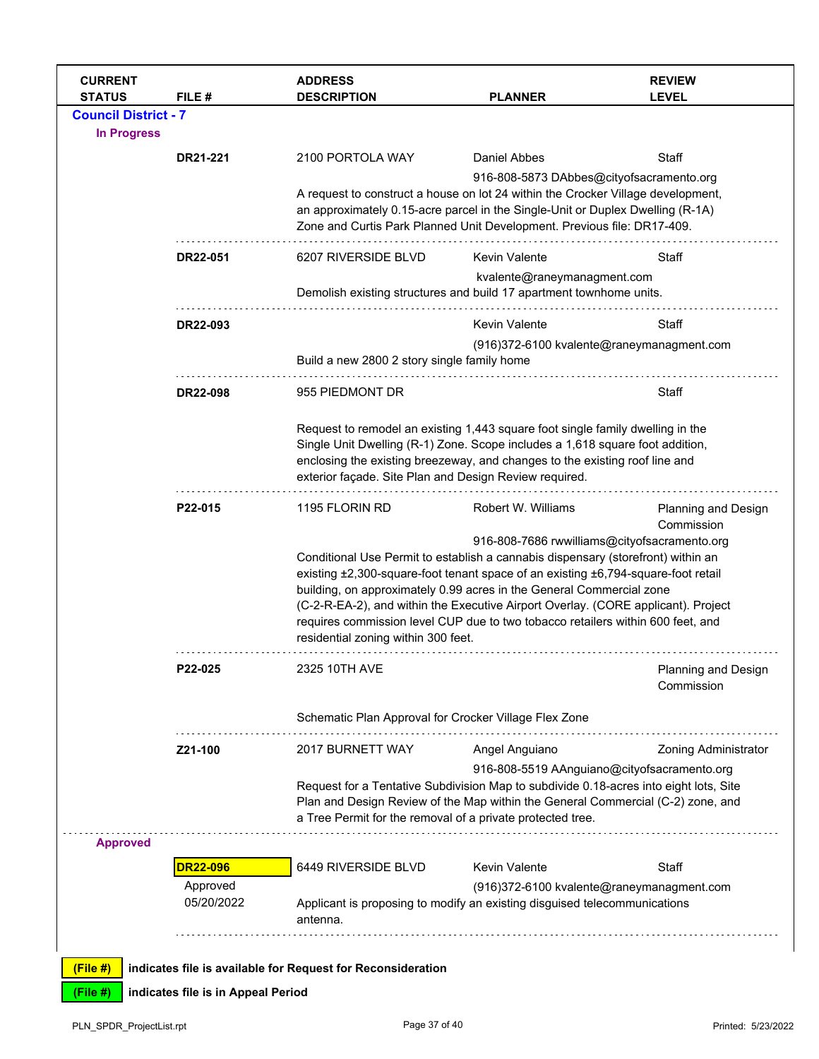| <b>CURRENT</b><br><b>STATUS</b>                   | FILE #                             | <b>ADDRESS</b><br><b>DESCRIPTION</b>                                                                                                                                                                                                                                                                     | <b>PLANNER</b>                                                                                                                                                                                                                                                                                                                                                                                                                                                                                                                   | <b>REVIEW</b><br><b>LEVEL</b>     |  |
|---------------------------------------------------|------------------------------------|----------------------------------------------------------------------------------------------------------------------------------------------------------------------------------------------------------------------------------------------------------------------------------------------------------|----------------------------------------------------------------------------------------------------------------------------------------------------------------------------------------------------------------------------------------------------------------------------------------------------------------------------------------------------------------------------------------------------------------------------------------------------------------------------------------------------------------------------------|-----------------------------------|--|
| <b>Council District - 7</b><br><b>In Progress</b> |                                    |                                                                                                                                                                                                                                                                                                          |                                                                                                                                                                                                                                                                                                                                                                                                                                                                                                                                  |                                   |  |
|                                                   | DR21-221                           | 2100 PORTOLA WAY                                                                                                                                                                                                                                                                                         | Daniel Abbes                                                                                                                                                                                                                                                                                                                                                                                                                                                                                                                     | Staff                             |  |
|                                                   |                                    |                                                                                                                                                                                                                                                                                                          | 916-808-5873 DAbbes@cityofsacramento.org<br>A request to construct a house on lot 24 within the Crocker Village development,<br>an approximately 0.15-acre parcel in the Single-Unit or Duplex Dwelling (R-1A)<br>Zone and Curtis Park Planned Unit Development. Previous file: DR17-409.                                                                                                                                                                                                                                        |                                   |  |
|                                                   | DR22-051                           | 6207 RIVERSIDE BLVD                                                                                                                                                                                                                                                                                      | <b>Kevin Valente</b>                                                                                                                                                                                                                                                                                                                                                                                                                                                                                                             | Staff                             |  |
|                                                   |                                    | kvalente@raneymanagment.com<br>Demolish existing structures and build 17 apartment townhome units.                                                                                                                                                                                                       |                                                                                                                                                                                                                                                                                                                                                                                                                                                                                                                                  |                                   |  |
|                                                   | DR22-093                           |                                                                                                                                                                                                                                                                                                          | <b>Kevin Valente</b>                                                                                                                                                                                                                                                                                                                                                                                                                                                                                                             | Staff                             |  |
|                                                   |                                    | Build a new 2800 2 story single family home                                                                                                                                                                                                                                                              | (916)372-6100 kvalente@raneymanagment.com                                                                                                                                                                                                                                                                                                                                                                                                                                                                                        |                                   |  |
|                                                   | DR22-098                           | 955 PIEDMONT DR                                                                                                                                                                                                                                                                                          |                                                                                                                                                                                                                                                                                                                                                                                                                                                                                                                                  | Staff                             |  |
|                                                   |                                    | Request to remodel an existing 1,443 square foot single family dwelling in the<br>Single Unit Dwelling (R-1) Zone. Scope includes a 1,618 square foot addition,<br>enclosing the existing breezeway, and changes to the existing roof line and<br>exterior façade. Site Plan and Design Review required. |                                                                                                                                                                                                                                                                                                                                                                                                                                                                                                                                  |                                   |  |
|                                                   | P22-015                            | 1195 FLORIN RD<br>residential zoning within 300 feet.                                                                                                                                                                                                                                                    | Robert W. Williams<br>Planning and Design<br>Commission<br>916-808-7686 rwwilliams@cityofsacramento.org<br>Conditional Use Permit to establish a cannabis dispensary (storefront) within an<br>existing ±2,300-square-foot tenant space of an existing ±6,794-square-foot retail<br>building, on approximately 0.99 acres in the General Commercial zone<br>(C-2-R-EA-2), and within the Executive Airport Overlay. (CORE applicant). Project<br>requires commission level CUP due to two tobacco retailers within 600 feet, and |                                   |  |
|                                                   | P22-025                            | 2325 10TH AVE                                                                                                                                                                                                                                                                                            |                                                                                                                                                                                                                                                                                                                                                                                                                                                                                                                                  | Planning and Design<br>Commission |  |
|                                                   |                                    |                                                                                                                                                                                                                                                                                                          | Schematic Plan Approval for Crocker Village Flex Zone                                                                                                                                                                                                                                                                                                                                                                                                                                                                            |                                   |  |
|                                                   | Z21-100                            | 2017 BURNETT WAY                                                                                                                                                                                                                                                                                         | Angel Anguiano                                                                                                                                                                                                                                                                                                                                                                                                                                                                                                                   | <b>Zoning Administrator</b>       |  |
|                                                   |                                    |                                                                                                                                                                                                                                                                                                          | 916-808-5519 AAnguiano@cityofsacramento.org<br>Request for a Tentative Subdivision Map to subdivide 0.18-acres into eight lots, Site<br>Plan and Design Review of the Map within the General Commercial (C-2) zone, and<br>a Tree Permit for the removal of a private protected tree.                                                                                                                                                                                                                                            |                                   |  |
| <b>Approved</b>                                   |                                    |                                                                                                                                                                                                                                                                                                          |                                                                                                                                                                                                                                                                                                                                                                                                                                                                                                                                  |                                   |  |
|                                                   | <b>DR22-096</b><br>Approved        | 6449 RIVERSIDE BLVD                                                                                                                                                                                                                                                                                      | Kevin Valente                                                                                                                                                                                                                                                                                                                                                                                                                                                                                                                    | Staff                             |  |
|                                                   | 05/20/2022                         | antenna.                                                                                                                                                                                                                                                                                                 | (916)372-6100 kvalente@raneymanagment.com<br>Applicant is proposing to modify an existing disguised telecommunications                                                                                                                                                                                                                                                                                                                                                                                                           |                                   |  |
|                                                   |                                    |                                                                                                                                                                                                                                                                                                          |                                                                                                                                                                                                                                                                                                                                                                                                                                                                                                                                  |                                   |  |
| (File#)                                           |                                    | indicates file is available for Request for Reconsideration                                                                                                                                                                                                                                              |                                                                                                                                                                                                                                                                                                                                                                                                                                                                                                                                  |                                   |  |
| (File #)                                          | indicates file is in Appeal Period |                                                                                                                                                                                                                                                                                                          |                                                                                                                                                                                                                                                                                                                                                                                                                                                                                                                                  |                                   |  |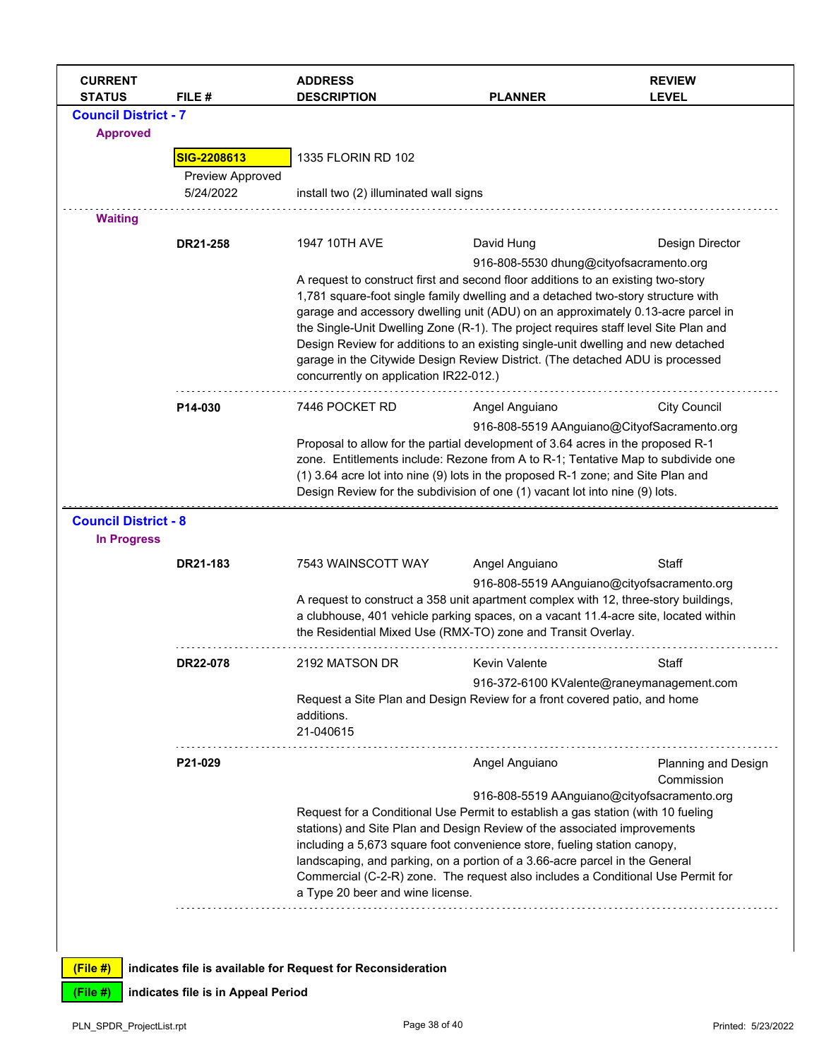| <b>CURRENT</b><br><b>STATUS</b> | FILE#            | <b>ADDRESS</b><br><b>DESCRIPTION</b>                                                                                                                                                                                                                                                                                                                                                                                                                      | <b>PLANNER</b>                              | <b>REVIEW</b><br><b>LEVEL</b> |  |
|---------------------------------|------------------|-----------------------------------------------------------------------------------------------------------------------------------------------------------------------------------------------------------------------------------------------------------------------------------------------------------------------------------------------------------------------------------------------------------------------------------------------------------|---------------------------------------------|-------------------------------|--|
| <b>Council District - 7</b>     |                  |                                                                                                                                                                                                                                                                                                                                                                                                                                                           |                                             |                               |  |
| <b>Approved</b>                 |                  |                                                                                                                                                                                                                                                                                                                                                                                                                                                           |                                             |                               |  |
|                                 | SIG-2208613      | 1335 FLORIN RD 102                                                                                                                                                                                                                                                                                                                                                                                                                                        |                                             |                               |  |
|                                 | Preview Approved |                                                                                                                                                                                                                                                                                                                                                                                                                                                           |                                             |                               |  |
|                                 | 5/24/2022        | install two (2) illuminated wall signs                                                                                                                                                                                                                                                                                                                                                                                                                    |                                             |                               |  |
| <b>Waiting</b>                  |                  |                                                                                                                                                                                                                                                                                                                                                                                                                                                           |                                             |                               |  |
|                                 | DR21-258         | 1947 10TH AVE                                                                                                                                                                                                                                                                                                                                                                                                                                             | David Hung                                  | Design Director               |  |
|                                 |                  |                                                                                                                                                                                                                                                                                                                                                                                                                                                           | 916-808-5530 dhung@cityofsacramento.org     |                               |  |
|                                 |                  | A request to construct first and second floor additions to an existing two-story                                                                                                                                                                                                                                                                                                                                                                          |                                             |                               |  |
|                                 |                  | 1,781 square-foot single family dwelling and a detached two-story structure with                                                                                                                                                                                                                                                                                                                                                                          |                                             |                               |  |
|                                 |                  | garage and accessory dwelling unit (ADU) on an approximately 0.13-acre parcel in<br>the Single-Unit Dwelling Zone (R-1). The project requires staff level Site Plan and<br>Design Review for additions to an existing single-unit dwelling and new detached<br>garage in the Citywide Design Review District. (The detached ADU is processed                                                                                                              |                                             |                               |  |
|                                 |                  |                                                                                                                                                                                                                                                                                                                                                                                                                                                           |                                             |                               |  |
|                                 |                  |                                                                                                                                                                                                                                                                                                                                                                                                                                                           |                                             |                               |  |
|                                 |                  | concurrently on application IR22-012.)                                                                                                                                                                                                                                                                                                                                                                                                                    |                                             |                               |  |
|                                 | P14-030          | 7446 POCKET RD                                                                                                                                                                                                                                                                                                                                                                                                                                            | Angel Anguiano                              | <b>City Council</b>           |  |
|                                 |                  |                                                                                                                                                                                                                                                                                                                                                                                                                                                           | 916-808-5519 AAnguiano@CityofSacramento.org |                               |  |
|                                 |                  | Proposal to allow for the partial development of 3.64 acres in the proposed R-1<br>zone. Entitlements include: Rezone from A to R-1; Tentative Map to subdivide one                                                                                                                                                                                                                                                                                       |                                             |                               |  |
|                                 |                  |                                                                                                                                                                                                                                                                                                                                                                                                                                                           |                                             |                               |  |
|                                 |                  | (1) 3.64 acre lot into nine (9) lots in the proposed R-1 zone; and Site Plan and<br>Design Review for the subdivision of one (1) vacant lot into nine (9) lots.                                                                                                                                                                                                                                                                                           |                                             |                               |  |
| <b>Council District - 8</b>     |                  |                                                                                                                                                                                                                                                                                                                                                                                                                                                           |                                             |                               |  |
| <b>In Progress</b>              |                  |                                                                                                                                                                                                                                                                                                                                                                                                                                                           |                                             |                               |  |
|                                 | DR21-183         | 7543 WAINSCOTT WAY                                                                                                                                                                                                                                                                                                                                                                                                                                        | Angel Anguiano                              | Staff                         |  |
|                                 |                  |                                                                                                                                                                                                                                                                                                                                                                                                                                                           | 916-808-5519 AAnguiano@cityofsacramento.org |                               |  |
|                                 |                  | A request to construct a 358 unit apartment complex with 12, three-story buildings,                                                                                                                                                                                                                                                                                                                                                                       |                                             |                               |  |
|                                 |                  | a clubhouse, 401 vehicle parking spaces, on a vacant 11.4-acre site, located within                                                                                                                                                                                                                                                                                                                                                                       |                                             |                               |  |
|                                 |                  | the Residential Mixed Use (RMX-TO) zone and Transit Overlay.                                                                                                                                                                                                                                                                                                                                                                                              |                                             |                               |  |
|                                 | DR22-078         | 2192 MATSON DR                                                                                                                                                                                                                                                                                                                                                                                                                                            | <b>Kevin Valente</b>                        | Staff                         |  |
|                                 |                  | 916-372-6100 KValente@raneymanagement.com                                                                                                                                                                                                                                                                                                                                                                                                                 |                                             |                               |  |
|                                 |                  | Request a Site Plan and Design Review for a front covered patio, and home                                                                                                                                                                                                                                                                                                                                                                                 |                                             |                               |  |
|                                 |                  | additions.<br>21-040615                                                                                                                                                                                                                                                                                                                                                                                                                                   |                                             |                               |  |
|                                 |                  |                                                                                                                                                                                                                                                                                                                                                                                                                                                           |                                             |                               |  |
|                                 | P21-029          |                                                                                                                                                                                                                                                                                                                                                                                                                                                           | Angel Anguiano                              | Planning and Design           |  |
|                                 |                  |                                                                                                                                                                                                                                                                                                                                                                                                                                                           |                                             | Commission                    |  |
|                                 |                  | 916-808-5519 AAnguiano@cityofsacramento.org<br>Request for a Conditional Use Permit to establish a gas station (with 10 fueling<br>stations) and Site Plan and Design Review of the associated improvements<br>including a 5,673 square foot convenience store, fueling station canopy,<br>landscaping, and parking, on a portion of a 3.66-acre parcel in the General<br>Commercial (C-2-R) zone. The request also includes a Conditional Use Permit for |                                             |                               |  |
|                                 |                  |                                                                                                                                                                                                                                                                                                                                                                                                                                                           |                                             |                               |  |
|                                 |                  |                                                                                                                                                                                                                                                                                                                                                                                                                                                           |                                             |                               |  |
|                                 |                  |                                                                                                                                                                                                                                                                                                                                                                                                                                                           |                                             |                               |  |
|                                 |                  | a Type 20 beer and wine license.                                                                                                                                                                                                                                                                                                                                                                                                                          |                                             |                               |  |
|                                 |                  |                                                                                                                                                                                                                                                                                                                                                                                                                                                           |                                             |                               |  |
|                                 |                  |                                                                                                                                                                                                                                                                                                                                                                                                                                                           |                                             |                               |  |
|                                 |                  |                                                                                                                                                                                                                                                                                                                                                                                                                                                           |                                             |                               |  |
| (File#)                         |                  | indicates file is available for Request for Reconsideration                                                                                                                                                                                                                                                                                                                                                                                               |                                             |                               |  |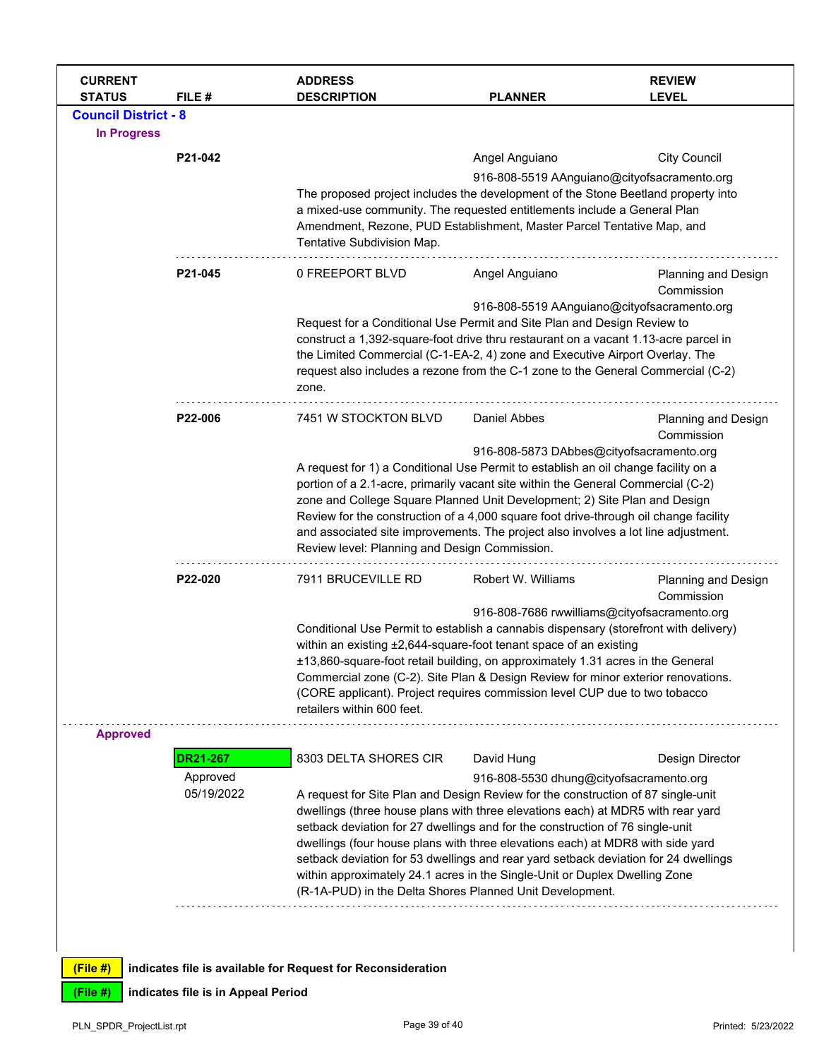| <b>CURRENT</b><br><b>STATUS</b> | FILE #                 | <b>ADDRESS</b><br><b>DESCRIPTION</b>                                                                                                                                                                                                                                                                                                                                                                                                                                                                                           | <b>PLANNER</b>                                                                                                                                                                                                                                                                                                                                                                                                                                                                                                                                                                                                     | <b>REVIEW</b><br><b>LEVEL</b>     |  |
|---------------------------------|------------------------|--------------------------------------------------------------------------------------------------------------------------------------------------------------------------------------------------------------------------------------------------------------------------------------------------------------------------------------------------------------------------------------------------------------------------------------------------------------------------------------------------------------------------------|--------------------------------------------------------------------------------------------------------------------------------------------------------------------------------------------------------------------------------------------------------------------------------------------------------------------------------------------------------------------------------------------------------------------------------------------------------------------------------------------------------------------------------------------------------------------------------------------------------------------|-----------------------------------|--|
| <b>Council District - 8</b>     |                        |                                                                                                                                                                                                                                                                                                                                                                                                                                                                                                                                |                                                                                                                                                                                                                                                                                                                                                                                                                                                                                                                                                                                                                    |                                   |  |
| <b>In Progress</b>              |                        |                                                                                                                                                                                                                                                                                                                                                                                                                                                                                                                                |                                                                                                                                                                                                                                                                                                                                                                                                                                                                                                                                                                                                                    |                                   |  |
|                                 | P21-042                |                                                                                                                                                                                                                                                                                                                                                                                                                                                                                                                                | Angel Anguiano                                                                                                                                                                                                                                                                                                                                                                                                                                                                                                                                                                                                     | <b>City Council</b>               |  |
|                                 |                        | 916-808-5519 AAnguiano@cityofsacramento.org<br>The proposed project includes the development of the Stone Beetland property into<br>a mixed-use community. The requested entitlements include a General Plan<br>Amendment, Rezone, PUD Establishment, Master Parcel Tentative Map, and<br>Tentative Subdivision Map.                                                                                                                                                                                                           |                                                                                                                                                                                                                                                                                                                                                                                                                                                                                                                                                                                                                    |                                   |  |
|                                 | P21-045                | 0 FREEPORT BLVD                                                                                                                                                                                                                                                                                                                                                                                                                                                                                                                | Angel Anguiano                                                                                                                                                                                                                                                                                                                                                                                                                                                                                                                                                                                                     | Planning and Design<br>Commission |  |
|                                 |                        | zone.                                                                                                                                                                                                                                                                                                                                                                                                                                                                                                                          | 916-808-5519 AAnguiano@cityofsacramento.org<br>Request for a Conditional Use Permit and Site Plan and Design Review to<br>construct a 1,392-square-foot drive thru restaurant on a vacant 1.13-acre parcel in<br>the Limited Commercial (C-1-EA-2, 4) zone and Executive Airport Overlay. The<br>request also includes a rezone from the C-1 zone to the General Commercial (C-2)                                                                                                                                                                                                                                  |                                   |  |
|                                 | P22-006                | 7451 W STOCKTON BLVD                                                                                                                                                                                                                                                                                                                                                                                                                                                                                                           | Daniel Abbes                                                                                                                                                                                                                                                                                                                                                                                                                                                                                                                                                                                                       | Planning and Design<br>Commission |  |
|                                 |                        | 916-808-5873 DAbbes@cityofsacramento.org<br>A request for 1) a Conditional Use Permit to establish an oil change facility on a<br>portion of a 2.1-acre, primarily vacant site within the General Commercial (C-2)<br>zone and College Square Planned Unit Development; 2) Site Plan and Design<br>Review for the construction of a 4,000 square foot drive-through oil change facility<br>and associated site improvements. The project also involves a lot line adjustment.<br>Review level: Planning and Design Commission. |                                                                                                                                                                                                                                                                                                                                                                                                                                                                                                                                                                                                                    |                                   |  |
|                                 | P22-020                | 7911 BRUCEVILLE RD                                                                                                                                                                                                                                                                                                                                                                                                                                                                                                             | Robert W. Williams                                                                                                                                                                                                                                                                                                                                                                                                                                                                                                                                                                                                 | Planning and Design<br>Commission |  |
|                                 |                        | retailers within 600 feet.                                                                                                                                                                                                                                                                                                                                                                                                                                                                                                     | 916-808-7686 rwwilliams@cityofsacramento.org<br>Conditional Use Permit to establish a cannabis dispensary (storefront with delivery)<br>within an existing ±2,644-square-foot tenant space of an existing<br>±13,860-square-foot retail building, on approximately 1.31 acres in the General<br>Commercial zone (C-2). Site Plan & Design Review for minor exterior renovations.<br>(CORE applicant). Project requires commission level CUP due to two tobacco                                                                                                                                                     |                                   |  |
| <b>Approved</b>                 | <b>DR21-267</b>        | 8303 DELTA SHORES CIR                                                                                                                                                                                                                                                                                                                                                                                                                                                                                                          | David Hung                                                                                                                                                                                                                                                                                                                                                                                                                                                                                                                                                                                                         | Design Director                   |  |
|                                 | Approved<br>05/19/2022 |                                                                                                                                                                                                                                                                                                                                                                                                                                                                                                                                | 916-808-5530 dhung@cityofsacramento.org<br>A request for Site Plan and Design Review for the construction of 87 single-unit<br>dwellings (three house plans with three elevations each) at MDR5 with rear yard<br>setback deviation for 27 dwellings and for the construction of 76 single-unit<br>dwellings (four house plans with three elevations each) at MDR8 with side yard<br>setback deviation for 53 dwellings and rear yard setback deviation for 24 dwellings<br>within approximately 24.1 acres in the Single-Unit or Duplex Dwelling Zone<br>(R-1A-PUD) in the Delta Shores Planned Unit Development. |                                   |  |
| (File#)                         |                        | indicates file is available for Request for Reconsideration                                                                                                                                                                                                                                                                                                                                                                                                                                                                    |                                                                                                                                                                                                                                                                                                                                                                                                                                                                                                                                                                                                                    |                                   |  |